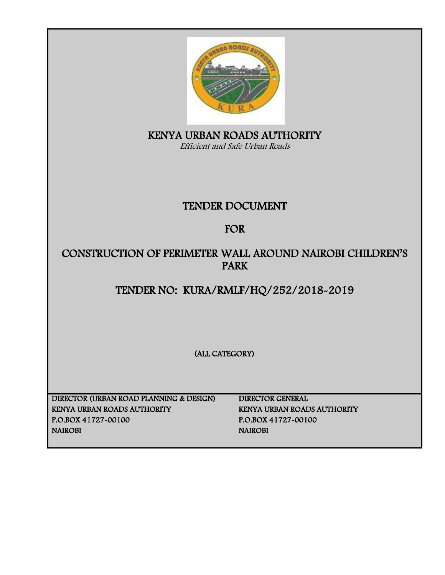

KENYA URBAN ROADS AUTHORITY Efficient and Safe Urban Roads

# TENDER DOCUMENT

# FOR

# CONSTRUCTION OF PERIMETER WALL AROUND NAIROBI CHILDREN'S PARK

# TENDER NO: KURA/RMLF/HQ/252/2018-2019

(ALL CATEGORY)

| DIRECTOR (URBAN ROAD PLANNING & DESIGN) | <b>DIRECTOR GENERAL</b>     |
|-----------------------------------------|-----------------------------|
| KENYA URBAN ROADS AUTHORITY             | KENYA URBAN ROADS AUTHORITY |
| P.O.BOX 41727-00100                     | P.O.BOX 41727-00100         |
| <b>NAIROBI</b>                          | <b>NAIROBI</b>              |
|                                         |                             |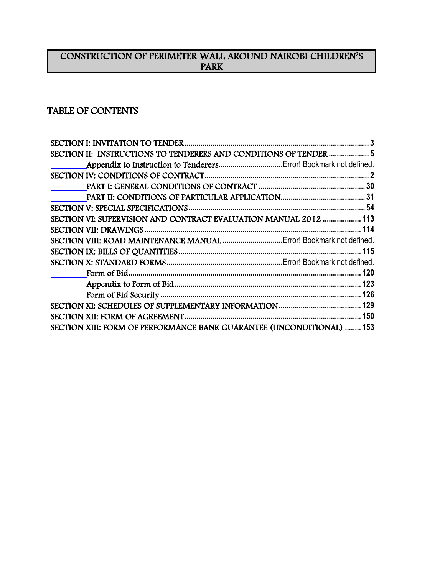# CONSTRUCTION OF PERIMETER WALL AROUND NAIROBI CHILDREN'S PARK

# <span id="page-1-0"></span>TABLE OF CONTENTS

| SECTION II: INSTRUCTIONS TO TENDERERS AND CONDITIONS OF TENDER  5     |  |
|-----------------------------------------------------------------------|--|
|                                                                       |  |
|                                                                       |  |
|                                                                       |  |
|                                                                       |  |
|                                                                       |  |
| SECTION VI: SUPERVISION AND CONTRACT EVALUATION MANUAL 2012  113      |  |
|                                                                       |  |
|                                                                       |  |
|                                                                       |  |
|                                                                       |  |
|                                                                       |  |
|                                                                       |  |
|                                                                       |  |
|                                                                       |  |
|                                                                       |  |
| SECTION XIII: FORM OF PERFORMANCE BANK GUARANTEE (UNCONDITIONAL)  153 |  |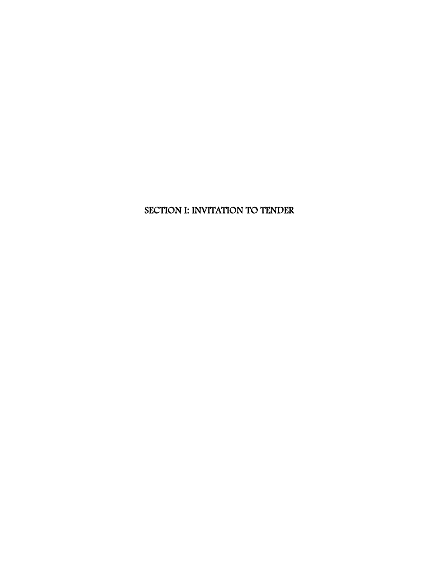# <span id="page-2-0"></span>SECTION I: INVITATION TO TENDER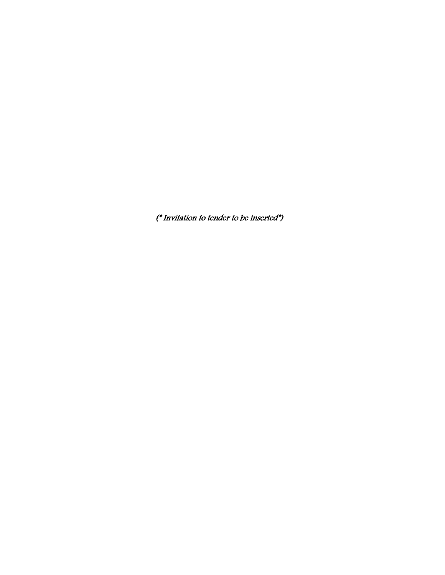(\* Invitation to tender to be inserted\*)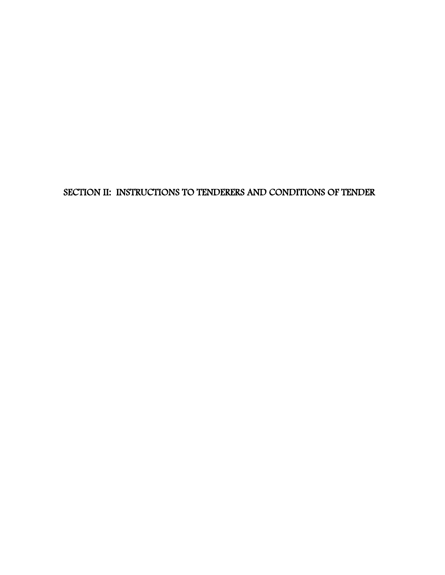<span id="page-4-0"></span>SECTION II: INSTRUCTIONS TO TENDERERS AND CONDITIONS OF TENDER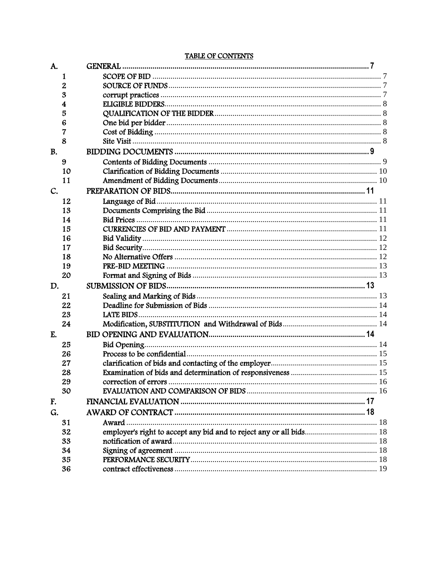#### **TABLE OF CONTENTS**

| A.        |    |             |  |
|-----------|----|-------------|--|
|           | 1  |             |  |
|           | 2  |             |  |
|           | 3  |             |  |
|           | 4  |             |  |
|           | 5  |             |  |
|           | 6  |             |  |
|           |    |             |  |
|           | 8  |             |  |
| <b>B.</b> |    |             |  |
|           | 9  |             |  |
|           | 10 |             |  |
|           | 11 |             |  |
| C.        |    |             |  |
|           | 12 |             |  |
|           | 13 |             |  |
|           | 14 |             |  |
|           | 15 |             |  |
|           | 16 |             |  |
|           | 17 |             |  |
|           | 18 |             |  |
|           | 19 |             |  |
|           | 20 |             |  |
| D.        |    |             |  |
|           | 21 |             |  |
|           | 22 |             |  |
|           | 23 |             |  |
|           | 24 |             |  |
| E.        |    |             |  |
|           | 25 | Bid Opening |  |
|           | 26 |             |  |
|           | 27 |             |  |
|           | 28 |             |  |
|           | 29 |             |  |
|           | 30 |             |  |
| F.        |    |             |  |
| G.        |    |             |  |
|           | 31 |             |  |
|           | 32 |             |  |
|           | 33 |             |  |
|           | 34 |             |  |
|           | 35 |             |  |
|           | 36 |             |  |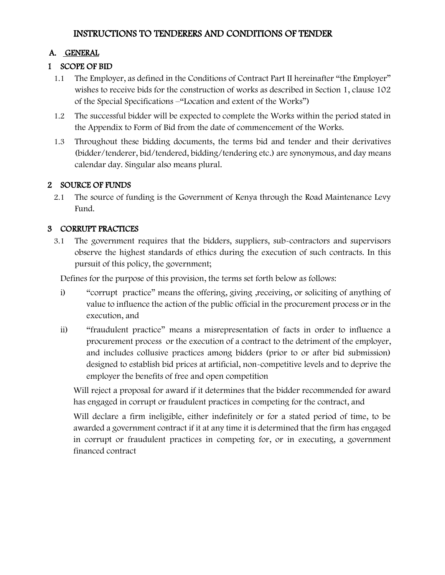# INSTRUCTIONS TO TENDERERS AND CONDITIONS OF TENDER

# A. GENERAL

# 1 SCOPE OF BID

- 1.1 The Employer, as defined in the Conditions of Contract Part II hereinafter "the Employer" wishes to receive bids for the construction of works as described in Section 1, clause 102 of the Special Specifications –"Location and extent of the Works")
- 1.2 The successful bidder will be expected to complete the Works within the period stated in the Appendix to Form of Bid from the date of commencement of the Works.
- 1.3 Throughout these bidding documents, the terms bid and tender and their derivatives (bidder/tenderer, bid/tendered, bidding/tendering etc.) are synonymous, and day means calendar day. Singular also means plural.

# 2 SOURCE OF FUNDS

2.1 The source of funding is the Government of Kenya through the Road Maintenance Levy Fund.

# 3 CORRUPT PRACTICES

3.1 The government requires that the bidders, suppliers, sub-contractors and supervisors observe the highest standards of ethics during the execution of such contracts. In this pursuit of this policy, the government;

Defines for the purpose of this provision, the terms set forth below as follows:

- i) "corrupt practice" means the offering, giving receiving, or soliciting of anything of value to influence the action of the public official in the procurement process or in the execution, and
- ii) "fraudulent practice" means a misrepresentation of facts in order to influence a procurement process or the execution of a contract to the detriment of the employer, and includes collusive practices among bidders (prior to or after bid submission) designed to establish bid prices at artificial, non-competitive levels and to deprive the employer the benefits of free and open competition

Will reject a proposal for award if it determines that the bidder recommended for award has engaged in corrupt or fraudulent practices in competing for the contract, and

Will declare a firm ineligible, either indefinitely or for a stated period of time, to be awarded a government contract if it at any time it is determined that the firm has engaged in corrupt or fraudulent practices in competing for, or in executing, a government financed contract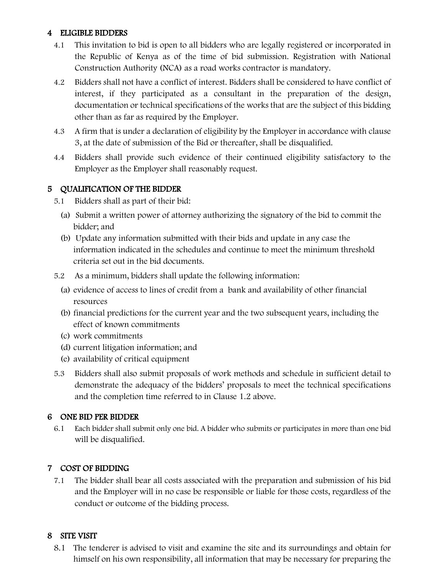# 4 ELIGIBLE BIDDERS

- 4.1 This invitation to bid is open to all bidders who are legally registered or incorporated in the Republic of Kenya as of the time of bid submission. Registration with National Construction Authority (NCA) as a road works contractor is mandatory.
- 4.2 Bidders shall not have a conflict of interest. Bidders shall be considered to have conflict of interest, if they participated as a consultant in the preparation of the design, documentation or technical specifications of the works that are the subject of this bidding other than as far as required by the Employer.
- 4.3 A firm that is under a declaration of eligibility by the Employer in accordance with clause 3, at the date of submission of the Bid or thereafter, shall be disqualified.
- 4.4 Bidders shall provide such evidence of their continued eligibility satisfactory to the Employer as the Employer shall reasonably request.

# 5 QUALIFICATION OF THE BIDDER

- 5.1 Bidders shall as part of their bid:
	- (a) Submit a written power of attorney authorizing the signatory of the bid to commit the bidder; and
	- (b) Update any information submitted with their bids and update in any case the information indicated in the schedules and continue to meet the minimum threshold criteria set out in the bid documents.
- 5.2 As a minimum, bidders shall update the following information:
	- (a) evidence of access to lines of credit from a bank and availability of other financial resources
	- (b) financial predictions for the current year and the two subsequent years, including the effect of known commitments
	- (c) work commitments
	- (d) current litigation information; and
	- (e) availability of critical equipment
- 5.3 Bidders shall also submit proposals of work methods and schedule in sufficient detail to demonstrate the adequacy of the bidders' proposals to meet the technical specifications and the completion time referred to in Clause 1.2 above.

# 6 ONE BID PER BIDDER

6.1 Each bidder shall submit only one bid. A bidder who submits or participates in more than one bid will be disqualified.

# 7 COST OF BIDDING

7.1 The bidder shall bear all costs associated with the preparation and submission of his bid and the Employer will in no case be responsible or liable for those costs, regardless of the conduct or outcome of the bidding process.

# 8 SITE VISIT

8.1 The tenderer is advised to visit and examine the site and its surroundings and obtain for himself on his own responsibility, all information that may be necessary for preparing the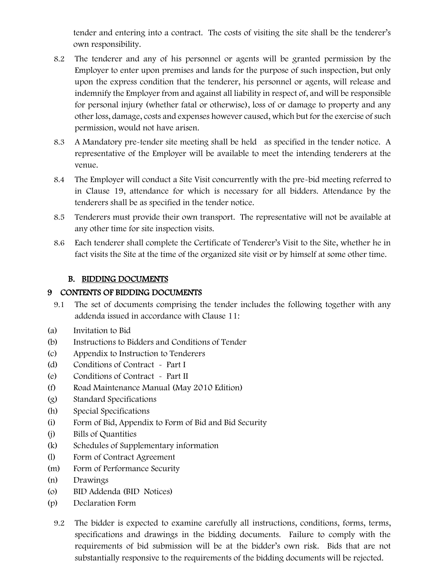tender and entering into a contract. The costs of visiting the site shall be the tenderer's own responsibility.

- 8.2 The tenderer and any of his personnel or agents will be granted permission by the Employer to enter upon premises and lands for the purpose of such inspection, but only upon the express condition that the tenderer, his personnel or agents, will release and indemnify the Employer from and against all liability in respect of, and will be responsible for personal injury (whether fatal or otherwise), loss of or damage to property and any other loss, damage, costs and expenses however caused, which but for the exercise of such permission, would not have arisen.
- 8.3 A Mandatory pre-tender site meeting shall be held as specified in the tender notice. A representative of the Employer will be available to meet the intending tenderers at the venue.
- 8.4 The Employer will conduct a Site Visit concurrently with the pre-bid meeting referred to in Clause 19, attendance for which is necessary for all bidders. Attendance by the tenderers shall be as specified in the tender notice.
- 8.5 Tenderers must provide their own transport. The representative will not be available at any other time for site inspection visits.
- 8.6 Each tenderer shall complete the Certificate of Tenderer's Visit to the Site, whether he in fact visits the Site at the time of the organized site visit or by himself at some other time.

# B. BIDDING DOCUMENTS

## 9 CONTENTS OF BIDDING DOCUMENTS

- 9.1 The set of documents comprising the tender includes the following together with any addenda issued in accordance with Clause 11:
- (a) Invitation to Bid
- (b) Instructions to Bidders and Conditions of Tender
- (c) Appendix to Instruction to Tenderers
- (d) Conditions of Contract Part I
- (e) Conditions of Contract Part II
- (f) Road Maintenance Manual (May 2010 Edition)
- (g) Standard Specifications
- (h) Special Specifications
- (i) Form of Bid, Appendix to Form of Bid and Bid Security
- (j) Bills of Quantities
- (k) Schedules of Supplementary information
- (l) Form of Contract Agreement
- (m) Form of Performance Security
- (n) Drawings
- (o) BID Addenda (BID Notices)
- (p) Declaration Form
	- 9.2 The bidder is expected to examine carefully all instructions, conditions, forms, terms, specifications and drawings in the bidding documents. Failure to comply with the requirements of bid submission will be at the bidder's own risk. Bids that are not substantially responsive to the requirements of the bidding documents will be rejected.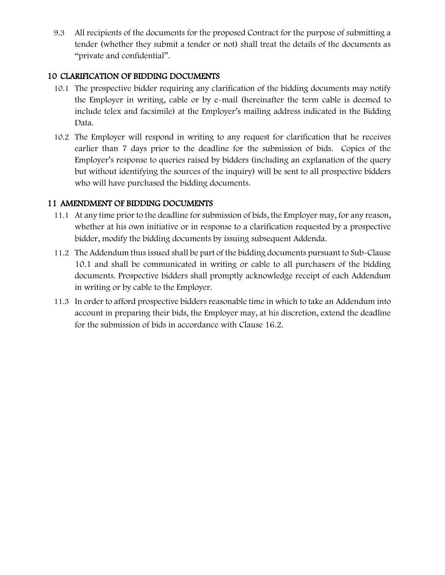9.3 All recipients of the documents for the proposed Contract for the purpose of submitting a tender (whether they submit a tender or not) shall treat the details of the documents as "private and confidential".

# 10 CLARIFICATION OF BIDDING DOCUMENTS

- 10.1 The prospective bidder requiring any clarification of the bidding documents may notify the Employer in writing, cable or by e-mail (hereinafter the term cable is deemed to include telex and facsimile) at the Employer's mailing address indicated in the Bidding Data.
- 10.2 The Employer will respond in writing to any request for clarification that he receives earlier than 7 days prior to the deadline for the submission of bids. Copies of the Employer's response to queries raised by bidders (including an explanation of the query but without identifying the sources of the inquiry) will be sent to all prospective bidders who will have purchased the bidding documents.

# 11 AMENDMENT OF BIDDING DOCUMENTS

- 11.1 At any time prior to the deadline for submission of bids, the Employer may, for any reason, whether at his own initiative or in response to a clarification requested by a prospective bidder, modify the bidding documents by issuing subsequent Addenda.
- 11.2 The Addendum thus issued shall be part of the bidding documents pursuant to Sub-Clause 10.1 and shall be communicated in writing or cable to all purchasers of the bidding documents. Prospective bidders shall promptly acknowledge receipt of each Addendum in writing or by cable to the Employer.
- 11.3 In order to afford prospective bidders reasonable time in which to take an Addendum into account in preparing their bids, the Employer may, at his discretion, extend the deadline for the submission of bids in accordance with Clause 16.2.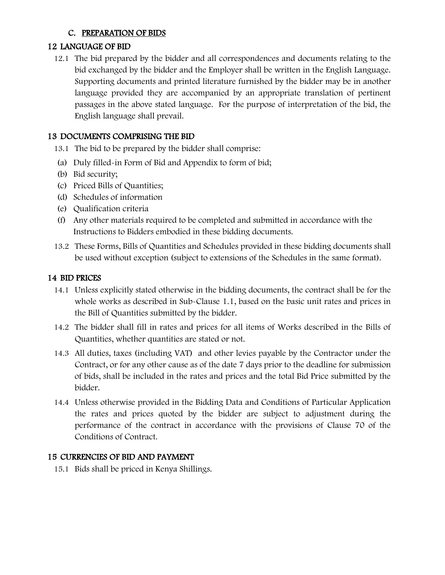# C. PREPARATION OF BIDS

# 12 LANGUAGE OF BID

12.1 The bid prepared by the bidder and all correspondences and documents relating to the bid exchanged by the bidder and the Employer shall be written in the English Language. Supporting documents and printed literature furnished by the bidder may be in another language provided they are accompanied by an appropriate translation of pertinent passages in the above stated language. For the purpose of interpretation of the bid, the English language shall prevail.

# 13 DOCUMENTS COMPRISING THE BID

- 13.1 The bid to be prepared by the bidder shall comprise:
- (a) Duly filled-in Form of Bid and Appendix to form of bid;
- (b) Bid security;
- (c) Priced Bills of Quantities;
- (d) Schedules of information
- (e) Qualification criteria
- (f) Any other materials required to be completed and submitted in accordance with the Instructions to Bidders embodied in these bidding documents.
- 13.2 These Forms, Bills of Quantities and Schedules provided in these bidding documents shall be used without exception (subject to extensions of the Schedules in the same format).

# 14 BID PRICES

- 14.1 Unless explicitly stated otherwise in the bidding documents, the contract shall be for the whole works as described in Sub-Clause 1.1, based on the basic unit rates and prices in the Bill of Quantities submitted by the bidder.
- 14.2 The bidder shall fill in rates and prices for all items of Works described in the Bills of Quantities, whether quantities are stated or not.
- 14.3 All duties, taxes (including VAT) and other levies payable by the Contractor under the Contract, or for any other cause as of the date 7 days prior to the deadline for submission of bids, shall be included in the rates and prices and the total Bid Price submitted by the bidder.
- 14.4 Unless otherwise provided in the Bidding Data and Conditions of Particular Application the rates and prices quoted by the bidder are subject to adjustment during the performance of the contract in accordance with the provisions of Clause 70 of the Conditions of Contract.

# 15 CURRENCIES OF BID AND PAYMENT

15.1 Bids shall be priced in Kenya Shillings.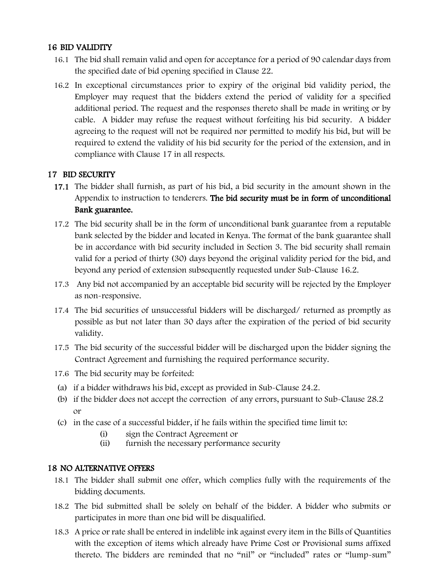#### 16 BID VALIDITY

- 16.1 The bid shall remain valid and open for acceptance for a period of 90 calendar days from the specified date of bid opening specified in Clause 22.
- 16.2 In exceptional circumstances prior to expiry of the original bid validity period, the Employer may request that the bidders extend the period of validity for a specified additional period. The request and the responses thereto shall be made in writing or by cable. A bidder may refuse the request without forfeiting his bid security. A bidder agreeing to the request will not be required nor permitted to modify his bid, but will be required to extend the validity of his bid security for the period of the extension, and in compliance with Clause 17 in all respects.

#### 17 BID SECURITY

- 17.1 The bidder shall furnish, as part of his bid, a bid security in the amount shown in the Appendix to instruction to tenderers. The bid security must be in form of unconditional Bank guarantee.
- 17.2 The bid security shall be in the form of unconditional bank guarantee from a reputable bank selected by the bidder and located in Kenya. The format of the bank guarantee shall be in accordance with bid security included in Section 3. The bid security shall remain valid for a period of thirty (30) days beyond the original validity period for the bid, and beyond any period of extension subsequently requested under Sub-Clause 16.2.
- 17.3 Any bid not accompanied by an acceptable bid security will be rejected by the Employer as non-responsive.
- 17.4 The bid securities of unsuccessful bidders will be discharged/ returned as promptly as possible as but not later than 30 days after the expiration of the period of bid security validity.
- 17.5 The bid security of the successful bidder will be discharged upon the bidder signing the Contract Agreement and furnishing the required performance security.
- 17.6 The bid security may be forfeited:
- (a) if a bidder withdraws his bid, except as provided in Sub-Clause 24.2.
- (b) if the bidder does not accept the correction of any errors, pursuant to Sub-Clause 28.2 or
- (c) in the case of a successful bidder, if he fails within the specified time limit to:
	- (i) sign the Contract Agreement or
	- (ii) furnish the necessary performance security

## 18 NO ALTERNATIVE OFFERS

- 18.1 The bidder shall submit one offer, which complies fully with the requirements of the bidding documents.
- 18.2 The bid submitted shall be solely on behalf of the bidder. A bidder who submits or participates in more than one bid will be disqualified.
- 18.3 A price or rate shall be entered in indelible ink against every item in the Bills of Quantities with the exception of items which already have Prime Cost or Provisional sums affixed thereto. The bidders are reminded that no "nil" or "included" rates or "lump-sum"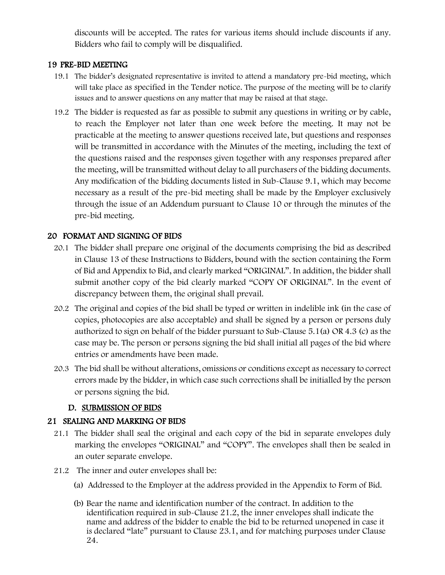discounts will be accepted. The rates for various items should include discounts if any. Bidders who fail to comply will be disqualified.

#### 19 PRE-BID MEETING

- 19.1 The bidder's designated representative is invited to attend a mandatory pre-bid meeting, which will take place as specified in the Tender notice. The purpose of the meeting will be to clarify issues and to answer questions on any matter that may be raised at that stage.
- 19.2 The bidder is requested as far as possible to submit any questions in writing or by cable, to reach the Employer not later than one week before the meeting. It may not be practicable at the meeting to answer questions received late, but questions and responses will be transmitted in accordance with the Minutes of the meeting, including the text of the questions raised and the responses given together with any responses prepared after the meeting, will be transmitted without delay to all purchasers of the bidding documents. Any modification of the bidding documents listed in Sub-Clause 9.1, which may become necessary as a result of the pre-bid meeting shall be made by the Employer exclusively through the issue of an Addendum pursuant to Clause 10 or through the minutes of the pre-bid meeting.

## 20 FORMAT AND SIGNING OF BIDS

- 20.1 The bidder shall prepare one original of the documents comprising the bid as described in Clause 13 of these Instructions to Bidders, bound with the section containing the Form of Bid and Appendix to Bid, and clearly marked "ORIGINAL". In addition, the bidder shall submit another copy of the bid clearly marked "COPY OF ORIGINAL". In the event of discrepancy between them, the original shall prevail.
- 20.2 The original and copies of the bid shall be typed or written in indelible ink (in the case of copies, photocopies are also acceptable) and shall be signed by a person or persons duly authorized to sign on behalf of the bidder pursuant to Sub-Clause 5.1(a) OR 4.3 (c) as the case may be. The person or persons signing the bid shall initial all pages of the bid where entries or amendments have been made.
- 20.3 The bid shall be without alterations, omissions or conditions except as necessary to correct errors made by the bidder, in which case such corrections shall be initialled by the person or persons signing the bid.

## D. SUBMISSION OF BIDS

## 21 SEALING AND MARKING OF BIDS

- 21.1 The bidder shall seal the original and each copy of the bid in separate envelopes duly marking the envelopes "ORIGINAL" and "COPY". The envelopes shall then be sealed in an outer separate envelope.
- 21.2 The inner and outer envelopes shall be:
	- (a) Addressed to the Employer at the address provided in the Appendix to Form of Bid.
	- (b) Bear the name and identification number of the contract. In addition to the identification required in sub-Clause 21.2, the inner envelopes shall indicate the name and address of the bidder to enable the bid to be returned unopened in case it is declared "late" pursuant to Clause 23.1, and for matching purposes under Clause 24.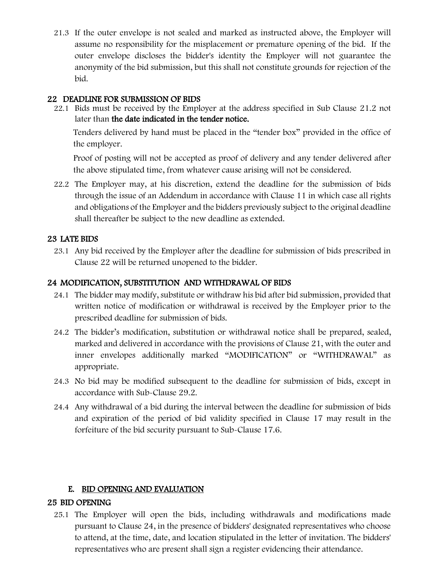21.3 If the outer envelope is not sealed and marked as instructed above, the Employer will assume no responsibility for the misplacement or premature opening of the bid. If the outer envelope discloses the bidder's identity the Employer will not guarantee the anonymity of the bid submission, but this shall not constitute grounds for rejection of the bid.

# 22 DEADLINE FOR SUBMISSION OF BIDS

22.1 Bids must be received by the Employer at the address specified in Sub Clause 21.2 not later than the date indicated in the tender notice.

Tenders delivered by hand must be placed in the "tender box" provided in the office of the employer.

Proof of posting will not be accepted as proof of delivery and any tender delivered after the above stipulated time, from whatever cause arising will not be considered.

22.2 The Employer may, at his discretion, extend the deadline for the submission of bids through the issue of an Addendum in accordance with Clause 11 in which case all rights and obligations of the Employer and the bidders previously subject to the original deadline shall thereafter be subject to the new deadline as extended.

## 23 LATE BIDS

23.1 Any bid received by the Employer after the deadline for submission of bids prescribed in Clause 22 will be returned unopened to the bidder.

# 24 MODIFICATION, SUBSTITUTION AND WITHDRAWAL OF BIDS

- 24.1 The bidder may modify, substitute or withdraw his bid after bid submission, provided that written notice of modification or withdrawal is received by the Employer prior to the prescribed deadline for submission of bids.
- 24.2 The bidder's modification, substitution or withdrawal notice shall be prepared, sealed, marked and delivered in accordance with the provisions of Clause 21, with the outer and inner envelopes additionally marked "MODIFICATION" or "WITHDRAWAL" as appropriate.
- 24.3 No bid may be modified subsequent to the deadline for submission of bids, except in accordance with Sub-Clause 29.2.
- 24.4 Any withdrawal of a bid during the interval between the deadline for submission of bids and expiration of the period of bid validity specified in Clause 17 may result in the forfeiture of the bid security pursuant to Sub-Clause 17.6.

## E. BID OPENING AND EVALUATION

## 25 BID OPENING

25.1 The Employer will open the bids, including withdrawals and modifications made pursuant to Clause 24, in the presence of bidders' designated representatives who choose to attend, at the time, date, and location stipulated in the letter of invitation. The bidders' representatives who are present shall sign a register evidencing their attendance.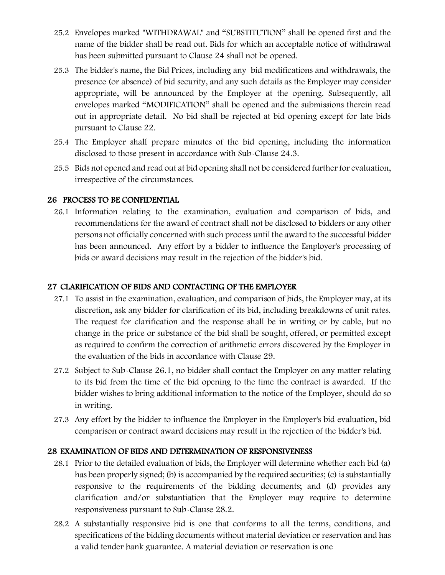- 25.2 Envelopes marked "WITHDRAWAL" and "SUBSTITUTION" shall be opened first and the name of the bidder shall be read out. Bids for which an acceptable notice of withdrawal has been submitted pursuant to Clause 24 shall not be opened.
- 25.3 The bidder's name, the Bid Prices, including any bid modifications and withdrawals, the presence (or absence) of bid security, and any such details as the Employer may consider appropriate, will be announced by the Employer at the opening. Subsequently, all envelopes marked "MODIFICATION" shall be opened and the submissions therein read out in appropriate detail. No bid shall be rejected at bid opening except for late bids pursuant to Clause 22.
- 25.4 The Employer shall prepare minutes of the bid opening, including the information disclosed to those present in accordance with Sub-Clause 24.3.
- 25.5 Bids not opened and read out at bid opening shall not be considered further for evaluation, irrespective of the circumstances.

# 26 PROCESS TO BE CONFIDENTIAL

26.1 Information relating to the examination, evaluation and comparison of bids, and recommendations for the award of contract shall not be disclosed to bidders or any other persons not officially concerned with such process until the award to the successful bidder has been announced. Any effort by a bidder to influence the Employer's processing of bids or award decisions may result in the rejection of the bidder's bid.

# 27 CLARIFICATION OF BIDS AND CONTACTING OF THE EMPLOYER

- 27.1 To assist in the examination, evaluation, and comparison of bids, the Employer may, at its discretion, ask any bidder for clarification of its bid, including breakdowns of unit rates. The request for clarification and the response shall be in writing or by cable, but no change in the price or substance of the bid shall be sought, offered, or permitted except as required to confirm the correction of arithmetic errors discovered by the Employer in the evaluation of the bids in accordance with Clause 29.
- 27.2 Subject to Sub-Clause 26.1, no bidder shall contact the Employer on any matter relating to its bid from the time of the bid opening to the time the contract is awarded. If the bidder wishes to bring additional information to the notice of the Employer, should do so in writing.
- 27.3 Any effort by the bidder to influence the Employer in the Employer's bid evaluation, bid comparison or contract award decisions may result in the rejection of the bidder's bid.

## 28 EXAMINATION OF BIDS AND DETERMINATION OF RESPONSIVENESS

- 28.1 Prior to the detailed evaluation of bids, the Employer will determine whether each bid (a) has been properly signed; (b) is accompanied by the required securities; (c) is substantially responsive to the requirements of the bidding documents; and (d) provides any clarification and/or substantiation that the Employer may require to determine responsiveness pursuant to Sub-Clause 28.2.
- 28.2 A substantially responsive bid is one that conforms to all the terms, conditions, and specifications of the bidding documents without material deviation or reservation and has a valid tender bank guarantee. A material deviation or reservation is one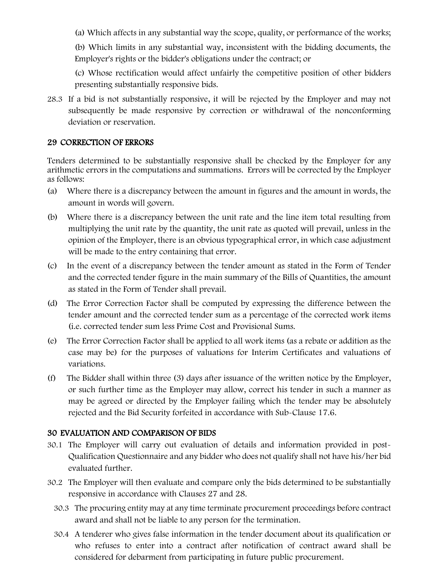(a) Which affects in any substantial way the scope, quality, or performance of the works;

(b) Which limits in any substantial way, inconsistent with the bidding documents, the Employer's rights or the bidder's obligations under the contract; or

(c) Whose rectification would affect unfairly the competitive position of other bidders presenting substantially responsive bids.

28.3 If a bid is not substantially responsive, it will be rejected by the Employer and may not subsequently be made responsive by correction or withdrawal of the nonconforming deviation or reservation.

#### 29 CORRECTION OF ERRORS

Tenders determined to be substantially responsive shall be checked by the Employer for any arithmetic errors in the computations and summations. Errors will be corrected by the Employer as follows:

- (a) Where there is a discrepancy between the amount in figures and the amount in words, the amount in words will govern.
- (b) Where there is a discrepancy between the unit rate and the line item total resulting from multiplying the unit rate by the quantity, the unit rate as quoted will prevail, unless in the opinion of the Employer, there is an obvious typographical error, in which case adjustment will be made to the entry containing that error.
- (c) In the event of a discrepancy between the tender amount as stated in the Form of Tender and the corrected tender figure in the main summary of the Bills of Quantities, the amount as stated in the Form of Tender shall prevail.
- (d) The Error Correction Factor shall be computed by expressing the difference between the tender amount and the corrected tender sum as a percentage of the corrected work items (i.e. corrected tender sum less Prime Cost and Provisional Sums.
- (e) The Error Correction Factor shall be applied to all work items (as a rebate or addition as the case may be) for the purposes of valuations for Interim Certificates and valuations of variations.
- (f) The Bidder shall within three (3) days after issuance of the written notice by the Employer, or such further time as the Employer may allow, correct his tender in such a manner as may be agreed or directed by the Employer failing which the tender may be absolutely rejected and the Bid Security forfeited in accordance with Sub-Clause 17.6.

## 30 EVALUATION AND COMPARISON OF BIDS

- 30.1 The Employer will carry out evaluation of details and information provided in post-Qualification Questionnaire and any bidder who does not qualify shall not have his/her bid evaluated further.
- 30.2 The Employer will then evaluate and compare only the bids determined to be substantially responsive in accordance with Clauses 27 and 28.
	- 30.3 The procuring entity may at any time terminate procurement proceedings before contract award and shall not be liable to any person for the termination.
	- 30.4 A tenderer who gives false information in the tender document about its qualification or who refuses to enter into a contract after notification of contract award shall be considered for debarment from participating in future public procurement.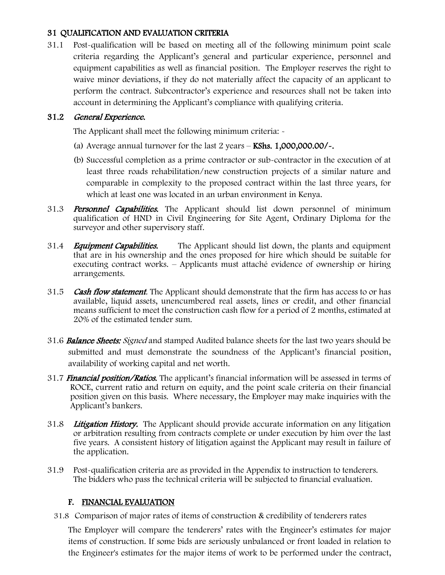## 31 QUALIFICATION AND EVALUATION CRITERIA

31.1 Post-qualification will be based on meeting all of the following minimum point scale criteria regarding the Applicant's general and particular experience, personnel and equipment capabilities as well as financial position. The Employer reserves the right to waive minor deviations, if they do not materially affect the capacity of an applicant to perform the contract. Subcontractor's experience and resources shall not be taken into account in determining the Applicant's compliance with qualifying criteria.

## 31.2 General Experience.

The Applicant shall meet the following minimum criteria: -

- (a) Average annual turnover for the last  $2$  years  $-$  KShs. 1,000,000.00/ $\sim$ .
- (b) Successful completion as a prime contractor or sub-contractor in the execution of at least three roads rehabilitation/new construction projects of a similar nature and comparable in complexity to the proposed contract within the last three years, for which at least one was located in an urban environment in Kenya.
- 31.3 **Personnel Capabilities.** The Applicant should list down personnel of minimum qualification of HND in Civil Engineering for Site Agent, Ordinary Diploma for the surveyor and other supervisory staff.
- 31.4 **Equipment Capabilities.** The Applicant should list down, the plants and equipment that are in his ownership and the ones proposed for hire which should be suitable for executing contract works. – Applicants must attaché evidence of ownership or hiring arrangements.
- 31.5 Cash flow statement. The Applicant should demonstrate that the firm has access to or has available, liquid assets, unencumbered real assets, lines or credit, and other financial means sufficient to meet the construction cash flow for a period of 2 months, estimated at 20% of the estimated tender sum.
- 31.6 Balance Sheets: Signed and stamped Audited balance sheets for the last two years should be submitted and must demonstrate the soundness of the Applicant's financial position, availability of working capital and net worth.
- 31.7 Financial position/Ratios. The applicant's financial information will be assessed in terms of ROCE, current ratio and return on equity, and the point scale criteria on their financial position given on this basis. Where necessary, the Employer may make inquiries with the Applicant's bankers.
- 31.8 Litigation History. The Applicant should provide accurate information on any litigation or arbitration resulting from contracts complete or under execution by him over the last five years. A consistent history of litigation against the Applicant may result in failure of the application.
- 31.9 Post-qualification criteria are as provided in the Appendix to instruction to tenderers. The bidders who pass the technical criteria will be subjected to financial evaluation.

# F. FINANCIAL EVALUATION

31.8 Comparison of major rates of items of construction & credibility of tenderers rates

The Employer will compare the tenderers' rates with the Engineer's estimates for major items of construction. If some bids are seriously unbalanced or front loaded in relation to the Engineer's estimates for the major items of work to be performed under the contract,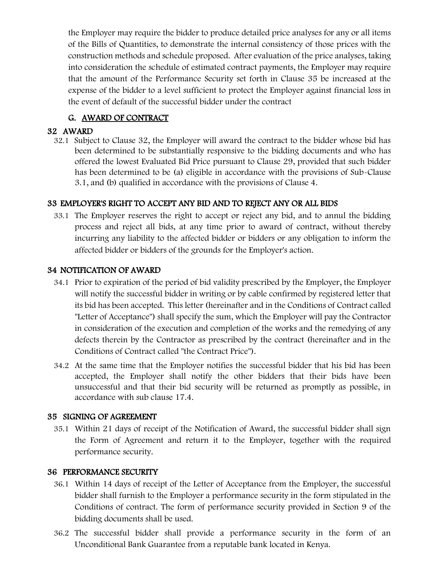the Employer may require the bidder to produce detailed price analyses for any or all items of the Bills of Quantities, to demonstrate the internal consistency of those prices with the construction methods and schedule proposed. After evaluation of the price analyses, taking into consideration the schedule of estimated contract payments, the Employer may require that the amount of the Performance Security set forth in Clause 35 be increased at the expense of the bidder to a level sufficient to protect the Employer against financial loss in the event of default of the successful bidder under the contract

# G. AWARD OF CONTRACT

#### 32 AWARD

32.1 Subject to Clause 32, the Employer will award the contract to the bidder whose bid has been determined to be substantially responsive to the bidding documents and who has offered the lowest Evaluated Bid Price pursuant to Clause 29, provided that such bidder has been determined to be (a) eligible in accordance with the provisions of Sub-Clause 3.1, and (b) qualified in accordance with the provisions of Clause 4.

## 33 EMPLOYER'S RIGHT TO ACCEPT ANY BID AND TO REJECT ANY OR ALL BIDS

33.1 The Employer reserves the right to accept or reject any bid, and to annul the bidding process and reject all bids, at any time prior to award of contract, without thereby incurring any liability to the affected bidder or bidders or any obligation to inform the affected bidder or bidders of the grounds for the Employer's action.

#### 34 NOTIFICATION OF AWARD

- 34.1 Prior to expiration of the period of bid validity prescribed by the Employer, the Employer will notify the successful bidder in writing or by cable confirmed by registered letter that its bid has been accepted. This letter (hereinafter and in the Conditions of Contract called "Letter of Acceptance") shall specify the sum, which the Employer will pay the Contractor in consideration of the execution and completion of the works and the remedying of any defects therein by the Contractor as prescribed by the contract (hereinafter and in the Conditions of Contract called "the Contract Price").
- 34.2 At the same time that the Employer notifies the successful bidder that his bid has been accepted, the Employer shall notify the other bidders that their bids have been unsuccessful and that their bid security will be returned as promptly as possible, in accordance with sub clause 17.4.

#### 35 SIGNING OF AGREEMENT

35.1 Within 21 days of receipt of the Notification of Award, the successful bidder shall sign the Form of Agreement and return it to the Employer, together with the required performance security.

#### 36 PERFORMANCE SECURITY

- 36.1 Within 14 days of receipt of the Letter of Acceptance from the Employer, the successful bidder shall furnish to the Employer a performance security in the form stipulated in the Conditions of contract. The form of performance security provided in Section 9 of the bidding documents shall be used.
- 36.2 The successful bidder shall provide a performance security in the form of an Unconditional Bank Guarantee from a reputable bank located in Kenya.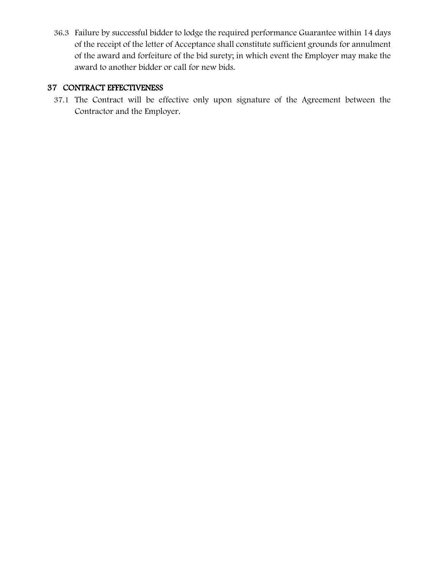36.3 Failure by successful bidder to lodge the required performance Guarantee within 14 days of the receipt of the letter of Acceptance shall constitute sufficient grounds for annulment of the award and forfeiture of the bid surety; in which event the Employer may make the award to another bidder or call for new bids.

## 37 CONTRACT EFFECTIVENESS

37.1 The Contract will be effective only upon signature of the Agreement between the Contractor and the Employer.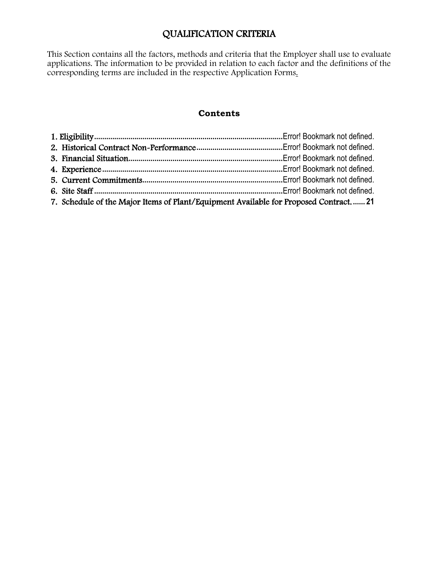# QUALIFICATION CRITERIA

This Section contains all the factors, methods and criteria that the Employer shall use to evaluate applications. The information to be provided in relation to each factor and the definitions of the corresponding terms are included in the respective Application Forms.

## **Contents**

| 7. Schedule of the Major Items of Plant/Equipment Available for Proposed Contract21 |  |
|-------------------------------------------------------------------------------------|--|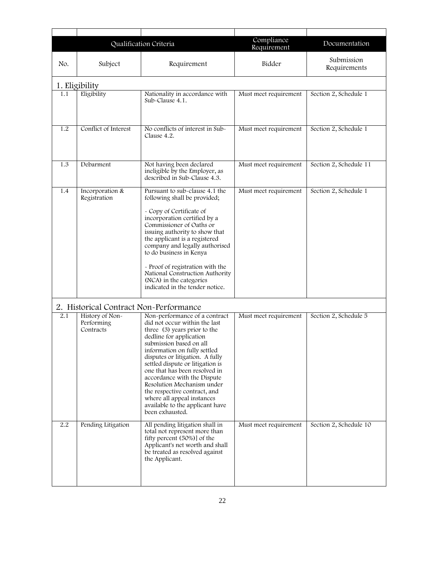<span id="page-20-0"></span>

|     |                                            | Qualification Criteria                                                                                                                                                                                                                                                                                                                                                                                                                                                        | Compliance<br>Requirement | Documentation              |  |  |  |  |
|-----|--------------------------------------------|-------------------------------------------------------------------------------------------------------------------------------------------------------------------------------------------------------------------------------------------------------------------------------------------------------------------------------------------------------------------------------------------------------------------------------------------------------------------------------|---------------------------|----------------------------|--|--|--|--|
| No. | Subject                                    | Requirement                                                                                                                                                                                                                                                                                                                                                                                                                                                                   | Bidder                    | Submission<br>Requirements |  |  |  |  |
|     | 1. Eligibility                             |                                                                                                                                                                                                                                                                                                                                                                                                                                                                               |                           |                            |  |  |  |  |
| 1.1 | Eligibility                                | Nationality in accordance with<br>Sub-Clause 4.1.                                                                                                                                                                                                                                                                                                                                                                                                                             | Must meet requirement     | Section 2, Schedule 1      |  |  |  |  |
| 1.2 | Conflict of Interest                       | No conflicts of interest in Sub-<br>Clause 4.2.                                                                                                                                                                                                                                                                                                                                                                                                                               | Must meet requirement     | Section 2, Schedule 1      |  |  |  |  |
| 1.3 | Debarment                                  | Not having been declared<br>ineligible by the Employer, as<br>described in Sub-Clause 4.3.                                                                                                                                                                                                                                                                                                                                                                                    | Must meet requirement     | Section 2, Schedule 11     |  |  |  |  |
| 1.4 | Incorporation &<br>Registration            | Pursuant to sub-clause 4.1 the<br>following shall be provided;<br>- Copy of Certificate of<br>incorporation certified by a<br>Commissioner of Oaths or<br>issuing authority to show that<br>the applicant is a registered<br>company and legally authorised<br>to do business in Kenya<br>- Proof of registration with the<br>National Construction Authority<br>(NCA) in the categories<br>indicated in the tender notice.                                                   | Must meet requirement     | Section 2, Schedule 1      |  |  |  |  |
|     | 2. Historical Contract Non-Performance     |                                                                                                                                                                                                                                                                                                                                                                                                                                                                               |                           |                            |  |  |  |  |
| 2.1 | History of Non-<br>Performing<br>Contracts | Non-performance of a contract<br>did not occur within the last<br>three (3) years prior to the<br>dedline for application<br>submission based on all<br>information on fully settled<br>disputes or litigation. A fully<br>settled dispute or litigation is<br>one that has been resolved in<br>accordance with the Dispute<br>Resolution Mechanism under<br>the respective contract, and<br>where all appeal instances<br>available to the applicant have<br>been exhausted. | Must meet requirement     | Section 2, Schedule 5      |  |  |  |  |
| 2.2 | Pending Litigation                         | All pending litigation shall in<br>total not represent more than<br>fifty percent (50%)] of the<br>Applicant's net worth and shall<br>be treated as resolved against<br>the Applicant.                                                                                                                                                                                                                                                                                        | Must meet requirement     | Section 2, Schedule 10     |  |  |  |  |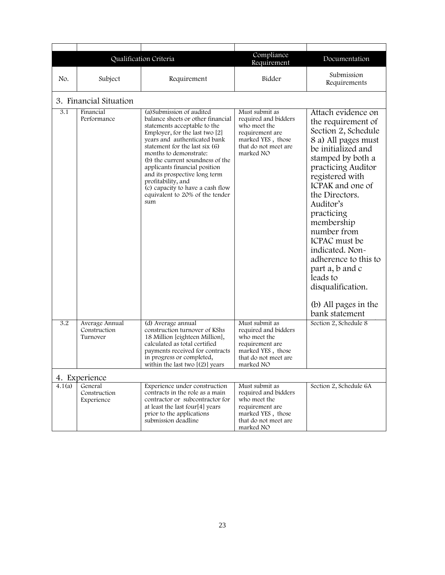|        |                                            | Qualification Criteria                                                                                                                                                                                                                                                                                                                                                                                                                 | Compliance<br>Requirement                                                                                                           | Documentation                                                                                                                                                                                                                                                                                                                                                                                                                      |
|--------|--------------------------------------------|----------------------------------------------------------------------------------------------------------------------------------------------------------------------------------------------------------------------------------------------------------------------------------------------------------------------------------------------------------------------------------------------------------------------------------------|-------------------------------------------------------------------------------------------------------------------------------------|------------------------------------------------------------------------------------------------------------------------------------------------------------------------------------------------------------------------------------------------------------------------------------------------------------------------------------------------------------------------------------------------------------------------------------|
| No.    | Subject                                    | Requirement                                                                                                                                                                                                                                                                                                                                                                                                                            | Bidder                                                                                                                              | Submission<br>Requirements                                                                                                                                                                                                                                                                                                                                                                                                         |
|        | 3. Financial Situation                     |                                                                                                                                                                                                                                                                                                                                                                                                                                        |                                                                                                                                     |                                                                                                                                                                                                                                                                                                                                                                                                                                    |
| 3.1    | Financial<br>Performance                   | (a) Submission of audited<br>balance sheets or other financial<br>statements acceptable to the<br>Employer, for the last two [2]<br>years and authenticated bank<br>statement for the last six (6)<br>months to demonstrate:<br>(b) the current soundness of the<br>applicants financial position<br>and its prospective long term<br>profitability, and<br>(c) capacity to have a cash flow<br>equivalent to 20% of the tender<br>sum | Must submit as<br>required and bidders<br>who meet the<br>requirement are<br>marked YES, those<br>that do not meet are<br>marked NO | Attach evidence on<br>the requirement of<br>Section 2, Schedule<br>8 a) All pages must<br>be initialized and<br>stamped by both a<br>practicing Auditor<br>registered with<br>ICPAK and one of<br>the Directors.<br>Auditor's<br>practicing<br>membership<br>number from<br>ICPAC must be<br>indicated. Non-<br>adherence to this to<br>part a, b and c<br>leads to<br>disqualification.<br>(b) All pages in the<br>bank statement |
| 3.2    | Average Annual<br>Construction<br>Turnover | (d) Average annual<br>construction turnover of KShs<br>18 Million [eighteen Million],<br>calculated as total certified<br>payments received for contracts<br>in progress or completed,                                                                                                                                                                                                                                                 | Must submit as<br>required and bidders<br>who meet the<br>requirement are<br>marked YES, those<br>that do not meet are              | Section 2, Schedule 8                                                                                                                                                                                                                                                                                                                                                                                                              |
|        | 4. Experience                              | within the last two $[(2)]$ years                                                                                                                                                                                                                                                                                                                                                                                                      | marked NO                                                                                                                           |                                                                                                                                                                                                                                                                                                                                                                                                                                    |
| 4.1(a) | General<br>Construction<br>Experience      | Experience under construction<br>contracts in the role as a main<br>contractor or subcontractor for<br>at least the last four[4] years<br>prior to the applications<br>submission deadline                                                                                                                                                                                                                                             | Must submit as<br>required and bidders<br>who meet the<br>requirement are<br>marked YES, those<br>that do not meet are<br>marked NO | Section 2, Schedule 6A                                                                                                                                                                                                                                                                                                                                                                                                             |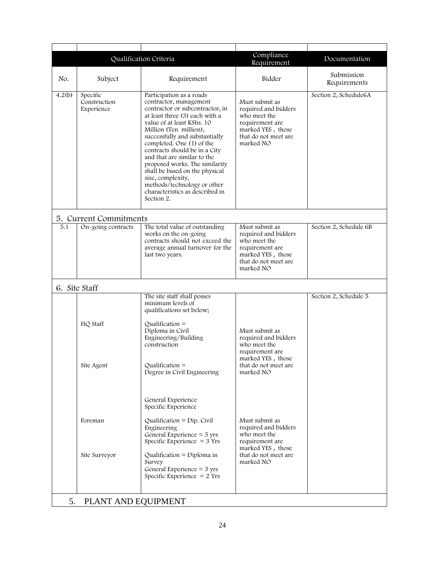|        |                                        | Qualification Criteria                                                                                                                                                                                                                                                                                                                                                                                                                                                                  | Compliance<br>Requirement                                                                                                           | Documentation              |
|--------|----------------------------------------|-----------------------------------------------------------------------------------------------------------------------------------------------------------------------------------------------------------------------------------------------------------------------------------------------------------------------------------------------------------------------------------------------------------------------------------------------------------------------------------------|-------------------------------------------------------------------------------------------------------------------------------------|----------------------------|
| No.    | Subject                                | Requirement                                                                                                                                                                                                                                                                                                                                                                                                                                                                             | Bidder                                                                                                                              | Submission<br>Requirements |
| 4.2(b) | Specific<br>Construction<br>Experience | Participation as a roads<br>contractor, management<br>contractor or subcontractor, in<br>at least three (3) each with a<br>value of at least KShs, 10<br>Million (Ten million),<br>successfully and substantially<br>completed. One (1) of the<br>contracts should be in a City<br>and that are similar to the<br>proposed works. The similarity<br>shall be based on the physical<br>size, complexity,<br>methods/technology or other<br>characteristics as described in<br>Section 2. | Must submit as<br>required and bidders<br>who meet the<br>requirement are<br>marked YES, those<br>that do not meet are<br>marked NO | Section 2, Schedule6A      |
|        | 5. Current Commitments                 |                                                                                                                                                                                                                                                                                                                                                                                                                                                                                         |                                                                                                                                     |                            |
| 5.1    | On-going contracts                     | The total value of outstanding<br>works on the on-going<br>contracts should not exceed the<br>average annual turnover for the<br>last two years.                                                                                                                                                                                                                                                                                                                                        | Must submit as<br>required and bidders<br>who meet the<br>requirement are<br>marked YES, those<br>that do not meet are<br>marked NO | Section 2, Schedule 6B     |
|        | 6. Site Staff                          |                                                                                                                                                                                                                                                                                                                                                                                                                                                                                         |                                                                                                                                     |                            |
|        | HQ Staff                               | The site staff shall posses<br>minimum levels of<br>qualifications set below;<br>Qualification $=$<br>Diploma in Civil<br>Engineering/Building<br>construction                                                                                                                                                                                                                                                                                                                          | Must submit as<br>required and bidders<br>who meet the<br>requirement are<br>marked YES, those                                      | Section 2, Schedule 5      |
|        | Site Agent                             | $Qualification =$<br>Degree in Civil Engineering<br>General Experience<br>Specific Experience                                                                                                                                                                                                                                                                                                                                                                                           | that do not meet are<br>marked NO                                                                                                   |                            |
|        | Foreman                                | Qualification = $Dip$ . Civil<br>Engineering<br>General Experience $=$ 5 yrs<br>Specific Experience $= 3$ Yrs                                                                                                                                                                                                                                                                                                                                                                           | Must submit as<br>required and bidders<br>who meet the<br>requirement are<br>marked YES, those                                      |                            |
|        | Site Surveyor                          | Qualification = Diploma in<br>Survey<br>General Experience $=$ 3 yrs<br>Specific Experience $= 2$ Yrs                                                                                                                                                                                                                                                                                                                                                                                   | that do not meet are<br>marked NO                                                                                                   |                            |
| 5.     | PLANT AND EQUIPMENT                    |                                                                                                                                                                                                                                                                                                                                                                                                                                                                                         |                                                                                                                                     |                            |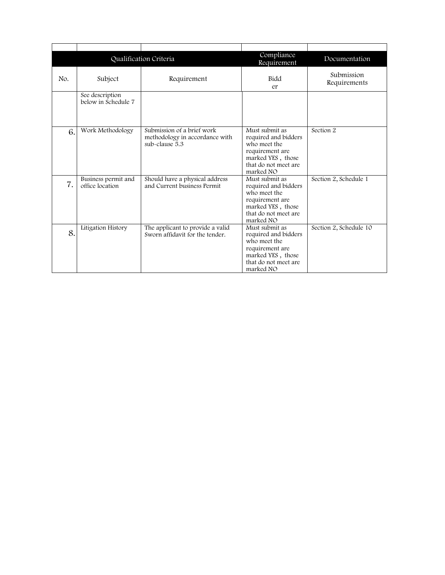|     |                                        | Qualification Criteria                                                         | Compliance<br>Requirement                                                                                                           | Documentation              |
|-----|----------------------------------------|--------------------------------------------------------------------------------|-------------------------------------------------------------------------------------------------------------------------------------|----------------------------|
| No. | Subject                                | Requirement                                                                    | <b>Bidd</b><br>er                                                                                                                   | Submission<br>Requirements |
|     | See description<br>below in Schedule 7 |                                                                                |                                                                                                                                     |                            |
| 6.  | Work Methodology                       | Submission of a brief work<br>methodology in accordance with<br>sub-clause 5.3 | Must submit as<br>required and bidders<br>who meet the<br>requirement are<br>marked YES, those<br>that do not meet are<br>marked NO | Section 2                  |
| 7.  | Business permit and<br>office location | Should have a physical address<br>and Current business Permit                  | Must submit as<br>required and bidders<br>who meet the<br>requirement are<br>marked YES, those<br>that do not meet are<br>marked NO | Section 2, Schedule 1      |
| 8.  | Litigation History                     | The applicant to provide a valid<br>Sworn affidavit for the tender.            | Must submit as<br>required and bidders<br>who meet the<br>requirement are<br>marked YES, those<br>that do not meet are<br>marked NO | Section 2, Schedule 10     |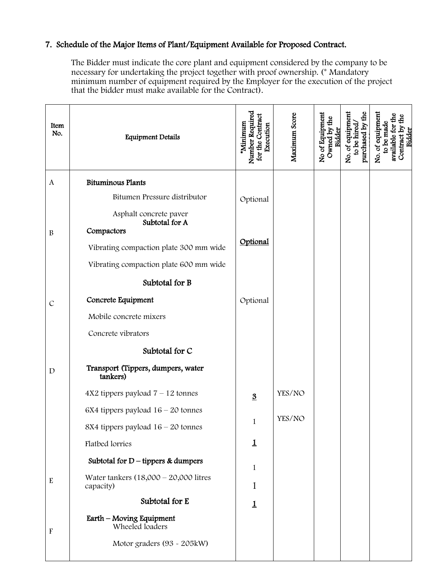# 7. Schedule of the Major Items of Plant/Equipment Available for Proposed Contract.

The Bidder must indicate the core plant and equipment considered by the company to be necessary for undertaking the project together with proof ownership. (\* Mandatory minimum number of equipment required by the Employer for the execution of the project that the bidder must make available for the Contract).

| Item<br>No.           | <b>Equipment Details</b>                                                                                                                                                                                                                                                                                             | Number Required<br>for the Contract<br>*Minimum<br>Execution                  | Maximum Score    | No of Equipment<br>Owned by the<br>Bidder | purchased by the<br>No. of equipment<br>to be hired, | No. of equipment<br>Contract by the<br>Bidder<br>available for th<br>to be made |
|-----------------------|----------------------------------------------------------------------------------------------------------------------------------------------------------------------------------------------------------------------------------------------------------------------------------------------------------------------|-------------------------------------------------------------------------------|------------------|-------------------------------------------|------------------------------------------------------|---------------------------------------------------------------------------------|
| A<br>$\boldsymbol{B}$ | <b>Bituminous Plants</b><br>Bitumen Pressure distributor<br>Asphalt concrete paver<br>Subtotal for A<br>Compactors<br>Vibrating compaction plate 300 mm wide                                                                                                                                                         | Optional<br>Optional                                                          |                  |                                           |                                                      |                                                                                 |
| $\mathcal{C}$         | Vibrating compaction plate 600 mm wide<br>Subtotal for B<br>Concrete Equipment<br>Mobile concrete mixers<br>Concrete vibrators                                                                                                                                                                                       | Optional                                                                      |                  |                                           |                                                      |                                                                                 |
| $\mathbf D$<br>E      | Subtotal for C<br>Transport (Tippers, dumpers, water<br>tankers)<br>$4X2$ tippers payload $7 - 12$ tonnes<br>$6X4$ tippers payload $16 - 20$ tonnes<br>8X4 tippers payload 16 - 20 tonnes<br><b>Flatbed</b> lorries<br>Subtotal for $D$ – tippers & dumpers<br>Water tankers $(18,000 - 20,000)$ litres<br>capacity) | $\overline{3}$<br>$\mathbf{1}$<br>$\mathbf 1$<br>$\mathbf{1}$<br>$\mathbf{1}$ | YES/NO<br>YES/NO |                                           |                                                      |                                                                                 |
| $\Gamma$              | Subtotal for E<br>Earth - Moving Equipment<br>Wheeled loaders<br>Motor graders (93 - 205kW)                                                                                                                                                                                                                          | $\mathbf 1$                                                                   |                  |                                           |                                                      |                                                                                 |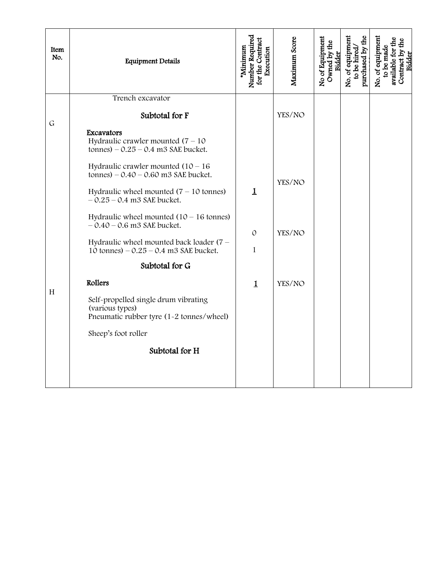| Item<br>No. | <b>Equipment Details</b>                                                                            | Number Required<br>for the Contract<br>Minimum<br>Execution | Maximum Score | No of Equipment<br>Owned by the<br>Bidder | purchased by the<br>No. of equipment<br>to be hired. | No. of equipment<br>Contract by the<br>Bidder<br>available for th<br>to be made |
|-------------|-----------------------------------------------------------------------------------------------------|-------------------------------------------------------------|---------------|-------------------------------------------|------------------------------------------------------|---------------------------------------------------------------------------------|
|             | Trench excavator                                                                                    |                                                             |               |                                           |                                                      |                                                                                 |
| $\mathsf G$ | Subtotal for F                                                                                      |                                                             | YES/NO        |                                           |                                                      |                                                                                 |
|             | Excavators<br>Hydraulic crawler mounted $(7 - 10)$<br>tonnes) $-0.25 - 0.4$ m3 SAE bucket.          |                                                             |               |                                           |                                                      |                                                                                 |
|             | Hydraulic crawler mounted $(10 - 16)$<br>tonnes) $-0.40 - 0.60$ m3 SAE bucket.                      |                                                             | YES/NO        |                                           |                                                      |                                                                                 |
|             | Hydraulic wheel mounted $(7 - 10$ tonnes)<br>$-0.25 - 0.4$ m3 SAE bucket.                           | $\mathbf{1}$                                                |               |                                           |                                                      |                                                                                 |
|             | Hydraulic wheel mounted $(10 - 16$ tonnes)<br>$-0.40 - 0.6$ m3 SAE bucket.                          |                                                             |               |                                           |                                                      |                                                                                 |
|             | Hydraulic wheel mounted back loader $(7 -$<br>10 tonnes) $-0.25 - 0.4$ m3 SAE bucket.               | $\mathcal{O}$<br>$\mathbf{1}$                               | YES/NO        |                                           |                                                      |                                                                                 |
|             | Subtotal for G                                                                                      |                                                             |               |                                           |                                                      |                                                                                 |
|             | Rollers                                                                                             | $\mathbf{1}$                                                | YES/NO        |                                           |                                                      |                                                                                 |
| H           | Self-propelled single drum vibrating<br>(various types)<br>Pneumatic rubber tyre (1-2 tonnes/wheel) |                                                             |               |                                           |                                                      |                                                                                 |
|             | Sheep's foot roller                                                                                 |                                                             |               |                                           |                                                      |                                                                                 |
|             | Subtotal for H                                                                                      |                                                             |               |                                           |                                                      |                                                                                 |
|             |                                                                                                     |                                                             |               |                                           |                                                      |                                                                                 |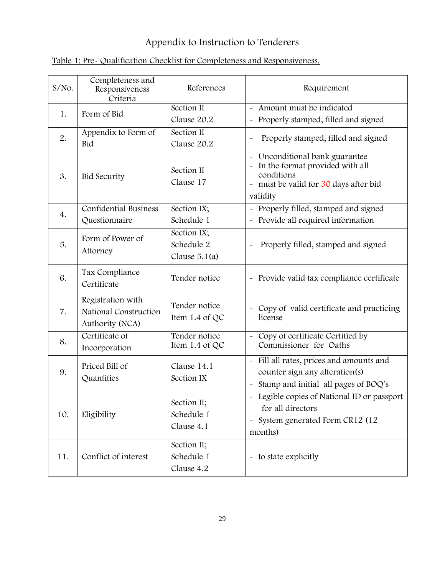# Appendix to Instruction to Tenderers

| S/No. | Completeness and<br>Responsiveness<br>Criteria                | References                                   | Requirement                                                                                                                          |
|-------|---------------------------------------------------------------|----------------------------------------------|--------------------------------------------------------------------------------------------------------------------------------------|
| 1.    | Form of Bid                                                   | Section II<br>Clause 20.2                    | - Amount must be indicated<br>Properly stamped, filled and signed<br>$\sim$                                                          |
| 2.    | Appendix to Form of<br>Bid                                    | Section II<br>Clause 20.2                    | Properly stamped, filled and signed                                                                                                  |
| 3.    | <b>Bid Security</b>                                           | Section II<br>Clause 17                      | - Unconditional bank guarantee<br>In the format provided with all<br>conditions<br>- must be valid for 30 days after bid<br>validity |
| 4.    | <b>Confidential Business</b><br>Questionnaire                 | Section IX;<br>Schedule 1                    | - Properly filled, stamped and signed<br>- Provide all required information                                                          |
| 5.    | Form of Power of<br>Attorney                                  | Section IX;<br>Schedule 2<br>Clause $5.1(a)$ | Properly filled, stamped and signed                                                                                                  |
| 6.    | Tax Compliance<br>Certificate                                 | Tender notice                                | - Provide valid tax compliance certificate                                                                                           |
| 7.    | Registration with<br>National Construction<br>Authority (NCA) | Tender notice<br>Item $1.4$ of QC            | - Copy of valid certificate and practicing<br>license                                                                                |
| 8.    | Certificate of<br>Incorporation                               | Tender notice<br>Item $1.4$ of QC            | Copy of certificate Certified by<br>Commissioner for Oaths                                                                           |
| 9.    | Priced Bill of<br>Quantities                                  | Clause 14.1<br>Section IX                    | - Fill all rates, prices and amounts and<br>counter sign any alteration(s)<br>Stamp and initial all pages of BOQ's                   |
| 10.   | Eligibility                                                   | Section II;<br>Schedule 1<br>Clause 4.1      | - Legible copies of National ID or passport<br>for all directors<br>- System generated Form CR12 (12<br>months)                      |
| 11.   | Conflict of interest                                          | Section II;<br>Schedule 1<br>Clause 4.2      | - to state explicitly                                                                                                                |

# Table 1: Pre- Qualification Checklist for Completeness and Responsiveness.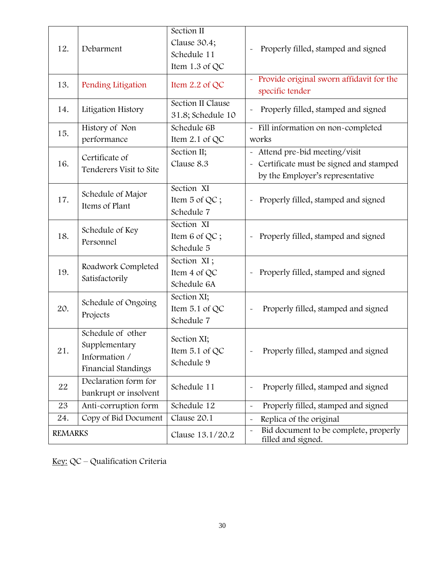|                |                         | Section II                             |                                                                                      |
|----------------|-------------------------|----------------------------------------|--------------------------------------------------------------------------------------|
| 12.            | Debarment               | Clause 30.4;<br>Schedule 11            | Properly filled, stamped and signed                                                  |
|                |                         | Item 1.3 of QC                         |                                                                                      |
|                |                         |                                        | - Provide original sworn affidavit for the                                           |
| 13.            | Pending Litigation      | Item 2.2 of QC                         | specific tender                                                                      |
| 14.            | Litigation History      | Section II Clause<br>31.8; Schedule 10 | Properly filled, stamped and signed                                                  |
|                | History of Non          | Schedule 6B                            | - Fill information on non-completed                                                  |
| 15.            | performance             | Item $2.1$ of QC                       | works                                                                                |
|                |                         | Section II;                            | - Attend pre-bid meeting/visit                                                       |
| 16.            | Certificate of          | Clause 8.3                             | Certificate must be signed and stamped                                               |
|                | Tenderers Visit to Site |                                        | by the Employer's representative                                                     |
|                |                         | Section XI                             |                                                                                      |
| 17.            | Schedule of Major       | Item 5 of QC;                          | Properly filled, stamped and signed                                                  |
|                | Items of Plant          | Schedule 7                             |                                                                                      |
|                |                         | Section XI                             |                                                                                      |
| 18.            | Schedule of Key         | Item 6 of QC;                          | Properly filled, stamped and signed                                                  |
|                | Personnel               | Schedule 5                             |                                                                                      |
|                |                         | Section XI;                            |                                                                                      |
| 19.            | Roadwork Completed      | Item 4 of QC                           |                                                                                      |
|                | Satisfactorily          |                                        | Properly filled, stamped and signed                                                  |
|                |                         | Schedule 6A                            |                                                                                      |
|                | Schedule of Ongoing     | Section XI;                            |                                                                                      |
| 20.            | Projects                | Item 5.1 of QC                         | Properly filled, stamped and signed                                                  |
|                |                         | Schedule 7                             |                                                                                      |
|                | Schedule of other       | Section XI;                            |                                                                                      |
| 21.            | Supplementary           | Item $5.1$ of QC                       | Properly filled, stamped and signed                                                  |
|                | Information /           | Schedule 9                             |                                                                                      |
|                | Financial Standings     |                                        |                                                                                      |
| 22             | Declaration form for    | Schedule 11                            | Properly filled, stamped and signed<br>$\tilde{}$                                    |
|                | bankrupt or insolvent   |                                        |                                                                                      |
| 23             | Anti-corruption form    | Schedule 12                            | Properly filled, stamped and signed<br>$\tilde{}$                                    |
| 24.            | Copy of Bid Document    | Clause 20.1                            | Replica of the original<br>$\tilde{}$                                                |
| <b>REMARKS</b> |                         | Clause 13.1/20.2                       | Bid document to be complete, properly<br>$\tilde{\phantom{a}}$<br>filled and signed. |

Key: QC – Qualification Criteria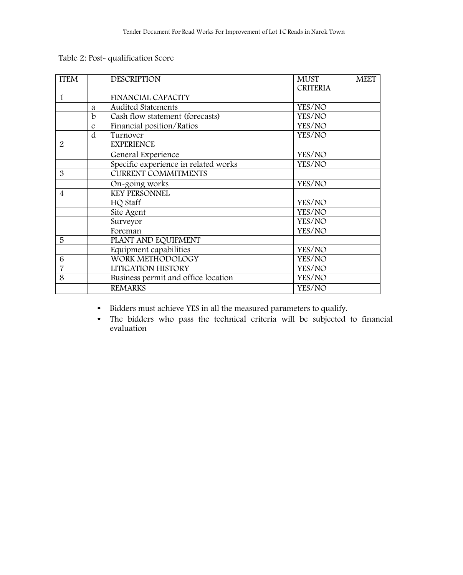|  | Table 2: Post-qualification Score |
|--|-----------------------------------|
|  |                                   |

| <b>ITEM</b>    |               | <b>DESCRIPTION</b>                   | <b>MUST</b>     | <b>MEET</b> |
|----------------|---------------|--------------------------------------|-----------------|-------------|
|                |               |                                      | <b>CRITERIA</b> |             |
| $\mathbf{1}$   |               | FINANCIAL CAPACITY                   |                 |             |
|                | a             | <b>Audited Statements</b>            | YES/NO          |             |
|                | b             | Cash flow statement (forecasts)      | YES/NO          |             |
|                | $\mathcal{C}$ | Financial position/Ratios            | YES/NO          |             |
|                | d             | Turnover                             | YES/NO          |             |
| $\overline{2}$ |               | <b>EXPERIENCE</b>                    |                 |             |
|                |               | General Experience                   | YES/NO          |             |
|                |               | Specific experience in related works | YES/NO          |             |
| 3              |               | <b>CURRENT COMMITMENTS</b>           |                 |             |
|                |               | On-going works                       | YES/NO          |             |
| $\overline{4}$ |               | <b>KEY PERSONNEL</b>                 |                 |             |
|                |               | HQ Staff                             | YES/NO          |             |
|                |               | Site Agent                           | YES/NO          |             |
|                |               | Surveyor                             | YES/NO          |             |
|                |               | Foreman                              | YES/NO          |             |
| 5              |               | PLANT AND EQUIPMENT                  |                 |             |
|                |               | Equipment capabilities               | YES/NO          |             |
| 6              |               | WORK METHODOLOGY                     | YES/NO          |             |
| $\overline{7}$ |               | LITIGATION HISTORY                   | YES/NO          |             |
| 8              |               | Business permit and office location  | YES/NO          |             |
|                |               | <b>REMARKS</b>                       | YES/NO          |             |

• Bidders must achieve YES in all the measured parameters to qualify.

• The bidders who pass the technical criteria will be subjected to financial evaluation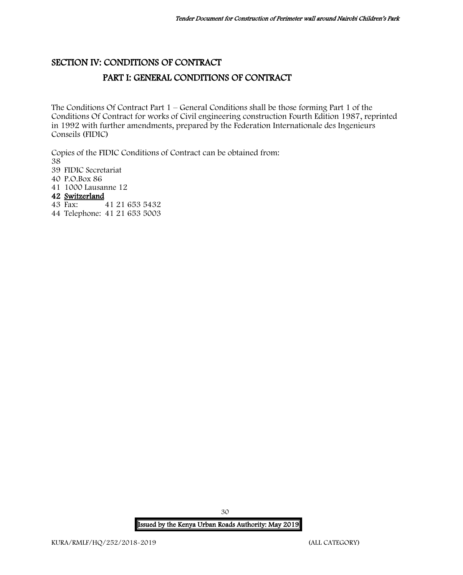# <span id="page-29-0"></span>SECTION IV: CONDITIONS OF CONTRACT PART I: GENERAL CONDITIONS OF CONTRACT

The Conditions Of Contract Part 1 – General Conditions shall be those forming Part 1 of the Conditions Of Contract for works of Civil engineering construction Fourth Edition 1987, reprinted in 1992 with further amendments, prepared by the Federation Internationale des Ingenieurs Conseils (FIDIC)

Copies of the FIDIC Conditions of Contract can be obtained from: 38 39 FIDIC Secretariat 40 P.O.Box 86 41 1000 Lausanne 12

# 42 Switzerland<br>43 Fax:

43 Fax: 41 21 653 5432 44 Telephone: 41 21 653 5003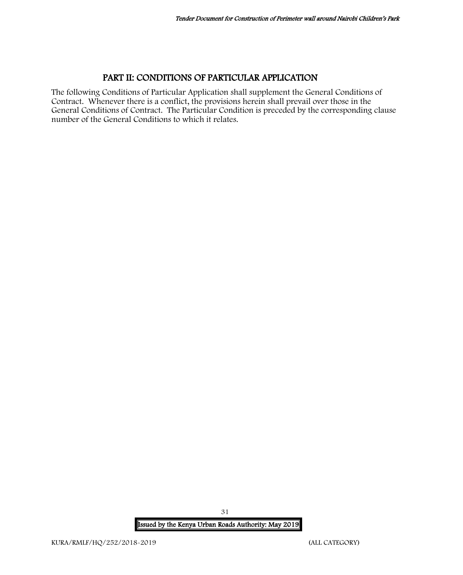# PART II: CONDITIONS OF PARTICULAR APPLICATION

<span id="page-30-0"></span>The following Conditions of Particular Application shall supplement the General Conditions of Contract. Whenever there is a conflict, the provisions herein shall prevail over those in the General Conditions of Contract. The Particular Condition is preceded by the corresponding clause number of the General Conditions to which it relates.

31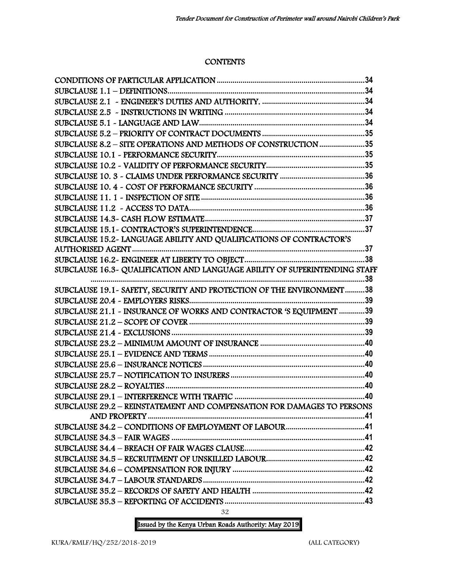#### **CONTENTS**

| SUBCLAUSE 8.2 - SITE OPERATIONS AND METHODS OF CONSTRUCTION 35             |  |
|----------------------------------------------------------------------------|--|
|                                                                            |  |
|                                                                            |  |
|                                                                            |  |
|                                                                            |  |
|                                                                            |  |
|                                                                            |  |
|                                                                            |  |
|                                                                            |  |
| SUBCLAUSE 15.2- LANGUAGE ABILITY AND QUALIFICATIONS OF CONTRACTOR'S        |  |
|                                                                            |  |
|                                                                            |  |
| SUBCLAUSE 16.3~ QUALIFICATION AND LANGUAGE ABILITY OF SUPERINTENDING STAFF |  |
|                                                                            |  |
| SUBCLAUSE 19.1~ SAFETY, SECURITY AND PROTECTION OF THE ENVIRONMENT38       |  |
|                                                                            |  |
| SUBCLAUSE 21.1 - INSURANCE OF WORKS AND CONTRACTOR 'S EQUIPMENT 39         |  |
|                                                                            |  |
|                                                                            |  |
|                                                                            |  |
|                                                                            |  |
|                                                                            |  |
|                                                                            |  |
|                                                                            |  |
|                                                                            |  |
| SUBCLAUSE 29.2 - REINSTATEMENT AND COMPENSATION FOR DAMAGES TO PERSONS     |  |
|                                                                            |  |
|                                                                            |  |
|                                                                            |  |
|                                                                            |  |
|                                                                            |  |
|                                                                            |  |
|                                                                            |  |
|                                                                            |  |
|                                                                            |  |

32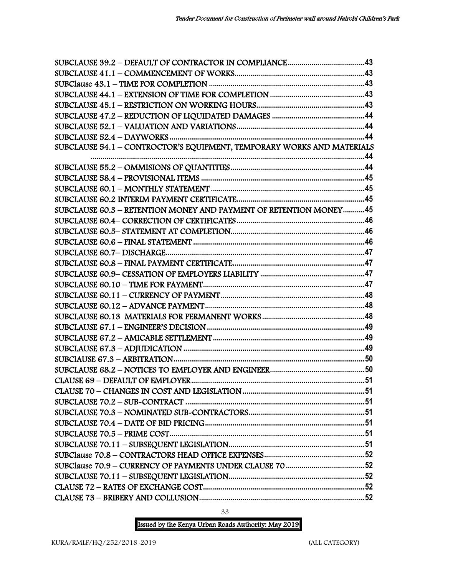| SUBCLAUSE 54.1 - CONTROCTOR'S EQUIPMENT, TEMPORARY WORKS AND MATERIALS |  |
|------------------------------------------------------------------------|--|
|                                                                        |  |
|                                                                        |  |
|                                                                        |  |
|                                                                        |  |
|                                                                        |  |
| SUBCLAUSE 60.3 - RETENTION MONEY AND PAYMENT OF RETENTION MONEY45      |  |
|                                                                        |  |
|                                                                        |  |
|                                                                        |  |
|                                                                        |  |
|                                                                        |  |
|                                                                        |  |
|                                                                        |  |
|                                                                        |  |
|                                                                        |  |
|                                                                        |  |
|                                                                        |  |
|                                                                        |  |
|                                                                        |  |
|                                                                        |  |
|                                                                        |  |
|                                                                        |  |
|                                                                        |  |
|                                                                        |  |
|                                                                        |  |
|                                                                        |  |
|                                                                        |  |
|                                                                        |  |
|                                                                        |  |
|                                                                        |  |
|                                                                        |  |
|                                                                        |  |
|                                                                        |  |

33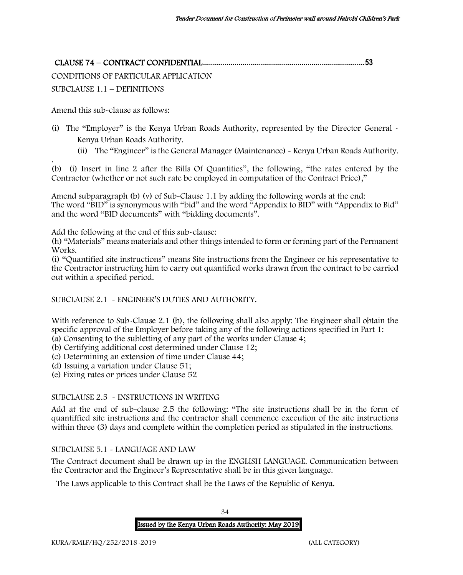|--|

CONDITIONS OF PARTICULAR APPLICATION

SUBCLAUSE 1.1 – DEFINITIONS

Amend this sub-clause as follows:

- (i) The "Employer" is the Kenya Urban Roads Authority, represented by the Director General Kenya Urban Roads Authority.
	- (ii) The "Engineer" is the General Manager (Maintenance) Kenya Urban Roads Authority.

. (b) (i) Insert in line 2 after the Bills Of Quantities", the following, "the rates entered by the Contractor (whether or not such rate be employed in computation of the Contract Price),"

Amend subparagraph (b) (v) of Sub-Clause 1.1 by adding the following words at the end: The word "BID" is synonymous with "bid" and the word "Appendix to BID" with "Appendix to Bid" and the word "BID documents" with "bidding documents".

Add the following at the end of this sub-clause:

(h) "Materials" means materials and other things intended to form or forming part of the Permanent Works.

(i) "Quantified site instructions" means Site instructions from the Engineer or his representative to the Contractor instructing him to carry out quantified works drawn from the contract to be carried out within a specified period.

SUBCLAUSE 2.1 - ENGINEER'S DUTIES AND AUTHORITY.

With reference to Sub-Clause 2.1 (b), the following shall also apply: The Engineer shall obtain the specific approval of the Employer before taking any of the following actions specified in Part 1:

(a) Consenting to the subletting of any part of the works under Clause 4;

(b) Certifying additional cost determined under Clause 12;

(c) Determining an extension of time under Clause 44;

(d) Issuing a variation under Clause 51;

(e) Fixing rates or prices under Clause 52

#### SUBCLAUSE 2.5 - INSTRUCTIONS IN WRITING

Add at the end of sub-clause 2.5 the following: "The site instructions shall be in the form of quantiffied site instructions and the contractor shall commence execution of the site instructions within three (3) days and complete within the completion period as stipulated in the instructions.

#### SUBCLAUSE 5.1 - LANGUAGE AND LAW

The Contract document shall be drawn up in the ENGLISH LANGUAGE. Communication between the Contractor and the Engineer's Representative shall be in this given language.

The Laws applicable to this Contract shall be the Laws of the Republic of Kenya.

34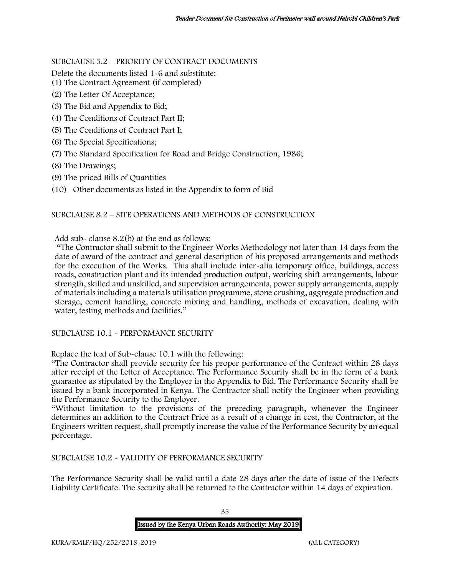#### SUBCLAUSE 5.2 – PRIORITY OF CONTRACT DOCUMENTS

Delete the documents listed 1-6 and substitute:

- (1) The Contract Agreement (if completed)
- (2) The Letter Of Acceptance;
- (3) The Bid and Appendix to Bid;
- (4) The Conditions of Contract Part II;
- (5) The Conditions of Contract Part I;
- (6) The Special Specifications;
- (7) The Standard Specification for Road and Bridge Construction, 1986;
- (8) The Drawings;
- (9) The priced Bills of Quantities
- (10) Other documents as listed in the Appendix to form of Bid

## SUBCLAUSE 8.2 – SITE OPERATIONS AND METHODS OF CONSTRUCTION

Add sub- clause 8.2(b) at the end as follows:

"The Contractor shall submit to the Engineer Works Methodology not later than 14 days from the date of award of the contract and general description of his proposed arrangements and methods for the execution of the Works. This shall include inter-alia temporary office, buildings, access roads, construction plant and its intended production output, working shift arrangements, labour strength, skilled and unskilled, and supervision arrangements, power supply arrangements, supply of materials including a materials utilisation programme, stone crushing, aggregate production and storage, cement handling, concrete mixing and handling, methods of excavation, dealing with water, testing methods and facilities."

SUBCLAUSE 10.1 - PERFORMANCE SECURITY

Replace the text of Sub-clause 10.1 with the following:

"The Contractor shall provide security for his proper performance of the Contract within 28 days after receipt of the Letter of Acceptance. The Performance Security shall be in the form of a bank guarantee as stipulated by the Employer in the Appendix to Bid. The Performance Security shall be issued by a bank incorporated in Kenya. The Contractor shall notify the Engineer when providing the Performance Security to the Employer.

"Without limitation to the provisions of the preceding paragraph, whenever the Engineer determines an addition to the Contract Price as a result of a change in cost, the Contractor, at the Engineers written request, shall promptly increase the value of the Performance Security by an equal percentage.

SUBCLAUSE 10.2 - VALIDITY OF PERFORMANCE SECURITY

The Performance Security shall be valid until a date 28 days after the date of issue of the Defects Liability Certificate. The security shall be returned to the Contractor within 14 days of expiration.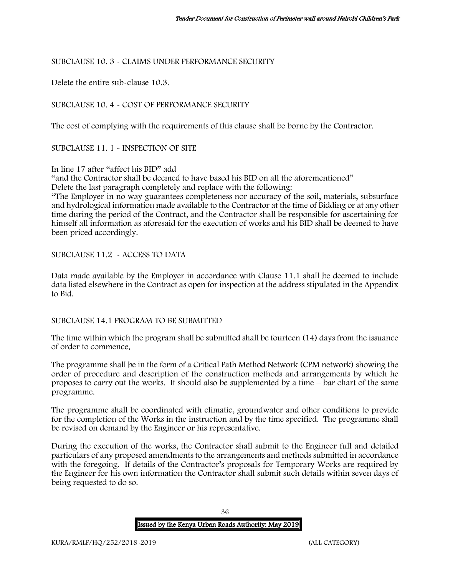#### SUBCLAUSE 10. 3 - CLAIMS UNDER PERFORMANCE SECURITY

Delete the entire sub-clause 10.3.

#### SUBCLAUSE 10. 4 - COST OF PERFORMANCE SECURITY

The cost of complying with the requirements of this clause shall be borne by the Contractor.

SUBCLAUSE 11. 1 - INSPECTION OF SITE

In line 17 after "affect his BID" add

"and the Contractor shall be deemed to have based his BID on all the aforementioned" Delete the last paragraph completely and replace with the following:

"The Employer in no way guarantees completeness nor accuracy of the soil, materials, subsurface and hydrological information made available to the Contractor at the time of Bidding or at any other time during the period of the Contract, and the Contractor shall be responsible for ascertaining for himself all information as aforesaid for the execution of works and his BID shall be deemed to have been priced accordingly.

SUBCLAUSE 11.2 - ACCESS TO DATA

Data made available by the Employer in accordance with Clause 11.1 shall be deemed to include data listed elsewhere in the Contract as open for inspection at the address stipulated in the Appendix to Bid.

SUBCLAUSE 14.1 PROGRAM TO BE SUBMITTED

The time within which the program shall be submitted shall be fourteen (14) days from the issuance of order to commence.

The programme shall be in the form of a Critical Path Method Network (CPM network) showing the order of procedure and description of the construction methods and arrangements by which he proposes to carry out the works. It should also be supplemented by a time – bar chart of the same programme.

The programme shall be coordinated with climatic, groundwater and other conditions to provide for the completion of the Works in the instruction and by the time specified. The programme shall be revised on demand by the Engineer or his representative.

During the execution of the works, the Contractor shall submit to the Engineer full and detailed particulars of any proposed amendments to the arrangements and methods submitted in accordance with the foregoing. If details of the Contractor's proposals for Temporary Works are required by the Engineer for his own information the Contractor shall submit such details within seven days of being requested to do so.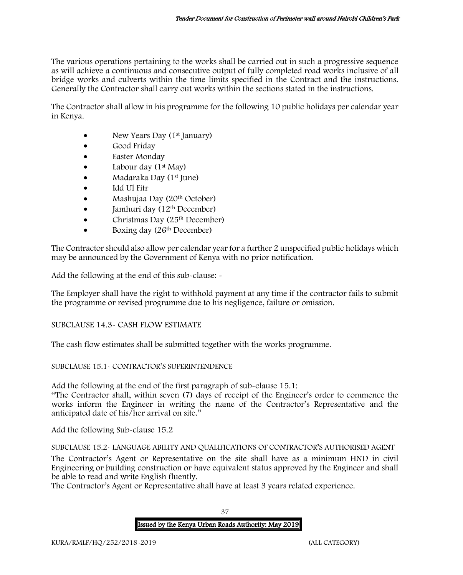The various operations pertaining to the works shall be carried out in such a progressive sequence as will achieve a continuous and consecutive output of fully completed road works inclusive of all bridge works and culverts within the time limits specified in the Contract and the instructions. Generally the Contractor shall carry out works within the sections stated in the instructions.

The Contractor shall allow in his programme for the following 10 public holidays per calendar year in Kenya.

- New Years Day (1st January)
- Good Friday
- Easter Monday
- Labour day  $(1<sup>st</sup> May)$
- Madaraka Day (1st June)
- Idd Ul Fitr
- Mashujaa Day (20th October)
- Jamhuri day (12th December)
- Christmas Day (25<sup>th</sup> December)
- Boxing day (26th December)

The Contractor should also allow per calendar year for a further 2 unspecified public holidays which may be announced by the Government of Kenya with no prior notification.

Add the following at the end of this sub-clause: -

The Employer shall have the right to withhold payment at any time if the contractor fails to submit the programme or revised programme due to his negligence, failure or omission.

# SUBCLAUSE 14.3- CASH FLOW ESTIMATE

The cash flow estimates shall be submitted together with the works programme.

### SUBCLAUSE 15.1- CONTRACTOR'S SUPERINTENDENCE

Add the following at the end of the first paragraph of sub-clause 15.1:

"The Contractor shall, within seven (7) days of receipt of the Engineer's order to commence the works inform the Engineer in writing the name of the Contractor's Representative and the anticipated date of his/her arrival on site."

Add the following Sub-clause 15.2

SUBCLAUSE 15.2- LANGUAGE ABILITY AND QUALIFICATIONS OF CONTRACTOR'S AUTHORISED AGENT

The Contractor's Agent or Representative on the site shall have as a minimum HND in civil Engineering or building construction or have equivalent status approved by the Engineer and shall be able to read and write English fluently.

The Contractor's Agent or Representative shall have at least 3 years related experience.

37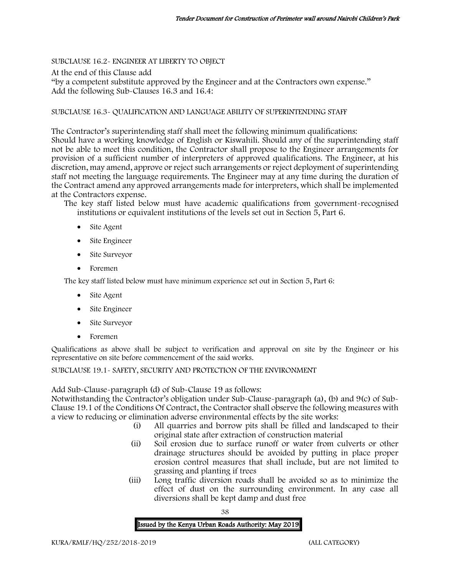SUBCLAUSE 16.2- ENGINEER AT LIBERTY TO OBJECT

At the end of this Clause add

"by a competent substitute approved by the Engineer and at the Contractors own expense." Add the following Sub-Clauses 16.3 and 16.4:

### SUBCLAUSE 16.3- QUALIFICATION AND LANGUAGE ABILITY OF SUPERINTENDING STAFF

The Contractor's superintending staff shall meet the following minimum qualifications: Should have a working knowledge of English or Kiswahili. Should any of the superintending staff not be able to meet this condition, the Contractor shall propose to the Engineer arrangements for provision of a sufficient number of interpreters of approved qualifications. The Engineer, at his discretion, may amend, approve or reject such arrangements or reject deployment of superintending staff not meeting the language requirements. The Engineer may at any time during the duration of the Contract amend any approved arrangements made for interpreters, which shall be implemented at the Contractors expense.

The key staff listed below must have academic qualifications from government-recognised institutions or equivalent institutions of the levels set out in Section 5, Part 6.

- Site Agent
- Site Engineer
- Site Surveyor
- Foremen

The key staff listed below must have minimum experience set out in Section 5, Part 6:

- Site Agent
- Site Engineer
- Site Surveyor
- Foremen

Qualifications as above shall be subject to verification and approval on site by the Engineer or his representative on site before commencement of the said works.

SUBCLAUSE 19.1- SAFETY, SECURITY AND PROTECTION OF THE ENVIRONMENT

Add Sub-Clause-paragraph (d) of Sub-Clause 19 as follows:

Notwithstanding the Contractor's obligation under Sub-Clause-paragraph (a), (b) and 9(c) of Sub-Clause 19.1 of the Conditions Of Contract, the Contractor shall observe the following measures with a view to reducing or elimination adverse environmental effects by the site works:

- (i) All quarries and borrow pits shall be filled and landscaped to their original state after extraction of construction material
- (ii) Soil erosion due to surface runoff or water from culverts or other drainage structures should be avoided by putting in place proper erosion control measures that shall include, but are not limited to grassing and planting if trees
- (iii) Long traffic diversion roads shall be avoided so as to minimize the effect of dust on the surrounding environment. In any case all diversions shall be kept damp and dust free

38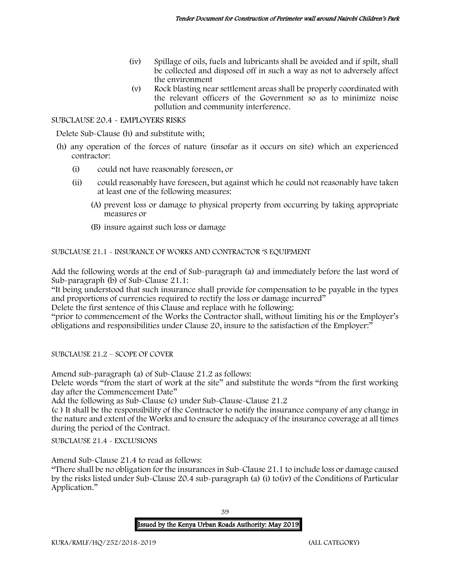- (iv) Spillage of oils, fuels and lubricants shall be avoided and if spilt, shall be collected and disposed off in such a way as not to adversely affect the environment
- (v) Rock blasting near settlement areas shall be properly coordinated with the relevant officers of the Government so as to minimize noise pollution and community interference.

### SUBCLAUSE 20.4 - EMPLOYERS RISKS

Delete Sub-Clause (h) and substitute with;

- (h) any operation of the forces of nature (insofar as it occurs on site) which an experienced contractor:
	- (i) could not have reasonably foreseen, or
	- (ii) could reasonably have foreseen, but against which he could not reasonably have taken at least one of the following measures:
		- (A) prevent loss or damage to physical property from occurring by taking appropriate measures or
		- (B) insure against such loss or damage

### SUBCLAUSE 21.1 - INSURANCE OF WORKS AND CONTRACTOR 'S EQUIPMENT

Add the following words at the end of Sub-paragraph (a) and immediately before the last word of Sub-paragraph (b) of Sub-Clause 21.1:

"It being understood that such insurance shall provide for compensation to be payable in the types and proportions of currencies required to rectify the loss or damage incurred"

Delete the first sentence of this Clause and replace with he following:

"prior to commencement of the Works the Contractor shall, without limiting his or the Employer's obligations and responsibilities under Clause 20, insure to the satisfaction of the Employer:"

SUBCLAUSE 21.2 – SCOPE OF COVER

Amend sub-paragraph (a) of Sub-Clause 21.2 as follows:

Delete words "from the start of work at the site" and substitute the words "from the first working day after the Commencement Date"

Add the following as Sub-Clause (c) under Sub-Clause-Clause 21.2

(c ) It shall be the responsibility of the Contractor to notify the insurance company of any change in the nature and extent of the Works and to ensure the adequacy of the insurance coverage at all times during the period of the Contract.

SUBCLAUSE 21.4 - EXCLUSIONS

Amend Sub-Clause 21.4 to read as follows:

"There shall be no obligation for the insurances in Sub-Clause 21.1 to include loss or damage caused by the risks listed under Sub-Clause 20.4 sub-paragraph (a) (i) to(iv) of the Conditions of Particular Application."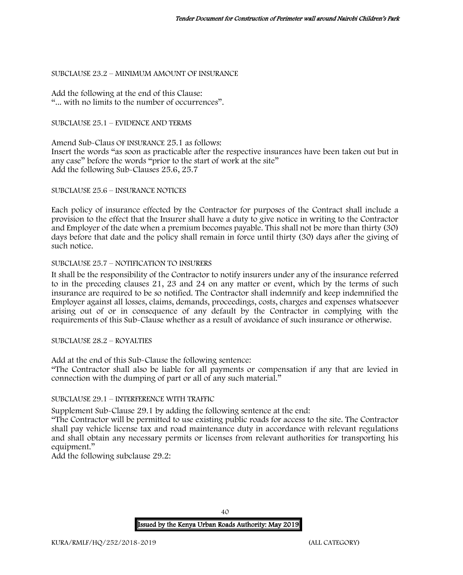#### SUBCLAUSE 23.2 – MINIMUM AMOUNT OF INSURANCE

Add the following at the end of this Clause: "... with no limits to the number of occurrences".

#### SUBCLAUSE 25.1 – EVIDENCE AND TERMS

Amend Sub-Claus OF INSURANCE 25.1 as follows: Insert the words "as soon as practicable after the respective insurances have been taken out but in any case" before the words "prior to the start of work at the site" Add the following Sub-Clauses 25.6, 25.7

#### SUBCLAUSE 25.6 – INSURANCE NOTICES

Each policy of insurance effected by the Contractor for purposes of the Contract shall include a provision to the effect that the Insurer shall have a duty to give notice in writing to the Contractor and Employer of the date when a premium becomes payable. This shall not be more than thirty (30) days before that date and the policy shall remain in force until thirty (30) days after the giving of such notice.

#### SUBCLAUSE 25.7 – NOTIFICATION TO INSURERS

It shall be the responsibility of the Contractor to notify insurers under any of the insurance referred to in the preceding clauses 21, 23 and 24 on any matter or event, which by the terms of such insurance are required to be so notified. The Contractor shall indemnify and keep indemnified the Employer against all losses, claims, demands, proceedings, costs, charges and expenses whatsoever arising out of or in consequence of any default by the Contractor in complying with the requirements of this Sub-Clause whether as a result of avoidance of such insurance or otherwise.

#### SUBCLAUSE 28.2 – ROYALTIES

Add at the end of this Sub-Clause the following sentence:

"The Contractor shall also be liable for all payments or compensation if any that are levied in connection with the dumping of part or all of any such material."

### SUBCLAUSE 29.1 – INTERFERENCE WITH TRAFFIC

Supplement Sub-Clause 29.1 by adding the following sentence at the end:

"The Contractor will be permitted to use existing public roads for access to the site. The Contractor shall pay vehicle license tax and road maintenance duty in accordance with relevant regulations and shall obtain any necessary permits or licenses from relevant authorities for transporting his equipment."

Add the following subclause 29.2:

40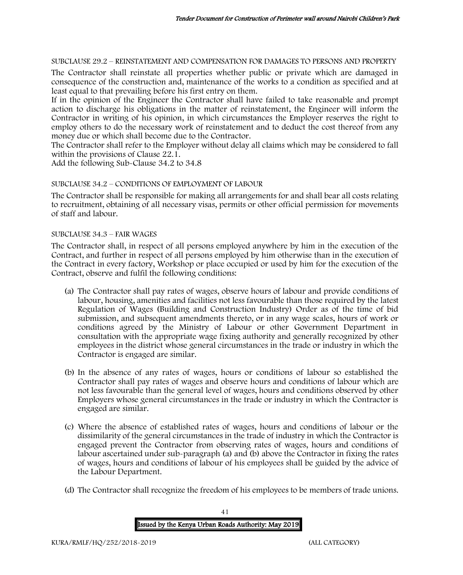#### SUBCLAUSE 29.2 – REINSTATEMENT AND COMPENSATION FOR DAMAGES TO PERSONS AND PROPERTY

The Contractor shall reinstate all properties whether public or private which are damaged in consequence of the construction and, maintenance of the works to a condition as specified and at least equal to that prevailing before his first entry on them.

If in the opinion of the Engineer the Contractor shall have failed to take reasonable and prompt action to discharge his obligations in the matter of reinstatement, the Engineer will inform the Contractor in writing of his opinion, in which circumstances the Employer reserves the right to employ others to do the necessary work of reinstatement and to deduct the cost thereof from any money due or which shall become due to the Contractor.

The Contractor shall refer to the Employer without delay all claims which may be considered to fall within the provisions of Clause 22.1.

Add the following Sub-Clause 34.2 to 34.8

### SUBCLAUSE 34.2 – CONDITIONS OF EMPLOYMENT OF LABOUR

The Contractor shall be responsible for making all arrangements for and shall bear all costs relating to recruitment, obtaining of all necessary visas, permits or other official permission for movements of staff and labour.

### SUBCLAUSE 34.3 – FAIR WAGES

The Contractor shall, in respect of all persons employed anywhere by him in the execution of the Contract, and further in respect of all persons employed by him otherwise than in the execution of the Contract in every factory, Workshop or place occupied or used by him for the execution of the Contract, observe and fulfil the following conditions:

- (a) The Contractor shall pay rates of wages, observe hours of labour and provide conditions of labour, housing, amenities and facilities not less favourable than those required by the latest Regulation of Wages (Building and Construction Industry) Order as of the time of bid submission, and subsequent amendments thereto, or in any wage scales, hours of work or conditions agreed by the Ministry of Labour or other Government Department in consultation with the appropriate wage fixing authority and generally recognized by other employees in the district whose general circumstances in the trade or industry in which the Contractor is engaged are similar.
- (b) In the absence of any rates of wages, hours or conditions of labour so established the Contractor shall pay rates of wages and observe hours and conditions of labour which are not less favourable than the general level of wages, hours and conditions observed by other Employers whose general circumstances in the trade or industry in which the Contractor is engaged are similar.
- (c) Where the absence of established rates of wages, hours and conditions of labour or the dissimilarity of the general circumstances in the trade of industry in which the Contractor is engaged prevent the Contractor from observing rates of wages, hours and conditions of labour ascertained under sub-paragraph (a) and (b) above the Contractor in fixing the rates of wages, hours and conditions of labour of his employees shall be guided by the advice of the Labour Department.
- (d) The Contractor shall recognize the freedom of his employees to be members of trade unions.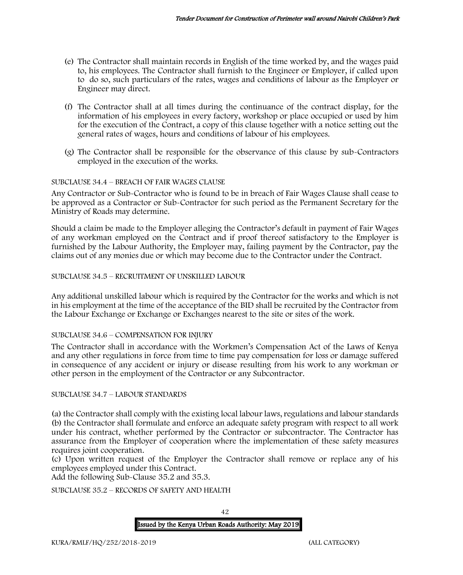- (e) The Contractor shall maintain records in English of the time worked by, and the wages paid to, his employees. The Contractor shall furnish to the Engineer or Employer, if called upon to do so, such particulars of the rates, wages and conditions of labour as the Employer or Engineer may direct.
- (f) The Contractor shall at all times during the continuance of the contract display, for the information of his employees in every factory, workshop or place occupied or used by him for the execution of the Contract, a copy of this clause together with a notice setting out the general rates of wages, hours and conditions of labour of his employees.
- (g) The Contractor shall be responsible for the observance of this clause by sub-Contractors employed in the execution of the works.

# SUBCLAUSE 34.4 – BREACH OF FAIR WAGES CLAUSE

Any Contractor or Sub-Contractor who is found to be in breach of Fair Wages Clause shall cease to be approved as a Contractor or Sub-Contractor for such period as the Permanent Secretary for the Ministry of Roads may determine.

Should a claim be made to the Employer alleging the Contractor's default in payment of Fair Wages of any workman employed on the Contract and if proof thereof satisfactory to the Employer is furnished by the Labour Authority, the Employer may, failing payment by the Contractor, pay the claims out of any monies due or which may become due to the Contractor under the Contract.

### SUBCLAUSE 34.5 – RECRUITMENT OF UNSKILLED LABOUR

Any additional unskilled labour which is required by the Contractor for the works and which is not in his employment at the time of the acceptance of the BID shall be recruited by the Contractor from the Labour Exchange or Exchange or Exchanges nearest to the site or sites of the work.

### SUBCLAUSE 34.6 – COMPENSATION FOR INJURY

The Contractor shall in accordance with the Workmen's Compensation Act of the Laws of Kenya and any other regulations in force from time to time pay compensation for loss or damage suffered in consequence of any accident or injury or disease resulting from his work to any workman or other person in the employment of the Contractor or any Subcontractor.

### SUBCLAUSE 34.7 – LABOUR STANDARDS

(a) the Contractor shall comply with the existing local labour laws, regulations and labour standards (b) the Contractor shall formulate and enforce an adequate safety program with respect to all work under his contract, whether performed by the Contractor or subcontractor. The Contractor has assurance from the Employer of cooperation where the implementation of these safety measures requires joint cooperation.

(c) Upon written request of the Employer the Contractor shall remove or replace any of his employees employed under this Contract.

Add the following Sub-Clause 35.2 and 35.3.

SUBCLAUSE 35.2 – RECORDS OF SAFETY AND HEALTH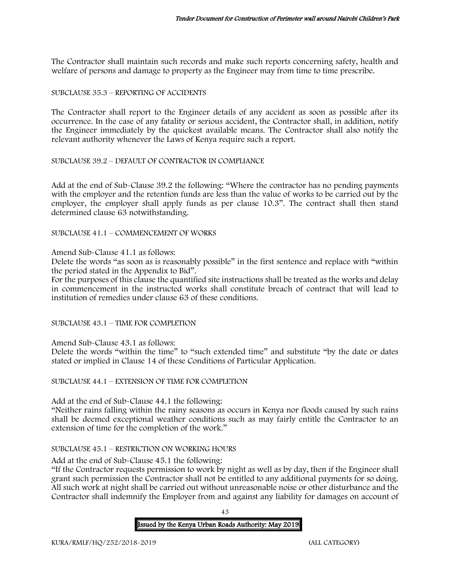The Contractor shall maintain such records and make such reports concerning safety, health and welfare of persons and damage to property as the Engineer may from time to time prescribe.

#### SUBCLAUSE 35.3 – REPORTING OF ACCIDENTS

The Contractor shall report to the Engineer details of any accident as soon as possible after its occurrence. In the case of any fatality or serious accident, the Contractor shall, in addition, notify the Engineer immediately by the quickest available means. The Contractor shall also notify the relevant authority whenever the Laws of Kenya require such a report.

#### SUBCLAUSE 39.2 – DEFAULT OF CONTRACTOR IN COMPLIANCE

Add at the end of Sub-Clause 39.2 the following: "Where the contractor has no pending payments with the employer and the retention funds are less than the value of works to be carried out by the employer, the employer shall apply funds as per clause 10.3". The contract shall then stand determined clause 63 notwithstanding.

### SUBCLAUSE 41.1 – COMMENCEMENT OF WORKS

Amend Sub-Clause 41.1 as follows:

Delete the words "as soon as is reasonably possible" in the first sentence and replace with "within the period stated in the Appendix to Bid".

For the purposes of this clause the quantified site instructions shall be treated as the works and delay in commencement in the instructed works shall constitute breach of contract that will lead to institution of remedies under clause 63 of these conditions.

#### SUBCLAUSE 43.1 – TIME FOR COMPLETION

Amend Sub-Clause 43.1 as follows:

Delete the words "within the time" to "such extended time" and substitute "by the date or dates stated or implied in Clause 14 of these Conditions of Particular Application.

SUBCLAUSE 44.1 – EXTENSION OF TIME FOR COMPLETION

Add at the end of Sub-Clause 44.1 the following:

"Neither rains falling within the rainy seasons as occurs in Kenya nor floods caused by such rains shall be deemed exceptional weather conditions such as may fairly entitle the Contractor to an extension of time for the completion of the work."

### SUBCLAUSE 45.1 – RESTRICTION ON WORKING HOURS

Add at the end of Sub-Clause 45.1 the following:

"If the Contractor requests permission to work by night as well as by day, then if the Engineer shall grant such permission the Contractor shall not be entitled to any additional payments for so doing. All such work at night shall be carried out without unreasonable noise or other disturbance and the Contractor shall indemnify the Employer from and against any liability for damages on account of

43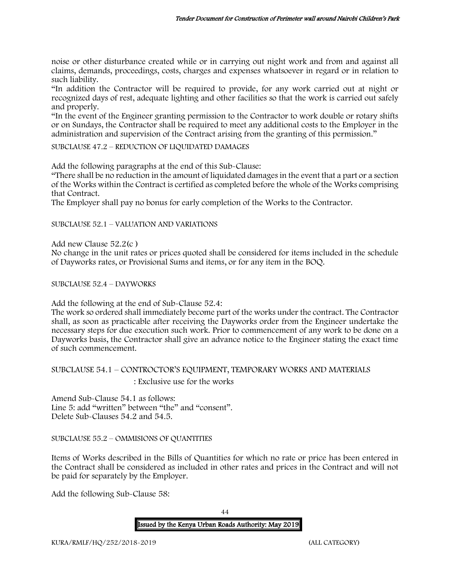noise or other disturbance created while or in carrying out night work and from and against all claims, demands, proceedings, costs, charges and expenses whatsoever in regard or in relation to such liability.

"In addition the Contractor will be required to provide, for any work carried out at night or recognized days of rest, adequate lighting and other facilities so that the work is carried out safely and properly.

"In the event of the Engineer granting permission to the Contractor to work double or rotary shifts or on Sundays, the Contractor shall be required to meet any additional costs to the Employer in the administration and supervision of the Contract arising from the granting of this permission."

SUBCLAUSE 47.2 – REDUCTION OF LIQUIDATED DAMAGES

Add the following paragraphs at the end of this Sub-Clause:

"There shall be no reduction in the amount of liquidated damages in the event that a part or a section of the Works within the Contract is certified as completed before the whole of the Works comprising that Contract.

The Employer shall pay no bonus for early completion of the Works to the Contractor.

SUBCLAUSE 52.1 – VALUATION AND VARIATIONS

Add new Clause 52.2(c )

No change in the unit rates or prices quoted shall be considered for items included in the schedule of Dayworks rates, or Provisional Sums and items, or for any item in the BOQ.

SUBCLAUSE 52.4 – DAYWORKS

Add the following at the end of Sub-Clause 52.4:

The work so ordered shall immediately become part of the works under the contract. The Contractor shall, as soon as practicable after receiving the Dayworks order from the Engineer undertake the necessary steps for due execution such work. Prior to commencement of any work to be done on a Dayworks basis, the Contractor shall give an advance notice to the Engineer stating the exact time of such commencement.

SUBCLAUSE 54.1 – CONTROCTOR'S EQUIPMENT, TEMPORARY WORKS AND MATERIALS : Exclusive use for the works

Amend Sub-Clause 54.1 as follows: Line 5: add "written" between "the" and "consent". Delete Sub-Clauses 54.2 and 54.5.

SUBCLAUSE 55.2 – OMMISIONS OF QUANTITIES

Items of Works described in the Bills of Quantities for which no rate or price has been entered in the Contract shall be considered as included in other rates and prices in the Contract and will not be paid for separately by the Employer.

Add the following Sub-Clause 58: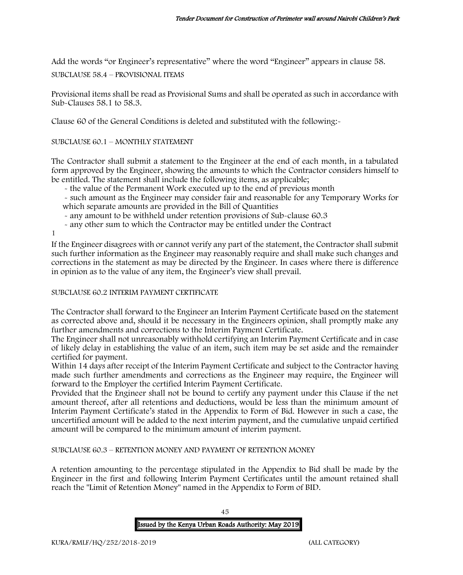Add the words "or Engineer's representative" where the word "Engineer" appears in clause 58.

SUBCLAUSE 58.4 – PROVISIONAL ITEMS

Provisional items shall be read as Provisional Sums and shall be operated as such in accordance with Sub-Clauses 58.1 to 58.3.

Clause 60 of the General Conditions is deleted and substituted with the following:-

SUBCLAUSE 60.1 – MONTHLY STATEMENT

The Contractor shall submit a statement to the Engineer at the end of each month, in a tabulated form approved by the Engineer, showing the amounts to which the Contractor considers himself to be entitled. The statement shall include the following items, as applicable;

- the value of the Permanent Work executed up to the end of previous month

- such amount as the Engineer may consider fair and reasonable for any Temporary Works for which separate amounts are provided in the Bill of Quantities

- any amount to be withheld under retention provisions of Sub-clause 60.3

- any other sum to which the Contractor may be entitled under the Contract

1

If the Engineer disagrees with or cannot verify any part of the statement, the Contractor shall submit such further information as the Engineer may reasonably require and shall make such changes and corrections in the statement as may be directed by the Engineer. In cases where there is difference in opinion as to the value of any item, the Engineer's view shall prevail.

### SUBCLAUSE 60.2 INTERIM PAYMENT CERTIFICATE

The Contractor shall forward to the Engineer an Interim Payment Certificate based on the statement as corrected above and, should it be necessary in the Engineers opinion, shall promptly make any further amendments and corrections to the Interim Payment Certificate.

The Engineer shall not unreasonably withhold certifying an Interim Payment Certificate and in case of likely delay in establishing the value of an item, such item may be set aside and the remainder certified for payment.

Within 14 days after receipt of the Interim Payment Certificate and subject to the Contractor having made such further amendments and corrections as the Engineer may require, the Engineer will forward to the Employer the certified Interim Payment Certificate.

Provided that the Engineer shall not be bound to certify any payment under this Clause if the net amount thereof, after all retentions and deductions, would be less than the minimum amount of Interim Payment Certificate's stated in the Appendix to Form of Bid. However in such a case, the uncertified amount will be added to the next interim payment, and the cumulative unpaid certified amount will be compared to the minimum amount of interim payment.

# SUBCLAUSE 60.3 – RETENTION MONEY AND PAYMENT OF RETENTION MONEY

A retention amounting to the percentage stipulated in the Appendix to Bid shall be made by the Engineer in the first and following Interim Payment Certificates until the amount retained shall reach the "Limit of Retention Money" named in the Appendix to Form of BID.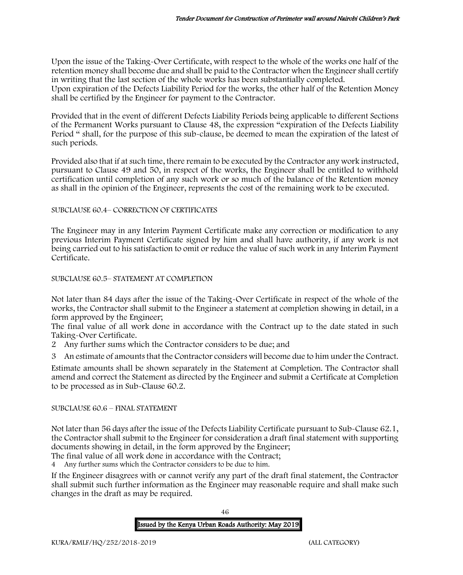Upon the issue of the Taking-Over Certificate, with respect to the whole of the works one half of the retention money shall become due and shall be paid to the Contractor when the Engineer shall certify in writing that the last section of the whole works has been substantially completed.

Upon expiration of the Defects Liability Period for the works, the other half of the Retention Money shall be certified by the Engineer for payment to the Contractor.

Provided that in the event of different Defects Liability Periods being applicable to different Sections of the Permanent Works pursuant to Clause 48, the expression "expiration of the Defects Liability Period " shall, for the purpose of this sub-clause, be deemed to mean the expiration of the latest of such periods.

Provided also that if at such time, there remain to be executed by the Contractor any work instructed, pursuant to Clause 49 and 50, in respect of the works, the Engineer shall be entitled to withhold certification until completion of any such work or so much of the balance of the Retention money as shall in the opinion of the Engineer, represents the cost of the remaining work to be executed.

### SUBCLAUSE 60.4– CORRECTION OF CERTIFICATES

The Engineer may in any Interim Payment Certificate make any correction or modification to any previous Interim Payment Certificate signed by him and shall have authority, if any work is not being carried out to his satisfaction to omit or reduce the value of such work in any Interim Payment Certificate.

### SUBCLAUSE 60.5– STATEMENT AT COMPLETION

Not later than 84 days after the issue of the Taking-Over Certificate in respect of the whole of the works, the Contractor shall submit to the Engineer a statement at completion showing in detail, in a form approved by the Engineer;

The final value of all work done in accordance with the Contract up to the date stated in such Taking-Over Certificate.

2 Any further sums which the Contractor considers to be due; and

3 An estimate of amounts that the Contractor considers will become due to him under the Contract.

Estimate amounts shall be shown separately in the Statement at Completion. The Contractor shall amend and correct the Statement as directed by the Engineer and submit a Certificate at Completion to be processed as in Sub-Clause 60.2.

### SUBCLAUSE 60.6 – FINAL STATEMENT

Not later than 56 days after the issue of the Defects Liability Certificate pursuant to Sub-Clause 62.1, the Contractor shall submit to the Engineer for consideration a draft final statement with supporting documents showing in detail, in the form approved by the Engineer;

The final value of all work done in accordance with the Contract;<br>4 Any further sums which the Contractor considers to be due to him.

Any further sums which the Contractor considers to be due to him.

If the Engineer disagrees with or cannot verify any part of the draft final statement, the Contractor shall submit such further information as the Engineer may reasonable require and shall make such changes in the draft as may be required.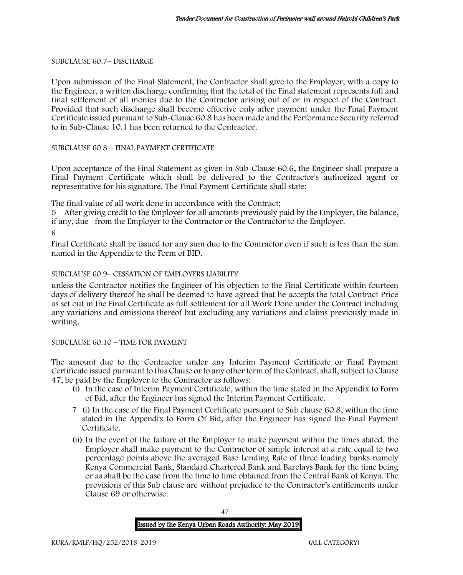#### SUBCLAUSE 60.7– DISCHARGE

Upon submission of the Final Statement, the Contractor shall give to the Employer, with a copy to the Engineer, a written discharge confirming that the total of the Final statement represents full and final settlement of all monies due to the Contractor arising out of or in respect of the Contract. Provided that such discharge shall become effective only after payment under the Final Payment Certificate issued pursuant to Sub-Clause 60.8 has been made and the Performance Security referred to in Sub-Clause 10.1 has been returned to the Contractor.

#### SUBCLAUSE 60.8 – FINAL PAYMENT CERTIFICATE

Upon acceptance of the Final Statement as given in Sub-Clause 60.6, the Engineer shall prepare a Final Payment Certificate which shall be delivered to the Contractor's authorized agent or representative for his signature. The Final Payment Certificate shall state:

The final value of all work done in accordance with the Contract;

5 After giving credit to the Employer for all amounts previously paid by the Employer, the balance, if any, due from the Employer to the Contractor or the Contractor to the Employer.

6

Final Certificate shall be issued for any sum due to the Contractor even if such is less than the sum named in the Appendix to the Form of BID.

#### SUBCLAUSE 60.9– CESSATION OF EMPLOYERS LIABILITY

unless the Contractor notifies the Engineer of his objection to the Final Certificate within fourteen days of delivery thereof he shall be deemed to have agreed that he accepts the total Contract Price as set out in the Final Certificate as full settlement for all Work Done under the Contract including any variations and omissions thereof but excluding any variations and claims previously made in writing.

#### SUBCLAUSE 60.10 – TIME FOR PAYMENT

The amount due to the Contractor under any Interim Payment Certificate or Final Payment Certificate issued pursuant to this Clause or to any other term of the Contract, shall, subject to Clause 47, be paid by the Employer to the Contractor as follows:

- (i) In the case of Interim Payment Certificate, within the time stated in the Appendix to Form of Bid, after the Engineer has signed the Interim Payment Certificate.
- 7 (i) In the case of the Final Payment Certificate pursuant to Sub clause 60.8, within the time stated in the Appendix to Form Of Bid, after the Engineer has signed the Final Payment Certificate.
- (ii) In the event of the failure of the Employer to make payment within the times stated, the Employer shall make payment to the Contractor of simple interest at a rate equal to two percentage points above the averaged Base Lending Rate of three leading banks namely Kenya Commercial Bank, Standard Chartered Bank and Barclays Bank for the time being or as shall be the case from the time to time obtained from the Central Bank of Kenya. The provisions of this Sub clause are without prejudice to the Contractor's entitlements under Clause 69 or otherwise.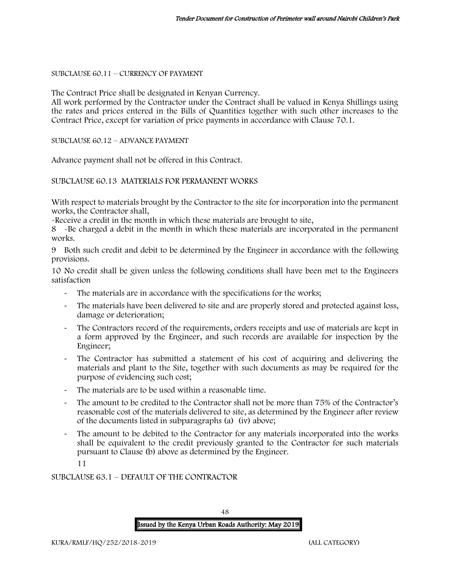SUBCLAUSE 60.11 – CURRENCY OF PAYMENT

The Contract Price shall be designated in Kenyan Currency.

All work performed by the Contractor under the Contract shall be valued in Kenya Shillings using the rates and prices entered in the Bills of Quantities together with such other increases to the Contract Price, except for variation of price payments in accordance with Clause 70.1.

SUBCLAUSE 60.12 – ADVANCE PAYMENT

Advance payment shall not be offered in this Contract.

SUBCLAUSE 60.13 MATERIALS FOR PERMANENT WORKS

With respect to materials brought by the Contractor to the site for incorporation into the permanent works, the Contractor shall,

-Receive a credit in the month in which these materials are brought to site,

8 -Be charged a debit in the month in which these materials are incorporated in the permanent works.

9 Both such credit and debit to be determined by the Engineer in accordance with the following provisions.

10 No credit shall be given unless the following conditions shall have been met to the Engineers satisfaction

- The materials are in accordance with the specifications for the works;
- The materials have been delivered to site and are properly stored and protected against loss, damage or deterioration;
- The Contractors record of the requirements, orders receipts and use of materials are kept in a form approved by the Engineer, and such records are available for inspection by the Engineer;
- The Contractor has submitted a statement of his cost of acquiring and delivering the materials and plant to the Site, together with such documents as may be required for the purpose of evidencing such cost;
- The materials are to be used within a reasonable time.
- The amount to be credited to the Contractor shall not be more than 75% of the Contractor's reasonable cost of the materials delivered to site, as determined by the Engineer after review of the documents listed in subparagraphs (a) (iv) above;
- The amount to be debited to the Contractor for any materials incorporated into the works shall be equivalent to the credit previously granted to the Contractor for such materials pursuant to Clause (b) above as determined by the Engineer.

11

SUBCLAUSE 63.1 – DEFAULT OF THE CONTRACTOR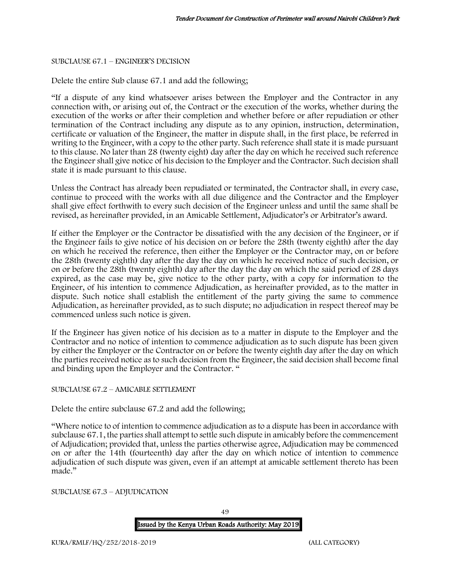### SUBCLAUSE 67.1 – ENGINEER'S DECISION

Delete the entire Sub clause 67.1 and add the following;

"If a dispute of any kind whatsoever arises between the Employer and the Contractor in any connection with, or arising out of, the Contract or the execution of the works, whether during the execution of the works or after their completion and whether before or after repudiation or other termination of the Contract including any dispute as to any opinion, instruction, determination, certificate or valuation of the Engineer, the matter in dispute shall, in the first place, be referred in writing to the Engineer, with a copy to the other party. Such reference shall state it is made pursuant to this clause. No later than 28 (twenty eight) day after the day on which he received such reference the Engineer shall give notice of his decision to the Employer and the Contractor. Such decision shall state it is made pursuant to this clause.

Unless the Contract has already been repudiated or terminated, the Contractor shall, in every case, continue to proceed with the works with all due diligence and the Contractor and the Employer shall give effect forthwith to every such decision of the Engineer unless and until the same shall be revised, as hereinafter provided, in an Amicable Settlement, Adjudicator's or Arbitrator's award.

If either the Employer or the Contractor be dissatisfied with the any decision of the Engineer, or if the Engineer fails to give notice of his decision on or before the 28th (twenty eighth) after the day on which he received the reference, then either the Employer or the Contractor may, on or before the 28th (twenty eighth) day after the day the day on which he received notice of such decision, or on or before the 28th (twenty eighth) day after the day the day on which the said period of 28 days expired, as the case may be, give notice to the other party, with a copy for information to the Engineer, of his intention to commence Adjudication, as hereinafter provided, as to the matter in dispute. Such notice shall establish the entitlement of the party giving the same to commence Adjudication, as hereinafter provided, as to such dispute; no adjudication in respect thereof may be commenced unless such notice is given.

If the Engineer has given notice of his decision as to a matter in dispute to the Employer and the Contractor and no notice of intention to commence adjudication as to such dispute has been given by either the Employer or the Contractor on or before the twenty eighth day after the day on which the parties received notice as to such decision from the Engineer, the said decision shall become final and binding upon the Employer and the Contractor. "

SUBCLAUSE 67.2 – AMICABLE SETTLEMENT

Delete the entire subclause 67.2 and add the following;

"Where notice to of intention to commence adjudication as to a dispute has been in accordance with subclause 67.1, the parties shall attempt to settle such dispute in amicably before the commencement of Adjudication; provided that, unless the parties otherwise agree, Adjudication may be commenced on or after the 14th (fourteenth) day after the day on which notice of intention to commence adjudication of such dispute was given, even if an attempt at amicable settlement thereto has been made."

SUBCLAUSE 67.3 – ADJUDICATION

Issued by the Kenya Urban Roads Authority: May 2019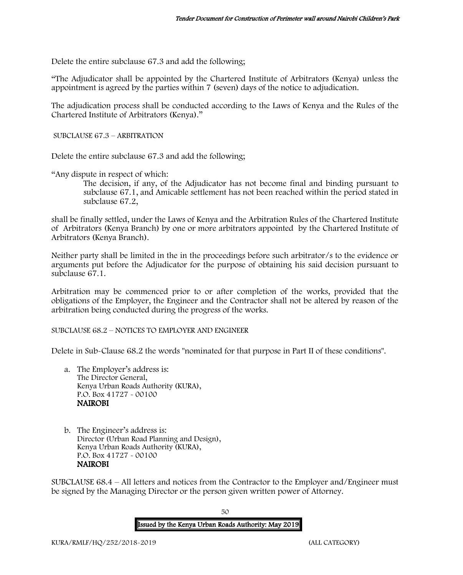Delete the entire subclause 67.3 and add the following;

"The Adjudicator shall be appointed by the Chartered Institute of Arbitrators (Kenya) unless the appointment is agreed by the parties within 7 (seven) days of the notice to adjudication.

The adjudication process shall be conducted according to the Laws of Kenya and the Rules of the Chartered Institute of Arbitrators (Kenya)."

SUBCLAUSE 67.3 – ARBITRATION

Delete the entire subclause 67.3 and add the following;

"Any dispute in respect of which:

The decision, if any, of the Adjudicator has not become final and binding pursuant to subclause 67.1, and Amicable settlement has not been reached within the period stated in subclause 67.2,

shall be finally settled, under the Laws of Kenya and the Arbitration Rules of the Chartered Institute of Arbitrators (Kenya Branch) by one or more arbitrators appointed by the Chartered Institute of Arbitrators (Kenya Branch).

Neither party shall be limited in the in the proceedings before such arbitrator/s to the evidence or arguments put before the Adjudicator for the purpose of obtaining his said decision pursuant to subclause 67.1.

Arbitration may be commenced prior to or after completion of the works, provided that the obligations of the Employer, the Engineer and the Contractor shall not be altered by reason of the arbitration being conducted during the progress of the works.

SUBCLAUSE 68.2 – NOTICES TO EMPLOYER AND ENGINEER

Delete in Sub-Clause 68.2 the words "nominated for that purpose in Part II of these conditions".

- a. The Employer's address is: The Director General, Kenya Urban Roads Authority (KURA), P.O. Box 41727 - 00100 **NAIROBI**
- b. The Engineer's address is: Director (Urban Road Planning and Design), Kenya Urban Roads Authority (KURA), P.O. Box 41727 - 00100 NAIROBI

SUBCLAUSE 68.4 – All letters and notices from the Contractor to the Employer and/Engineer must be signed by the Managing Director or the person given written power of Attorney.

50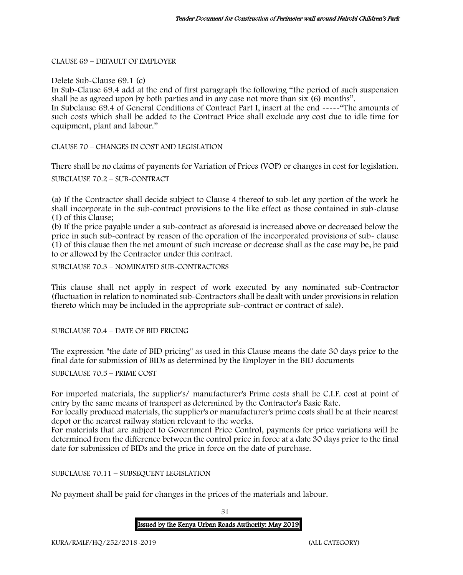### CLAUSE 69 – DEFAULT OF EMPLOYER

#### Delete Sub-Clause 69.1 (c)

In Sub-Clause 69.4 add at the end of first paragraph the following "the period of such suspension shall be as agreed upon by both parties and in any case not more than six (6) months".

In Subclause 69.4 of General Conditions of Contract Part I, insert at the end -----"The amounts of such costs which shall be added to the Contract Price shall exclude any cost due to idle time for equipment, plant and labour."

CLAUSE 70 – CHANGES IN COST AND LEGISLATION

There shall be no claims of payments for Variation of Prices (VOP) or changes in cost for legislation.

SUBCLAUSE 70.2 – SUB-CONTRACT

(a) If the Contractor shall decide subject to Clause 4 thereof to sub-let any portion of the work he shall incorporate in the sub-contract provisions to the like effect as those contained in sub-clause (1) of this Clause;

(b) If the price payable under a sub-contract as aforesaid is increased above or decreased below the price in such sub-contract by reason of the operation of the incorporated provisions of sub- clause (1) of this clause then the net amount of such increase or decrease shall as the case may be, be paid to or allowed by the Contractor under this contract.

SUBCLAUSE 70.3 – NOMINATED SUB-CONTRACTORS

This clause shall not apply in respect of work executed by any nominated sub-Contractor (fluctuation in relation to nominated sub-Contractors shall be dealt with under provisions in relation thereto which may be included in the appropriate sub-contract or contract of sale).

SUBCLAUSE 70.4 – DATE OF BID PRICING

The expression "the date of BID pricing" as used in this Clause means the date 30 days prior to the final date for submission of BIDs as determined by the Employer in the BID documents

### SUBCLAUSE 70.5 – PRIME COST

For imported materials, the supplier's/ manufacturer's Prime costs shall be C.I.F. cost at point of entry by the same means of transport as determined by the Contractor's Basic Rate.

For locally produced materials, the supplier's or manufacturer's prime costs shall be at their nearest depot or the nearest railway station relevant to the works.

For materials that are subject to Government Price Control, payments for price variations will be determined from the difference between the control price in force at a date 30 days prior to the final date for submission of BIDs and the price in force on the date of purchase.

SUBCLAUSE 70.11 – SUBSEQUENT LEGISLATION

No payment shall be paid for changes in the prices of the materials and labour.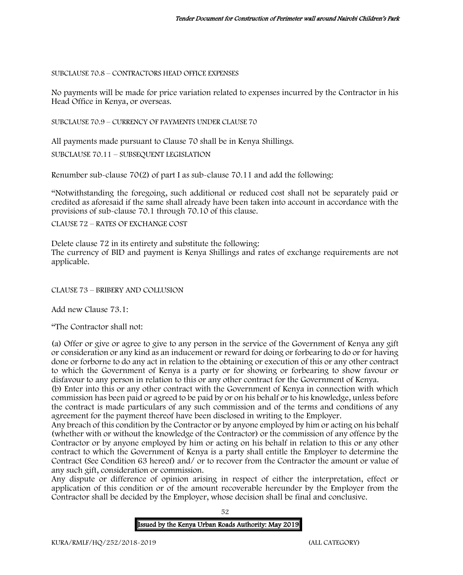### SUBCLAUSE 70.8 – CONTRACTORS HEAD OFFICE EXPENSES

No payments will be made for price variation related to expenses incurred by the Contractor in his Head Office in Kenya, or overseas.

SUBCLAUSE 70.9 – CURRENCY OF PAYMENTS UNDER CLAUSE 70

All payments made pursuant to Clause 70 shall be in Kenya Shillings.

SUBCLAUSE 70.11 – SUBSEQUENT LEGISLATION

Renumber sub-clause 70(2) of part I as sub-clause 70.11 and add the following:

"Notwithstanding the foregoing, such additional or reduced cost shall not be separately paid or credited as aforesaid if the same shall already have been taken into account in accordance with the provisions of sub-clause 70.1 through 70.10 of this clause.

### CLAUSE 72 – RATES OF EXCHANGE COST

Delete clause 72 in its entirety and substitute the following: The currency of BID and payment is Kenya Shillings and rates of exchange requirements are not applicable.

#### CLAUSE 73 – BRIBERY AND COLLUSION

Add new Clause 73.1:

"The Contractor shall not:

(a) Offer or give or agree to give to any person in the service of the Government of Kenya any gift or consideration or any kind as an inducement or reward for doing or forbearing to do or for having done or forborne to do any act in relation to the obtaining or execution of this or any other contract to which the Government of Kenya is a party or for showing or forbearing to show favour or disfavour to any person in relation to this or any other contract for the Government of Kenya.

(b) Enter into this or any other contract with the Government of Kenya in connection with which commission has been paid or agreed to be paid by or on his behalf or to his knowledge, unless before the contract is made particulars of any such commission and of the terms and conditions of any agreement for the payment thereof have been disclosed in writing to the Employer.

Any breach of this condition by the Contractor or by anyone employed by him or acting on his behalf (whether with or without the knowledge of the Contractor) or the commission of any offence by the Contractor or by anyone employed by him or acting on his behalf in relation to this or any other contract to which the Government of Kenya is a party shall entitle the Employer to determine the Contract (See Condition 63 hereof) and/ or to recover from the Contractor the amount or value of any such gift, consideration or commission.

Any dispute or difference of opinion arising in respect of either the interpretation, effect or application of this condition or of the amount recoverable hereunder by the Employer from the Contractor shall be decided by the Employer, whose decision shall be final and conclusive.

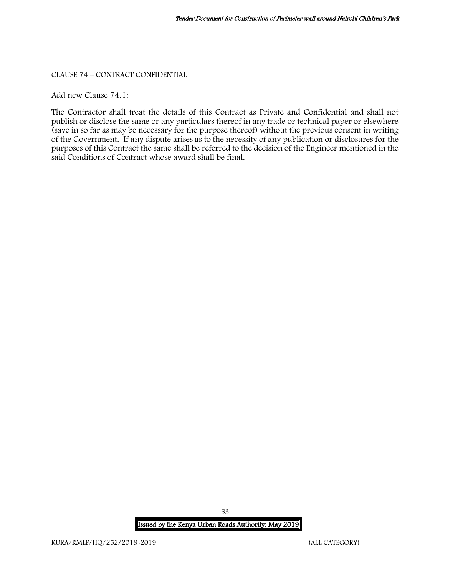CLAUSE 74 – CONTRACT CONFIDENTIAL

Add new Clause 74.1:

The Contractor shall treat the details of this Contract as Private and Confidential and shall not publish or disclose the same or any particulars thereof in any trade or technical paper or elsewhere (save in so far as may be necessary for the purpose thereof) without the previous consent in writing of the Government. If any dispute arises as to the necessity of any publication or disclosures for the purposes of this Contract the same shall be referred to the decision of the Engineer mentioned in the said Conditions of Contract whose award shall be final.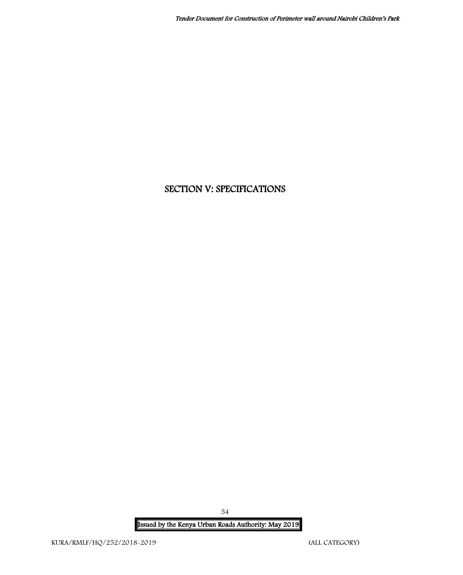# SECTION V: SPECIFICATIONS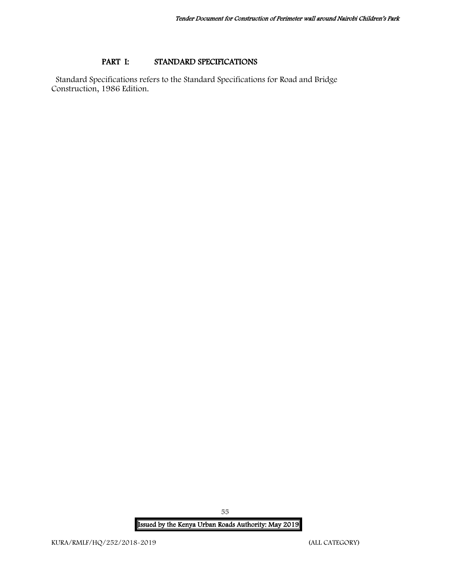# PART I: STANDARD SPECIFICATIONS

 Standard Specifications refers to the Standard Specifications for Road and Bridge Construction, 1986 Edition.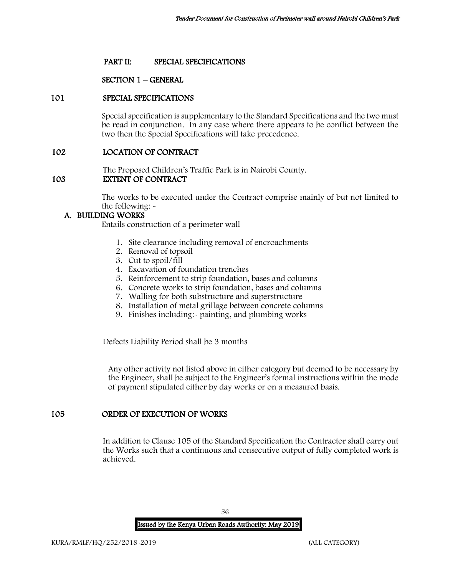# PART II: SPECIAL SPECIFICATIONS

### SECTION 1 – GENERAL

### 101 SPECIAL SPECIFICATIONS

Special specification is supplementary to the Standard Specifications and the two must be read in conjunction. In any case where there appears to be conflict between the two then the Special Specifications will take precedence.

# 102 LOCATION OF CONTRACT

The Proposed Children's Traffic Park is in Nairobi County.

### 103 EXTENT OF CONTRACT

The works to be executed under the Contract comprise mainly of but not limited to the following: -

### A. BUILDING WORKS

Entails construction of a perimeter wall

- 1. Site clearance including removal of encroachments
- 2. Removal of topsoil
- 3. Cut to spoil/fill
- 4. Excavation of foundation trenches
- 5. Reinforcement to strip foundation, bases and columns
- 6. Concrete works to strip foundation, bases and columns
- 7. Walling for both substructure and superstructure
- 8. Installation of metal grillage between concrete columns
- 9. Finishes including:- painting, and plumbing works

Defects Liability Period shall be 3 months

Any other activity not listed above in either category but deemed to be necessary by the Engineer, shall be subject to the Engineer's formal instructions within the mode of payment stipulated either by day works or on a measured basis.

# 105 ORDER OF EXECUTION OF WORKS

In addition to Clause 105 of the Standard Specification the Contractor shall carry out the Works such that a continuous and consecutive output of fully completed work is achieved.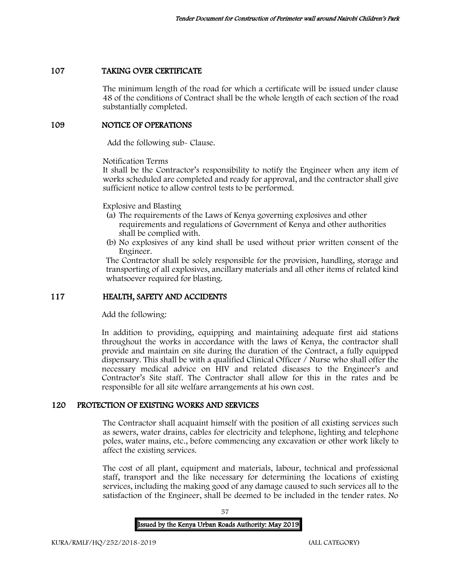### 107 TAKING OVER CERTIFICATE

The minimum length of the road for which a certificate will be issued under clause 48 of the conditions of Contract shall be the whole length of each section of the road substantially completed.

### 109 NOTICE OF OPERATIONS

Add the following sub- Clause.

Notification Terms

It shall be the Contractor's responsibility to notify the Engineer when any item of works scheduled are completed and ready for approval, and the contractor shall give sufficient notice to allow control tests to be performed.

Explosive and Blasting

- (a) The requirements of the Laws of Kenya governing explosives and other requirements and regulations of Government of Kenya and other authorities shall be complied with.
- (b) No explosives of any kind shall be used without prior written consent of the Engineer.

The Contractor shall be solely responsible for the provision, handling, storage and transporting of all explosives, ancillary materials and all other items of related kind whatsoever required for blasting.

# 117 HEALTH, SAFETY AND ACCIDENTS

Add the following:

In addition to providing, equipping and maintaining adequate first aid stations throughout the works in accordance with the laws of Kenya, the contractor shall provide and maintain on site during the duration of the Contract, a fully equipped dispensary. This shall be with a qualified Clinical Officer / Nurse who shall offer the necessary medical advice on HIV and related diseases to the Engineer's and Contractor's Site staff. The Contractor shall allow for this in the rates and be responsible for all site welfare arrangements at his own cost.

# 120 PROTECTION OF EXISTING WORKS AND SERVICES

The Contractor shall acquaint himself with the position of all existing services such as sewers, water drains, cables for electricity and telephone, lighting and telephone poles, water mains, etc., before commencing any excavation or other work likely to affect the existing services.

The cost of all plant, equipment and materials, labour, technical and professional staff, transport and the like necessary for determining the locations of existing services, including the making good of any damage caused to such services all to the satisfaction of the Engineer, shall be deemed to be included in the tender rates. No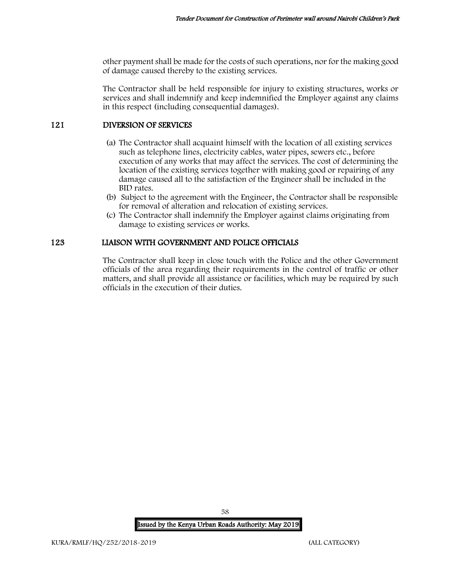other payment shall be made for the costs of such operations, nor for the making good of damage caused thereby to the existing services.

The Contractor shall be held responsible for injury to existing structures, works or services and shall indemnify and keep indemnified the Employer against any claims in this respect (including consequential damages).

# 121 DIVERSION OF SERVICES

- (a) The Contractor shall acquaint himself with the location of all existing services such as telephone lines, electricity cables, water pipes, sewers etc., before execution of any works that may affect the services. The cost of determining the location of the existing services together with making good or repairing of any damage caused all to the satisfaction of the Engineer shall be included in the BID rates.
- (b) Subject to the agreement with the Engineer, the Contractor shall be responsible for removal of alteration and relocation of existing services.
- (c) The Contractor shall indemnify the Employer against claims originating from damage to existing services or works.

# 123 LIAISON WITH GOVERNMENT AND POLICE OFFICIALS

The Contractor shall keep in close touch with the Police and the other Government officials of the area regarding their requirements in the control of traffic or other matters, and shall provide all assistance or facilities, which may be required by such officials in the execution of their duties.

58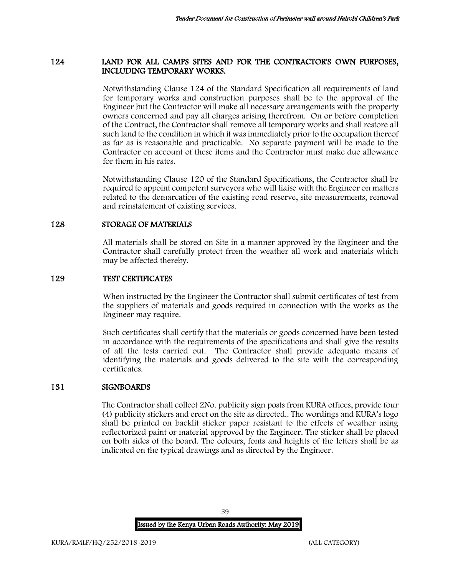### 124 LAND FOR ALL CAMPS SITES AND FOR THE CONTRACTOR'S OWN PURPOSES, INCLUDING TEMPORARY WORKS.

Notwithstanding Clause 124 of the Standard Specification all requirements of land for temporary works and construction purposes shall be to the approval of the Engineer but the Contractor will make all necessary arrangements with the property owners concerned and pay all charges arising therefrom. On or before completion of the Contract, the Contractor shall remove all temporary works and shall restore all such land to the condition in which it was immediately prior to the occupation thereof as far as is reasonable and practicable. No separate payment will be made to the Contractor on account of these items and the Contractor must make due allowance for them in his rates.

Notwithstanding Clause 120 of the Standard Specifications, the Contractor shall be required to appoint competent surveyors who will liaise with the Engineer on matters related to the demarcation of the existing road reserve, site measurements, removal and reinstatement of existing services.

### 128 STORAGE OF MATERIALS

All materials shall be stored on Site in a manner approved by the Engineer and the Contractor shall carefully protect from the weather all work and materials which may be affected thereby.

#### 129 TEST CERTIFICATES

When instructed by the Engineer the Contractor shall submit certificates of test from the suppliers of materials and goods required in connection with the works as the Engineer may require.

Such certificates shall certify that the materials or goods concerned have been tested in accordance with the requirements of the specifications and shall give the results of all the tests carried out. The Contractor shall provide adequate means of identifying the materials and goods delivered to the site with the corresponding certificates.

### 131 SIGNBOARDS

The Contractor shall collect 2No. publicity sign posts from KURA offices, provide four (4) publicity stickers and erect on the site as directed.. The wordings and KURA's logo shall be printed on backlit sticker paper resistant to the effects of weather using reflectorized paint or material approved by the Engineer. The sticker shall be placed on both sides of the board. The colours, fonts and heights of the letters shall be as indicated on the typical drawings and as directed by the Engineer.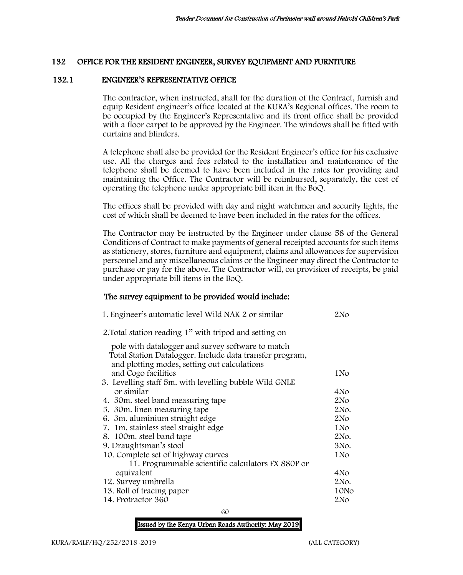### 132 OFFICE FOR THE RESIDENT ENGINEER, SURVEY EQUIPMENT AND FURNITURE

### 132.1 ENGINEER'S REPRESENTATIVE OFFICE

The contractor, when instructed, shall for the duration of the Contract, furnish and equip Resident engineer's office located at the KURA's Regional offices. The room to be occupied by the Engineer's Representative and its front office shall be provided with a floor carpet to be approved by the Engineer. The windows shall be fitted with curtains and blinders.

A telephone shall also be provided for the Resident Engineer's office for his exclusive use. All the charges and fees related to the installation and maintenance of the telephone shall be deemed to have been included in the rates for providing and maintaining the Office. The Contractor will be reimbursed, separately, the cost of operating the telephone under appropriate bill item in the BoQ.

The offices shall be provided with day and night watchmen and security lights, the cost of which shall be deemed to have been included in the rates for the offices.

The Contractor may be instructed by the Engineer under clause 58 of the General Conditions of Contract to make payments of general receipted accounts for such items as stationery, stores, furniture and equipment, claims and allowances for supervision personnel and any miscellaneous claims or the Engineer may direct the Contractor to purchase or pay for the above. The Contractor will, on provision of receipts, be paid under appropriate bill items in the BoQ.

### The survey equipment to be provided would include:

| 1. Engineer's automatic level Wild NAK 2 or similar<br>2No                                                    |
|---------------------------------------------------------------------------------------------------------------|
| 2. Total station reading 1" with tripod and setting on                                                        |
| pole with datalogger and survey software to match<br>Total Station Datalogger. Include data transfer program, |
| 1 No                                                                                                          |
| 3. Levelling staff 5m. with levelling bubble Wild GNLE                                                        |
| 4N <sub>o</sub>                                                                                               |
| 2N <sub>O</sub>                                                                                               |
| 2No.                                                                                                          |
| 2N <sub>O</sub>                                                                                               |
| 1N <sub>o</sub>                                                                                               |
| 2No.                                                                                                          |
| 3No.                                                                                                          |
| 1No                                                                                                           |
| 11. Programmable scientific calculators FX 880P or                                                            |
| 4No                                                                                                           |
| 2No.                                                                                                          |
| 10No                                                                                                          |
| 2No                                                                                                           |
|                                                                                                               |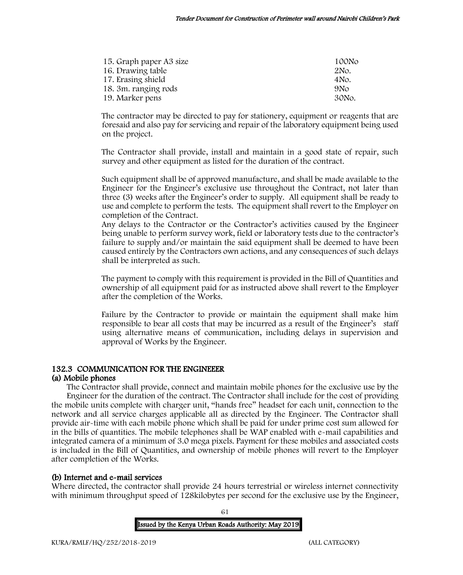| 15. Graph paper A3 size | 100No           |
|-------------------------|-----------------|
| 16. Drawing table       | 2No.            |
| 17. Erasing shield      | 4 No.           |
| 18. 3m. ranging rods    | 9N <sub>O</sub> |
| 19. Marker pens         | 30No.           |

The contractor may be directed to pay for stationery, equipment or reagents that are foresaid and also pay for servicing and repair of the laboratory equipment being used on the project.

The Contractor shall provide, install and maintain in a good state of repair, such survey and other equipment as listed for the duration of the contract.

Such equipment shall be of approved manufacture, and shall be made available to the Engineer for the Engineer's exclusive use throughout the Contract, not later than three (3) weeks after the Engineer's order to supply. All equipment shall be ready to use and complete to perform the tests. The equipment shall revert to the Employer on completion of the Contract.

Any delays to the Contractor or the Contractor's activities caused by the Engineer being unable to perform survey work, field or laboratory tests due to the contractor's failure to supply and/or maintain the said equipment shall be deemed to have been caused entirely by the Contractors own actions, and any consequences of such delays shall be interpreted as such.

The payment to comply with this requirement is provided in the Bill of Quantities and ownership of all equipment paid for as instructed above shall revert to the Employer after the completion of the Works.

Failure by the Contractor to provide or maintain the equipment shall make him responsible to bear all costs that may be incurred as a result of the Engineer's staff using alternative means of communication, including delays in supervision and approval of Works by the Engineer.

# 132.3 COMMUNICATION FOR THE ENGINEEER

# (a) Mobile phones

The Contractor shall provide, connect and maintain mobile phones for the exclusive use by the Engineer for the duration of the contract. The Contractor shall include for the cost of providing the mobile units complete with charger unit, "hands free" headset for each unit, connection to the network and all service charges applicable all as directed by the Engineer. The Contractor shall provide air-time with each mobile phone which shall be paid for under prime cost sum allowed for in the bills of quantities. The mobile telephones shall be WAP enabled with e-mail capabilities and integrated camera of a minimum of 3.0 mega pixels. Payment for these mobiles and associated costs is included in the Bill of Quantities, and ownership of mobile phones will revert to the Employer after completion of the Works.

# (b) Internet and e-mail services

Where directed, the contractor shall provide 24 hours terrestrial or wireless internet connectivity with minimum throughput speed of 128kilobytes per second for the exclusive use by the Engineer,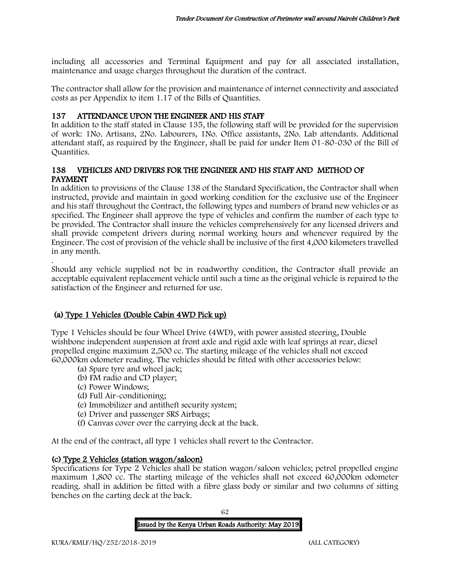including all accessories and Terminal Equipment and pay for all associated installation, maintenance and usage charges throughout the duration of the contract.

The contractor shall allow for the provision and maintenance of internet connectivity and associated costs as per Appendix to item 1.17 of the Bills of Quantities.

# 137 ATTENDANCE UPON THE ENGINEER AND HIS STAFF

In addition to the staff stated in Clause 135, the following staff will be provided for the supervision of work: 1No. Artisans, 2No. Labourers, 1No. Office assistants, 2No. Lab attendants. Additional attendant staff, as required by the Engineer, shall be paid for under Item 01-80-030 of the Bill of Quantities.

# 138 VEHICLES AND DRIVERS FOR THE ENGINEER AND HIS STAFF AND METHOD OF PAYMENT

In addition to provisions of the Clause 138 of the Standard Specification, the Contractor shall when instructed, provide and maintain in good working condition for the exclusive use of the Engineer and his staff throughout the Contract, the following types and numbers of brand new vehicles or as specified. The Engineer shall approve the type of vehicles and confirm the number of each type to be provided. The Contractor shall insure the vehicles comprehensively for any licensed drivers and shall provide competent drivers during normal working hours and whenever required by the Engineer. The cost of provision of the vehicle shall be inclusive of the first 4,000 kilometers travelled in any month.

. Should any vehicle supplied not be in roadworthy condition, the Contractor shall provide an acceptable equivalent replacement vehicle until such a time as the original vehicle is repaired to the satisfaction of the Engineer and returned for use.

# (a) Type 1 Vehicles (Double Cabin 4WD Pick up)

Type 1 Vehicles should be four Wheel Drive (4WD), with power assisted steering, Double wishbone independent suspension at front axle and rigid axle with leaf springs at rear, diesel propelled engine maximum 2,500 cc. The starting mileage of the vehicles shall not exceed 60,000km odometer reading. The vehicles should be fitted with other accessories below:

- (a) Spare tyre and wheel jack;
- (b) FM radio and CD player;
- (c) Power Windows;
- (d) Full Air-conditioning;
- (e) Immobilizer and antitheft security system;
- (e) Driver and passenger SRS Airbags;
- (f) Canvas cover over the carrying deck at the back.

At the end of the contract, all type 1 vehicles shall revert to the Contractor.

# (c) Type 2 Vehicles (station wagon/saloon)

Specifications for Type 2 Vehicles shall be station wagon/saloon vehicles; petrol propelled engine maximum 1,800 cc. The starting mileage of the vehicles shall not exceed 60,000km odometer reading. shall in addition be fitted with a fibre glass body or similar and two columns of sitting benches on the carting deck at the back.

62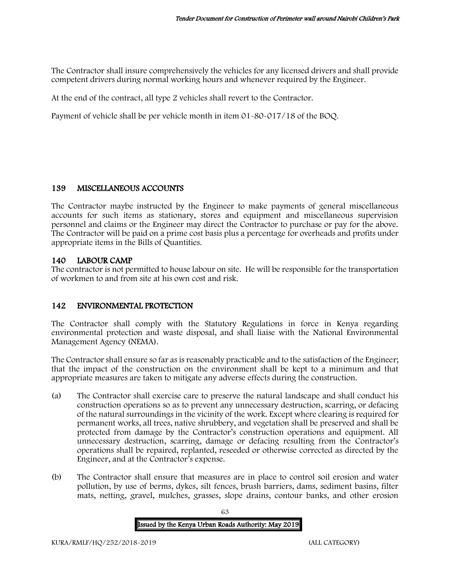The Contractor shall insure comprehensively the vehicles for any licensed drivers and shall provide competent drivers during normal working hours and whenever required by the Engineer.

At the end of the contract, all type 2 vehicles shall revert to the Contractor.

Payment of vehicle shall be per vehicle month in item 01-80-017/18 of the BOQ.

# 139 MISCELLANEOUS ACCOUNTS

The Contractor maybe instructed by the Engineer to make payments of general miscellaneous accounts for such items as stationary, stores and equipment and miscellaneous supervision personnel and claims or the Engineer may direct the Contractor to purchase or pay for the above. The Contractor will be paid on a prime cost basis plus a percentage for overheads and profits under appropriate items in the Bills of Quantities.

# 140 LABOUR CAMP

The contractor is not permitted to house labour on site. He will be responsible for the transportation of workmen to and from site at his own cost and risk.

# 142 ENVIRONMENTAL PROTECTION

The Contractor shall comply with the Statutory Regulations in force in Kenya regarding environmental protection and waste disposal, and shall liaise with the National Environmental Management Agency (NEMA).

The Contractor shall ensure so far as is reasonably practicable and to the satisfaction of the Engineer; that the impact of the construction on the environment shall be kept to a minimum and that appropriate measures are taken to mitigate any adverse effects during the construction.

- (a) The Contractor shall exercise care to preserve the natural landscape and shall conduct his construction operations so as to prevent any unnecessary destruction, scarring, or defacing of the natural surroundings in the vicinity of the work. Except where clearing is required for permanent works, all trees, native shrubbery, and vegetation shall be preserved and shall be protected from damage by the Contractor's construction operations and equipment. All unnecessary destruction, scarring, damage or defacing resulting from the Contractor's operations shall be repaired, replanted, reseeded or otherwise corrected as directed by the Engineer, and at the Contractor's expense.
- (b) The Contractor shall ensure that measures are in place to control soil erosion and water pollution, by use of berms, dykes, silt fences, brush barriers, dams, sediment basins, filter mats, netting, gravel, mulches, grasses, slope drains, contour banks, and other erosion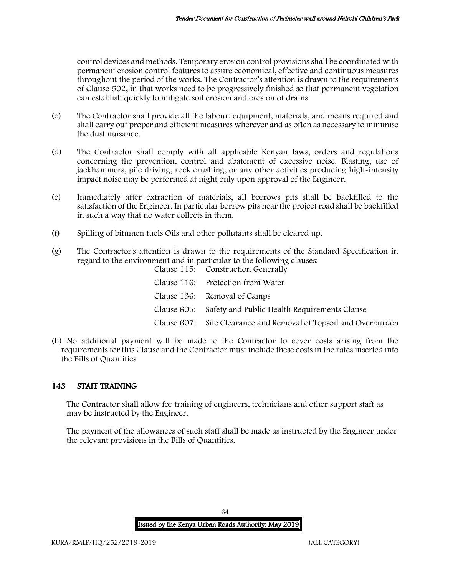control devices and methods. Temporary erosion control provisions shall be coordinated with permanent erosion control features to assure economical, effective and continuous measures throughout the period of the works. The Contractor's attention is drawn to the requirements of Clause 502, in that works need to be progressively finished so that permanent vegetation can establish quickly to mitigate soil erosion and erosion of drains.

- (c) The Contractor shall provide all the labour, equipment, materials, and means required and shall carry out proper and efficient measures wherever and as often as necessary to minimise the dust nuisance.
- (d) The Contractor shall comply with all applicable Kenyan laws, orders and regulations concerning the prevention, control and abatement of excessive noise. Blasting, use of jackhammers, pile driving, rock crushing, or any other activities producing high-intensity impact noise may be performed at night only upon approval of the Engineer.
- (e) Immediately after extraction of materials, all borrows pits shall be backfilled to the satisfaction of the Engineer. In particular borrow pits near the project road shall be backfilled in such a way that no water collects in them.
- (f) Spilling of bitumen fuels Oils and other pollutants shall be cleared up.
- (g) The Contractor's attention is drawn to the requirements of the Standard Specification in regard to the environment and in particular to the following clauses:

| Clause 115: Construction Generally                               |
|------------------------------------------------------------------|
| Clause 116: Protection from Water                                |
| Clause 136: Removal of Camps                                     |
| Clause 605: Safety and Public Health Requirements Clause         |
| Clause 607: Site Clearance and Removal of Topsoil and Overburden |

(h) No additional payment will be made to the Contractor to cover costs arising from the requirements for this Clause and the Contractor must include these costs in the rates inserted into the Bills of Quantities.

# 143 STAFF TRAINING

The Contractor shall allow for training of engineers, technicians and other support staff as may be instructed by the Engineer.

The payment of the allowances of such staff shall be made as instructed by the Engineer under the relevant provisions in the Bills of Quantities.

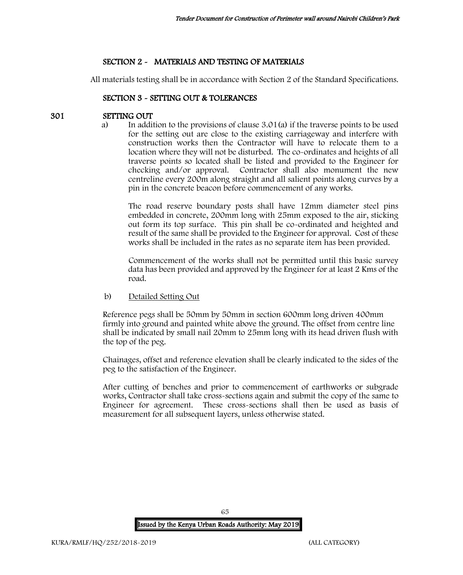# SECTION 2 - MATERIALS AND TESTING OF MATERIALS

All materials testing shall be in accordance with Section 2 of the Standard Specifications.

### SECTION 3 - SETTING OUT & TOLERANCES

### 301 SETTING OUT

a) In addition to the provisions of clause 3.01(a) if the traverse points to be used for the setting out are close to the existing carriageway and interfere with construction works then the Contractor will have to relocate them to a location where they will not be disturbed. The co-ordinates and heights of all traverse points so located shall be listed and provided to the Engineer for checking and/or approval. Contractor shall also monument the new centreline every 200m along straight and all salient points along curves by a pin in the concrete beacon before commencement of any works.

The road reserve boundary posts shall have 12mm diameter steel pins embedded in concrete, 200mm long with 25mm exposed to the air, sticking out form its top surface. This pin shall be co-ordinated and heighted and result of the same shall be provided to the Engineer for approval. Cost of these works shall be included in the rates as no separate item has been provided.

Commencement of the works shall not be permitted until this basic survey data has been provided and approved by the Engineer for at least 2 Kms of the road.

### b) Detailed Setting Out

Reference pegs shall be 50mm by 50mm in section 600mm long driven 400mm firmly into ground and painted white above the ground. The offset from centre line shall be indicated by small nail 20mm to 25mm long with its head driven flush with the top of the peg.

Chainages, offset and reference elevation shall be clearly indicated to the sides of the peg to the satisfaction of the Engineer.

After cutting of benches and prior to commencement of earthworks or subgrade works, Contractor shall take cross-sections again and submit the copy of the same to Engineer for agreement. These cross-sections shall then be used as basis of measurement for all subsequent layers, unless otherwise stated.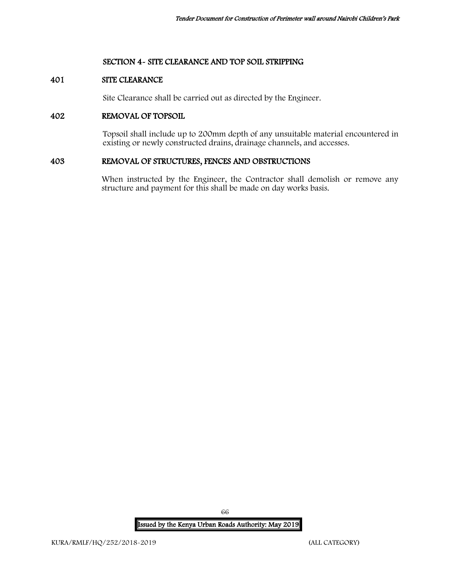### SECTION 4- SITE CLEARANCE AND TOP SOIL STRIPPING

# 401 SITE CLEARANCE

Site Clearance shall be carried out as directed by the Engineer.

### 402 REMOVAL OF TOPSOIL

Topsoil shall include up to 200mm depth of any unsuitable material encountered in existing or newly constructed drains, drainage channels, and accesses.

#### 403 REMOVAL OF STRUCTURES, FENCES AND OBSTRUCTIONS

When instructed by the Engineer, the Contractor shall demolish or remove any structure and payment for this shall be made on day works basis.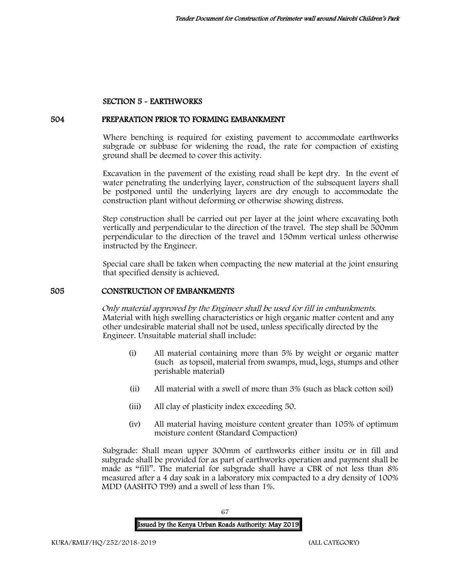# SECTION 5 - EARTHWORKS

### 504 PREPARATION PRIOR TO FORMING EMBANKMENT

Where benching is required for existing pavement to accommodate earthworks subgrade or subbase for widening the road, the rate for compaction of existing ground shall be deemed to cover this activity.

Excavation in the pavement of the existing road shall be kept dry. In the event of water penetrating the underlying layer, construction of the subsequent layers shall be postponed until the underlying layers are dry enough to accommodate the construction plant without deforming or otherwise showing distress.

Step construction shall be carried out per layer at the joint where excavating both vertically and perpendicular to the direction of the travel. The step shall be 500mm perpendicular to the direction of the travel and 150mm vertical unless otherwise instructed by the Engineer.

Special care shall be taken when compacting the new material at the joint ensuring that specified density is achieved.

### 505 CONSTRUCTION OF EMBANKMENTS

Only material approved by the Engineer shall be used for fill in embankments. Material with high swelling characteristics or high organic matter content and any other undesirable material shall not be used, unless specifically directed by the Engineer. Unsuitable material shall include:

- (i) All material containing more than 5% by weight or organic matter (such as topsoil, material from swamps, mud, logs, stumps and other perishable material)
- (ii) All material with a swell of more than 3% (such as black cotton soil)
- (iii) All clay of plasticity index exceeding 50.
- (iv) All material having moisture content greater than 105% of optimum moisture content (Standard Compaction)

Subgrade: Shall mean upper 300mm of earthworks either insitu or in fill and subgrade shall be provided for as part of earthworks operation and payment shall be made as "fill". The material for subgrade shall have a CBR of not less than 8% measured after a 4 day soak in a laboratory mix compacted to a dry density of 100% MDD (AASHTO T99) and a swell of less than 1%.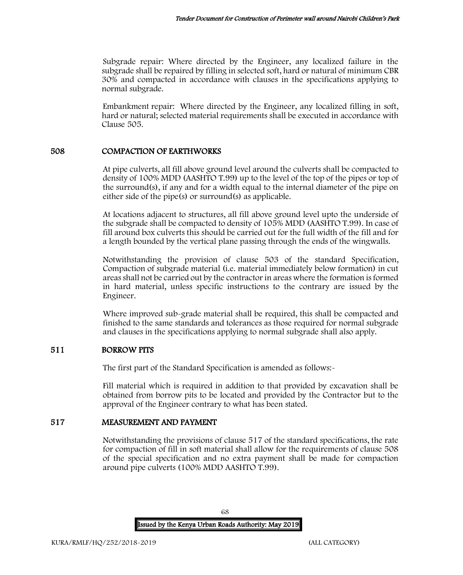Subgrade repair: Where directed by the Engineer, any localized failure in the subgrade shall be repaired by filling in selected soft, hard or natural of minimum CBR 30% and compacted in accordance with clauses in the specifications applying to normal subgrade.

Embankment repair: Where directed by the Engineer, any localized filling in soft, hard or natural; selected material requirements shall be executed in accordance with Clause 505.

# 508 COMPACTION OF EARTHWORKS

At pipe culverts, all fill above ground level around the culverts shall be compacted to density of 100% MDD (AASHTO T.99) up to the level of the top of the pipes or top of the surround(s), if any and for a width equal to the internal diameter of the pipe on either side of the pipe(s) or surround(s) as applicable.

At locations adjacent to structures, all fill above ground level upto the underside of the subgrade shall be compacted to density of 105% MDD (AASHTO T.99). In case of fill around box culverts this should be carried out for the full width of the fill and for a length bounded by the vertical plane passing through the ends of the wingwalls.

Notwithstanding the provision of clause 503 of the standard Specification, Compaction of subgrade material (i.e. material immediately below formation) in cut areas shall not be carried out by the contractor in areas where the formation is formed in hard material, unless specific instructions to the contrary are issued by the Engineer.

Where improved sub-grade material shall be required, this shall be compacted and finished to the same standards and tolerances as those required for normal subgrade and clauses in the specifications applying to normal subgrade shall also apply.

# 511 BORROW PITS

The first part of the Standard Specification is amended as follows:

Fill material which is required in addition to that provided by excavation shall be obtained from borrow pits to be located and provided by the Contractor but to the approval of the Engineer contrary to what has been stated.

# 517 MEASUREMENT AND PAYMENT

Notwithstanding the provisions of clause 517 of the standard specifications, the rate for compaction of fill in soft material shall allow for the requirements of clause 508 of the special specification and no extra payment shall be made for compaction around pipe culverts (100% MDD AASHTO T.99).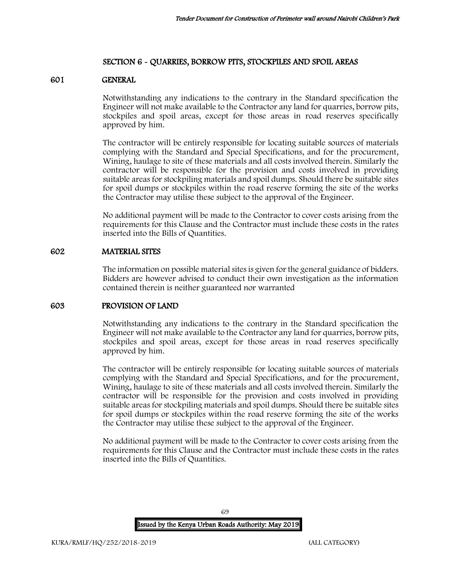### SECTION 6 - QUARRIES, BORROW PITS, STOCKPILES AND SPOIL AREAS

### 601 GENERAL

Notwithstanding any indications to the contrary in the Standard specification the Engineer will not make available to the Contractor any land for quarries, borrow pits, stockpiles and spoil areas, except for those areas in road reserves specifically approved by him.

The contractor will be entirely responsible for locating suitable sources of materials complying with the Standard and Special Specifications, and for the procurement, Wining, haulage to site of these materials and all costs involved therein. Similarly the contractor will be responsible for the provision and costs involved in providing suitable areas for stockpiling materials and spoil dumps. Should there be suitable sites for spoil dumps or stockpiles within the road reserve forming the site of the works the Contractor may utilise these subject to the approval of the Engineer.

No additional payment will be made to the Contractor to cover costs arising from the requirements for this Clause and the Contractor must include these costs in the rates inserted into the Bills of Quantities.

### 602 MATERIAL SITES

The information on possible material sites is given for the general guidance of bidders. Bidders are however advised to conduct their own investigation as the information contained therein is neither guaranteed nor warranted

### 603 PROVISION OF LAND

Notwithstanding any indications to the contrary in the Standard specification the Engineer will not make available to the Contractor any land for quarries, borrow pits, stockpiles and spoil areas, except for those areas in road reserves specifically approved by him.

The contractor will be entirely responsible for locating suitable sources of materials complying with the Standard and Special Specifications, and for the procurement, Wining, haulage to site of these materials and all costs involved therein. Similarly the contractor will be responsible for the provision and costs involved in providing suitable areas for stockpiling materials and spoil dumps. Should there be suitable sites for spoil dumps or stockpiles within the road reserve forming the site of the works the Contractor may utilise these subject to the approval of the Engineer.

No additional payment will be made to the Contractor to cover costs arising from the requirements for this Clause and the Contractor must include these costs in the rates inserted into the Bills of Quantities.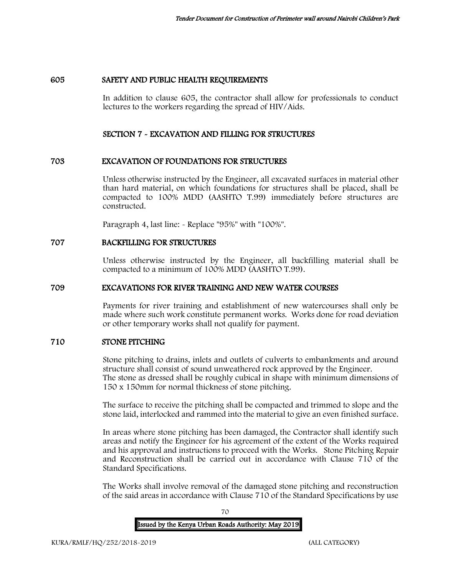#### 605 SAFETY AND PUBLIC HEALTH REQUIREMENTS

In addition to clause 605, the contractor shall allow for professionals to conduct lectures to the workers regarding the spread of HIV/Aids.

### SECTION 7 - EXCAVATION AND FILLING FOR STRUCTURES

### 703 EXCAVATION OF FOUNDATIONS FOR STRUCTURES

Unless otherwise instructed by the Engineer, all excavated surfaces in material other than hard material, on which foundations for structures shall be placed, shall be compacted to 100% MDD (AASHTO T.99) immediately before structures are constructed.

Paragraph 4, last line: - Replace "95%" with "100%".

### 707 BACKFILLING FOR STRUCTURES

Unless otherwise instructed by the Engineer, all backfilling material shall be compacted to a minimum of 100% MDD (AASHTO T.99).

### 709 EXCAVATIONS FOR RIVER TRAINING AND NEW WATER COURSES

Payments for river training and establishment of new watercourses shall only be made where such work constitute permanent works. Works done for road deviation or other temporary works shall not qualify for payment.

### 710 STONE PITCHING

Stone pitching to drains, inlets and outlets of culverts to embankments and around structure shall consist of sound unweathered rock approved by the Engineer. The stone as dressed shall be roughly cubical in shape with minimum dimensions of 150 x 150mm for normal thickness of stone pitching.

The surface to receive the pitching shall be compacted and trimmed to slope and the stone laid, interlocked and rammed into the material to give an even finished surface.

In areas where stone pitching has been damaged, the Contractor shall identify such areas and notify the Engineer for his agreement of the extent of the Works required and his approval and instructions to proceed with the Works. Stone Pitching Repair and Reconstruction shall be carried out in accordance with Clause 710 of the Standard Specifications.

The Works shall involve removal of the damaged stone pitching and reconstruction of the said areas in accordance with Clause 710 of the Standard Specifications by use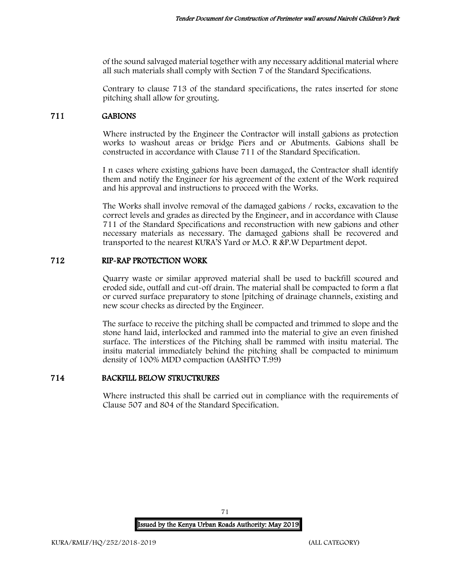of the sound salvaged material together with any necessary additional material where all such materials shall comply with Section 7 of the Standard Specifications.

Contrary to clause 713 of the standard specifications, the rates inserted for stone pitching shall allow for grouting.

### 711 GABIONS

Where instructed by the Engineer the Contractor will install gabions as protection works to washout areas or bridge Piers and or Abutments. Gabions shall be constructed in accordance with Clause 711 of the Standard Specification.

I n cases where existing gabions have been damaged, the Contractor shall identify them and notify the Engineer for his agreement of the extent of the Work required and his approval and instructions to proceed with the Works.

The Works shall involve removal of the damaged gabions / rocks, excavation to the correct levels and grades as directed by the Engineer, and in accordance with Clause 711 of the Standard Specifications and reconstruction with new gabions and other necessary materials as necessary. The damaged gabions shall be recovered and transported to the nearest KURA'S Yard or M.O. R &P.W Department depot.

# 712 RIP-RAP PROTECTION WORK

Quarry waste or similar approved material shall be used to backfill scoured and eroded side, outfall and cut-off drain. The material shall be compacted to form a flat or curved surface preparatory to stone [pitching of drainage channels, existing and new scour checks as directed by the Engineer.

The surface to receive the pitching shall be compacted and trimmed to slope and the stone hand laid, interlocked and rammed into the material to give an even finished surface. The interstices of the Pitching shall be rammed with insitu material. The insitu material immediately behind the pitching shall be compacted to minimum density of 100% MDD compaction (AASHTO T.99)

### 714 BACKFILL BELOW STRUCTRURES

Where instructed this shall be carried out in compliance with the requirements of Clause 507 and 804 of the Standard Specification.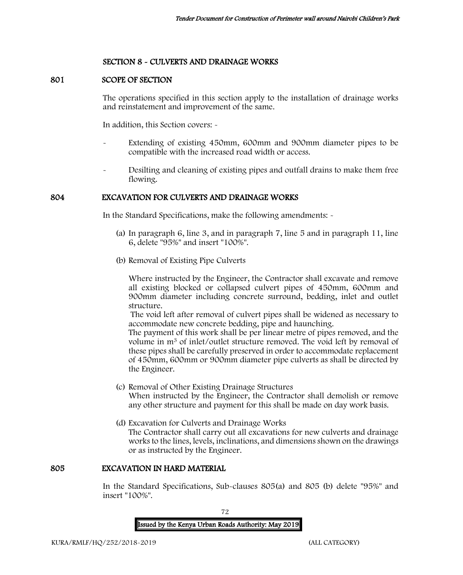### SECTION 8 - CULVERTS AND DRAINAGE WORKS

### 801 SCOPE OF SECTION

The operations specified in this section apply to the installation of drainage works and reinstatement and improvement of the same.

In addition, this Section covers: -

- Extending of existing 450mm, 600mm and 900mm diameter pipes to be compatible with the increased road width or access.
- Desilting and cleaning of existing pipes and outfall drains to make them free flowing.

### 804 EXCAVATION FOR CULVERTS AND DRAINAGE WORKS

In the Standard Specifications, make the following amendments: -

- (a) In paragraph 6, line 3, and in paragraph 7, line 5 and in paragraph 11, line 6, delete "95%" and insert "100%".
- (b) Removal of Existing Pipe Culverts

Where instructed by the Engineer, the Contractor shall excavate and remove all existing blocked or collapsed culvert pipes of 450mm, 600mm and 900mm diameter including concrete surround, bedding, inlet and outlet structure.

The void left after removal of culvert pipes shall be widened as necessary to accommodate new concrete bedding, pipe and haunching.

The payment of this work shall be per linear metre of pipes removed, and the volume in m<sup>3</sup> of inlet/outlet structure removed. The void left by removal of these pipes shall be carefully preserved in order to accommodate replacement of 450mm, 600mm or 900mm diameter pipe culverts as shall be directed by the Engineer.

- (c) Removal of Other Existing Drainage Structures When instructed by the Engineer, the Contractor shall demolish or remove any other structure and payment for this shall be made on day work basis.
- (d) Excavation for Culverts and Drainage Works The Contractor shall carry out all excavations for new culverts and drainage works to the lines, levels, inclinations, and dimensions shown on the drawings or as instructed by the Engineer.

### 805 EXCAVATION IN HARD MATERIAL

In the Standard Specifications, Sub-clauses 805(a) and 805 (b) delete "95%" and insert "100%".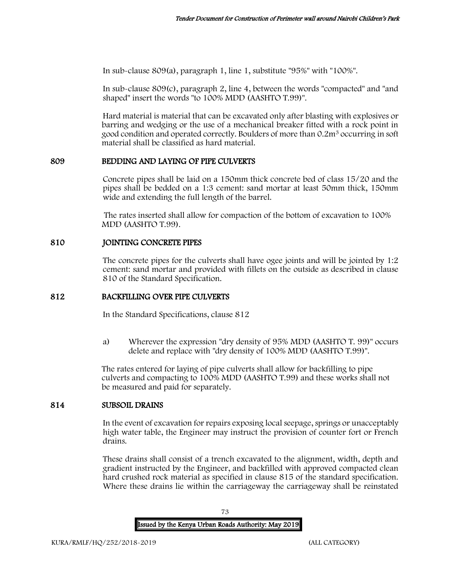In sub-clause 809(a), paragraph 1, line 1, substitute "95%" with "100%".

In sub-clause 809(c), paragraph 2, line 4, between the words "compacted" and "and shaped" insert the words "to 100% MDD (AASHTO T.99)".

Hard material is material that can be excavated only after blasting with explosives or barring and wedging or the use of a mechanical breaker fitted with a rock point in good condition and operated correctly. Boulders of more than 0.2m<sup>3</sup> occurring in soft material shall be classified as hard material.

#### 809 BEDDING AND LAYING OF PIPE CULVERTS

Concrete pipes shall be laid on a 150mm thick concrete bed of class 15/20 and the pipes shall be bedded on a 1:3 cement: sand mortar at least 50mm thick, 150mm wide and extending the full length of the barrel.

The rates inserted shall allow for compaction of the bottom of excavation to 100% MDD (AASHTO T.99).

#### 810 JOINTING CONCRETE PIPES

The concrete pipes for the culverts shall have ogee joints and will be jointed by 1:2 cement: sand mortar and provided with fillets on the outside as described in clause 810 of the Standard Specification.

## 812 BACKFILLING OVER PIPE CULVERTS

In the Standard Specifications, clause 812

a) Wherever the expression "dry density of 95% MDD (AASHTO T. 99)" occurs delete and replace with "dry density of 100% MDD (AASHTO T.99)".

The rates entered for laying of pipe culverts shall allow for backfilling to pipe culverts and compacting to 100% MDD (AASHTO T.99) and these works shall not be measured and paid for separately.

## 814 SUBSOIL DRAINS

In the event of excavation for repairs exposing local seepage, springs or unacceptably high water table, the Engineer may instruct the provision of counter fort or French drains.

These drains shall consist of a trench excavated to the alignment, width, depth and gradient instructed by the Engineer, and backfilled with approved compacted clean hard crushed rock material as specified in clause 815 of the standard specification. Where these drains lie within the carriageway the carriageway shall be reinstated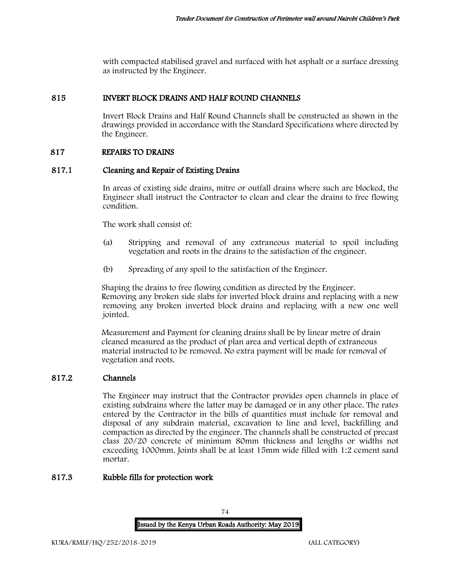with compacted stabilised gravel and surfaced with hot asphalt or a surface dressing as instructed by the Engineer.

#### 815 INVERT BLOCK DRAINS AND HALF ROUND CHANNELS

Invert Block Drains and Half Round Channels shall be constructed as shown in the drawings provided in accordance with the Standard Specifications where directed by the Engineer.

## 817 REPAIRS TO DRAINS

#### 817.1 Cleaning and Repair of Existing Drains

In areas of existing side drains, mitre or outfall drains where such are blocked, the Engineer shall instruct the Contractor to clean and clear the drains to free flowing condition.

The work shall consist of:

- (a) Stripping and removal of any extraneous material to spoil including vegetation and roots in the drains to the satisfaction of the engineer.
- (b) Spreading of any spoil to the satisfaction of the Engineer.

Shaping the drains to free flowing condition as directed by the Engineer. Removing any broken side slabs for inverted block drains and replacing with a new removing any broken inverted block drains and replacing with a new one well jointed.

Measurement and Payment for cleaning drains shall be by linear metre of drain cleaned measured as the product of plan area and vertical depth of extraneous material instructed to be removed. No extra payment will be made for removal of vegetation and roots.

## 817.2 Channels

The Engineer may instruct that the Contractor provides open channels in place of existing subdrains where the latter may be damaged or in any other place. The rates entered by the Contractor in the bills of quantities must include for removal and disposal of any subdrain material, excavation to line and level, backfilling and compaction as directed by the engineer. The channels shall be constructed of precast class 20/20 concrete of minimum 80mm thickness and lengths or widths not exceeding 1000mm. Joints shall be at least 15mm wide filled with 1:2 cement sand mortar.

## 817.3 Rubble fills for protection work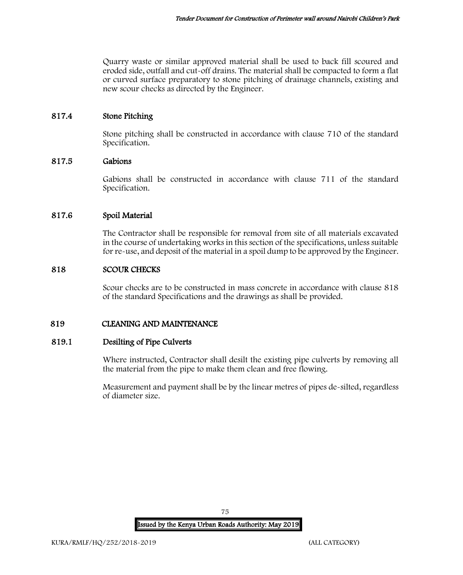Quarry waste or similar approved material shall be used to back fill scoured and eroded side, outfall and cut-off drains. The material shall be compacted to form a flat or curved surface preparatory to stone pitching of drainage channels, existing and new scour checks as directed by the Engineer.

## 817.4 Stone Pitching

Stone pitching shall be constructed in accordance with clause 710 of the standard Specification.

## 817.5 Gabions

Gabions shall be constructed in accordance with clause 711 of the standard Specification.

## 817.6 Spoil Material

The Contractor shall be responsible for removal from site of all materials excavated in the course of undertaking works in this section of the specifications, unless suitable for re-use, and deposit of the material in a spoil dump to be approved by the Engineer.

## 818 SCOUR CHECKS

Scour checks are to be constructed in mass concrete in accordance with clause 818 of the standard Specifications and the drawings as shall be provided.

## 819 CLEANING AND MAINTENANCE

## 819.1 Desilting of Pipe Culverts

Where instructed, Contractor shall desilt the existing pipe culverts by removing all the material from the pipe to make them clean and free flowing.

Measurement and payment shall be by the linear metres of pipes de-silted, regardless of diameter size.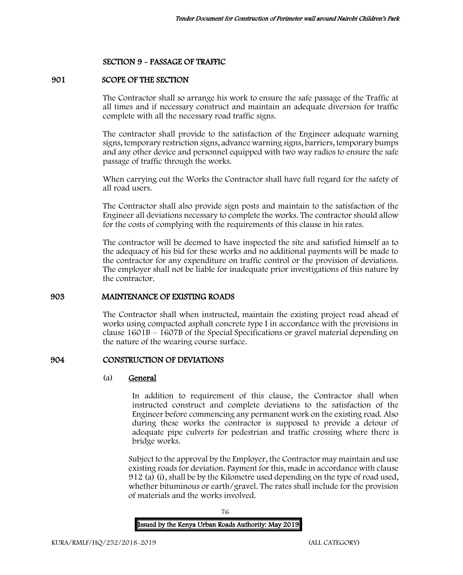#### SECTION 9 - PASSAGE OF TRAFFIC

#### 901 SCOPE OF THE SECTION

The Contractor shall so arrange his work to ensure the safe passage of the Traffic at all times and if necessary construct and maintain an adequate diversion for traffic complete with all the necessary road traffic signs.

The contractor shall provide to the satisfaction of the Engineer adequate warning signs, temporary restriction signs, advance warning signs, barriers, temporary bumps and any other device and personnel equipped with two way radios to ensure the safe passage of traffic through the works.

When carrying out the Works the Contractor shall have full regard for the safety of all road users.

The Contractor shall also provide sign posts and maintain to the satisfaction of the Engineer all deviations necessary to complete the works. The contractor should allow for the costs of complying with the requirements of this clause in his rates.

The contractor will be deemed to have inspected the site and satisfied himself as to the adequacy of his bid for these works and no additional payments will be made to the contractor for any expenditure on traffic control or the provision of deviations. The employer shall not be liable for inadequate prior investigations of this nature by the contractor.

#### 903 MAINTENANCE OF EXISTING ROADS

The Contractor shall when instructed, maintain the existing project road ahead of works using compacted asphalt concrete type I in accordance with the provisions in clause 1601B – 1607B of the Special Specifications or gravel material depending on the nature of the wearing course surface.

#### 904 CONSTRUCTION OF DEVIATIONS

#### (a) General

In addition to requirement of this clause, the Contractor shall when instructed construct and complete deviations to the satisfaction of the Engineer before commencing any permanent work on the existing road. Also during these works the contractor is supposed to provide a detour of adequate pipe culverts for pedestrian and traffic crossing where there is bridge works.

Subject to the approval by the Employer, the Contractor may maintain and use existing roads for deviation. Payment for this, made in accordance with clause 912 (a) (i), shall be by the Kilometre used depending on the type of road used, whether bituminous or earth/gravel. The rates shall include for the provision of materials and the works involved.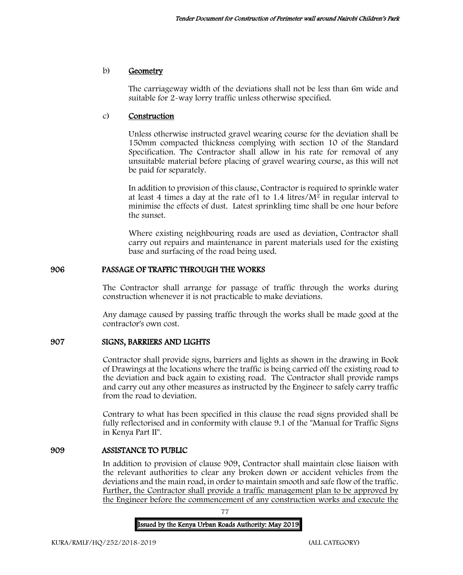## b) Geometry

The carriageway width of the deviations shall not be less than 6m wide and suitable for 2-way lorry traffic unless otherwise specified.

## c) Construction

Unless otherwise instructed gravel wearing course for the deviation shall be 150mm compacted thickness complying with section 10 of the Standard Specification. The Contractor shall allow in his rate for removal of any unsuitable material before placing of gravel wearing course, as this will not be paid for separately.

In addition to provision of this clause, Contractor is required to sprinkle water at least 4 times a day at the rate of  $1$  to  $1.4$  litres/ $M<sup>2</sup>$  in regular interval to minimise the effects of dust. Latest sprinkling time shall be one hour before the sunset.

Where existing neighbouring roads are used as deviation, Contractor shall carry out repairs and maintenance in parent materials used for the existing base and surfacing of the road being used.

## 906 PASSAGE OF TRAFFIC THROUGH THE WORKS

The Contractor shall arrange for passage of traffic through the works during construction whenever it is not practicable to make deviations.

Any damage caused by passing traffic through the works shall be made good at the contractor's own cost.

## 907 SIGNS, BARRIERS AND LIGHTS

Contractor shall provide signs, barriers and lights as shown in the drawing in Book of Drawings at the locations where the traffic is being carried off the existing road to the deviation and back again to existing road. The Contractor shall provide ramps and carry out any other measures as instructed by the Engineer to safely carry traffic from the road to deviation.

Contrary to what has been specified in this clause the road signs provided shall be fully reflectorised and in conformity with clause 9.1 of the "Manual for Traffic Signs in Kenya Part II".

# 909 ASSISTANCE TO PUBLIC

In addition to provision of clause 909, Contractor shall maintain close liaison with the relevant authorities to clear any broken down or accident vehicles from the deviations and the main road, in order to maintain smooth and safe flow of the traffic. Further, the Contractor shall provide a traffic management plan to be approved by the Engineer before the commencement of any construction works and execute the

77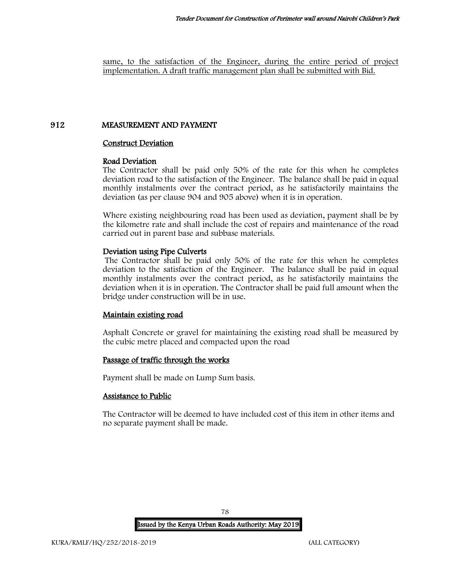same, to the satisfaction of the Engineer, during the entire period of project implementation. A draft traffic management plan shall be submitted with Bid.

#### 912 MEASUREMENT AND PAYMENT

#### Construct Deviation

#### Road Deviation

The Contractor shall be paid only 50% of the rate for this when he completes deviation road to the satisfaction of the Engineer. The balance shall be paid in equal monthly instalments over the contract period, as he satisfactorily maintains the deviation (as per clause 904 and 905 above) when it is in operation.

Where existing neighbouring road has been used as deviation, payment shall be by the kilometre rate and shall include the cost of repairs and maintenance of the road carried out in parent base and subbase materials.

#### Deviation using Pipe Culverts

The Contractor shall be paid only 50% of the rate for this when he completes deviation to the satisfaction of the Engineer. The balance shall be paid in equal monthly instalments over the contract period, as he satisfactorily maintains the deviation when it is in operation. The Contractor shall be paid full amount when the bridge under construction will be in use.

#### Maintain existing road

Asphalt Concrete or gravel for maintaining the existing road shall be measured by the cubic metre placed and compacted upon the road

#### Passage of traffic through the works

Payment shall be made on Lump Sum basis.

#### Assistance to Public

The Contractor will be deemed to have included cost of this item in other items and no separate payment shall be made.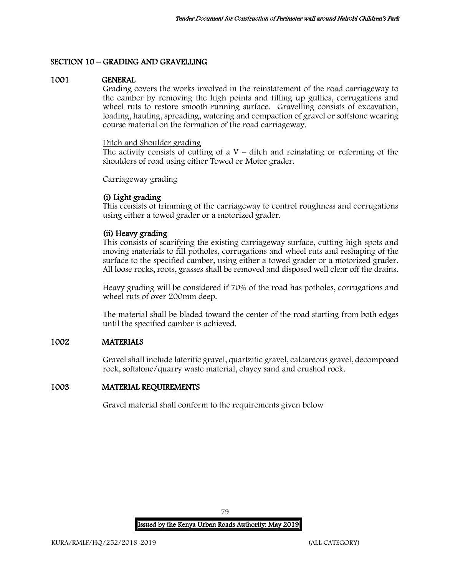#### SECTION 10 – GRADING AND GRAVELLING

#### 1001 GENERAL

Grading covers the works involved in the reinstatement of the road carriageway to the camber by removing the high points and filling up gullies, corrugations and wheel ruts to restore smooth running surface. Gravelling consists of excavation, loading, hauling, spreading, watering and compaction of gravel or softstone wearing course material on the formation of the road carriageway.

#### Ditch and Shoulder grading

The activity consists of cutting of a  $V -$  ditch and reinstating or reforming of the shoulders of road using either Towed or Motor grader.

#### Carriageway grading

## (i) Light grading

This consists of trimming of the carriageway to control roughness and corrugations using either a towed grader or a motorized grader.

## (ii) Heavy grading

This consists of scarifying the existing carriageway surface, cutting high spots and moving materials to fill potholes, corrugations and wheel ruts and reshaping of the surface to the specified camber, using either a towed grader or a motorized grader. All loose rocks, roots, grasses shall be removed and disposed well clear off the drains.

Heavy grading will be considered if 70% of the road has potholes, corrugations and wheel ruts of over 200mm deep.

The material shall be bladed toward the center of the road starting from both edges until the specified camber is achieved.

## 1002 MATERIALS

Gravel shall include lateritic gravel, quartzitic gravel, calcareous gravel, decomposed rock, softstone/quarry waste material, clayey sand and crushed rock.

#### 1003 MATERIAL REQUIREMENTS

Gravel material shall conform to the requirements given below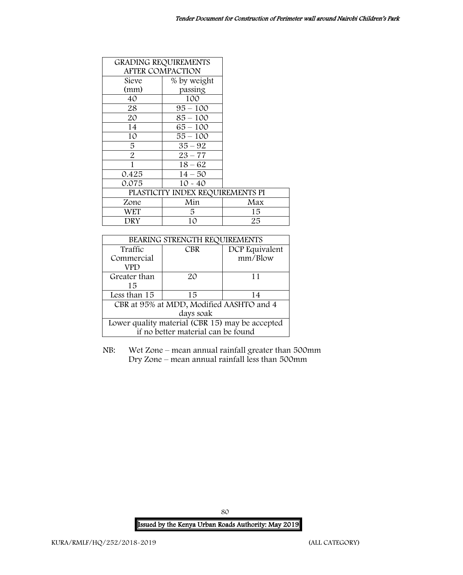| <b>GRADING REQUIREMENTS</b> |                                  |     |
|-----------------------------|----------------------------------|-----|
| <b>AFTER COMPACTION</b>     |                                  |     |
| Sieve                       | % by weight                      |     |
| (mm)                        | passing                          |     |
| 40                          | 100                              |     |
| 28                          | $95 - 100$                       |     |
| 20                          | 85 – 100                         |     |
| 14                          | $65 - 100$                       |     |
| 10                          | $55 - 100$                       |     |
| 5                           | $35 - 92$                        |     |
| $\overline{2}$              | $23 - 77$                        |     |
| 1                           | $18 - 62$                        |     |
| 0.425                       | $14 - 50$                        |     |
| 0.075                       | $10 - 40$                        |     |
|                             | PLASTICITY INDEX REQUIREMENTS PI |     |
| Zone                        | Min                              | Max |
| WET                         | 5                                | 15  |
| DRY                         | 10                               | 25  |

| BEARING STRENGTH REQUIREMENTS                   |            |                |  |  |
|-------------------------------------------------|------------|----------------|--|--|
| Traffic                                         | <b>CBR</b> | DCP Equivalent |  |  |
| Commercial                                      |            | mm/Blow        |  |  |
| VPD                                             |            |                |  |  |
| Greater than                                    | 20         | 11             |  |  |
| 15                                              |            |                |  |  |
| Less than 15                                    | 15         | 14             |  |  |
| CBR at 95% at MDD, Modified AASHTO and 4        |            |                |  |  |
| days soak                                       |            |                |  |  |
| Lower quality material (CBR 15) may be accepted |            |                |  |  |
| if no better material can be found              |            |                |  |  |

NB: Wet Zone – mean annual rainfall greater than 500mm Dry Zone – mean annual rainfall less than 500mm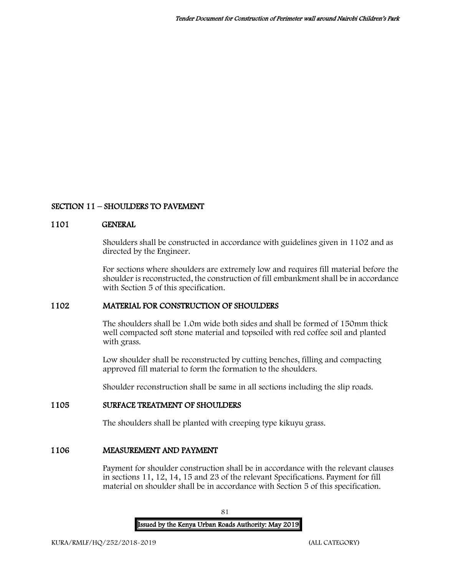# SECTION 11 – SHOULDERS TO PAVEMENT

#### 1101 GENERAL

Shoulders shall be constructed in accordance with guidelines given in 1102 and as directed by the Engineer.

For sections where shoulders are extremely low and requires fill material before the shoulder is reconstructed, the construction of fill embankment shall be in accordance with Section 5 of this specification.

#### 1102 MATERIAL FOR CONSTRUCTION OF SHOULDERS

The shoulders shall be 1.0m wide both sides and shall be formed of 150mm thick well compacted soft stone material and topsoiled with red coffee soil and planted with grass.

Low shoulder shall be reconstructed by cutting benches, filling and compacting approved fill material to form the formation to the shoulders.

Shoulder reconstruction shall be same in all sections including the slip roads.

#### 1105 SURFACE TREATMENT OF SHOULDERS

The shoulders shall be planted with creeping type kikuyu grass.

## 1106 MEASUREMENT AND PAYMENT

Payment for shoulder construction shall be in accordance with the relevant clauses in sections 11, 12, 14, 15 and 23 of the relevant Specifications. Payment for fill material on shoulder shall be in accordance with Section 5 of this specification.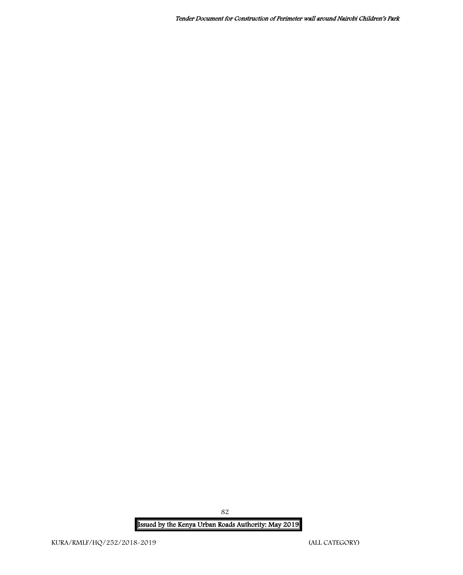Tender Document for Construction of Perimeter wall around Nairobi Children's Park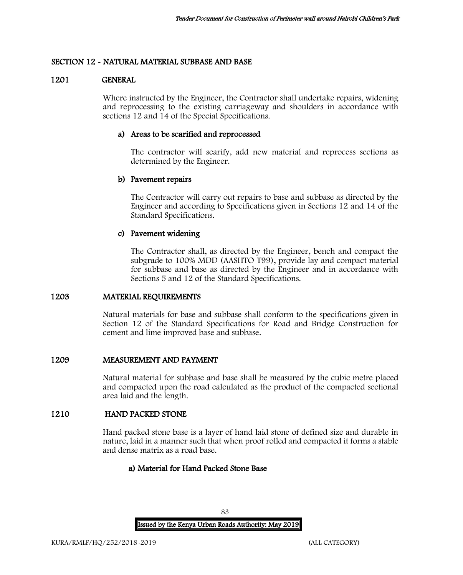#### SECTION 12 - NATURAL MATERIAL SUBBASE AND BASE

#### 1201 GENERAL

Where instructed by the Engineer, the Contractor shall undertake repairs, widening and reprocessing to the existing carriageway and shoulders in accordance with sections 12 and 14 of the Special Specifications.

#### a) Areas to be scarified and reprocessed

The contractor will scarify, add new material and reprocess sections as determined by the Engineer.

#### b) Pavement repairs

The Contractor will carry out repairs to base and subbase as directed by the Engineer and according to Specifications given in Sections 12 and 14 of the Standard Specifications.

#### c) Pavement widening

The Contractor shall, as directed by the Engineer, bench and compact the subgrade to 100% MDD (AASHTO T99), provide lay and compact material for subbase and base as directed by the Engineer and in accordance with Sections 5 and 12 of the Standard Specifications.

## 1203 MATERIAL REQUIREMENTS

Natural materials for base and subbase shall conform to the specifications given in Section 12 of the Standard Specifications for Road and Bridge Construction for cement and lime improved base and subbase.

#### 1209 MEASUREMENT AND PAYMENT

Natural material for subbase and base shall be measured by the cubic metre placed and compacted upon the road calculated as the product of the compacted sectional area laid and the length.

#### 1210 HAND PACKED STONE

Hand packed stone base is a layer of hand laid stone of defined size and durable in nature, laid in a manner such that when proof rolled and compacted it forms a stable and dense matrix as a road base.

## a) Material for Hand Packed Stone Base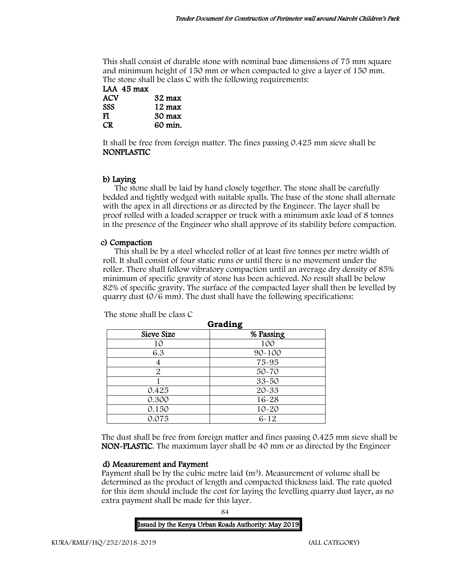This shall consist of durable stone with nominal base dimensions of 75 mm square and minimum height of 150 mm or when compacted to give a layer of 150 mm. The stone shall be class C with the following requirements:

| LAA 45 max |         |
|------------|---------|
| ACV        | 32 max  |
| <b>SSS</b> | 12 max  |
| FI         | 30 max  |
| CR.        | 60 min. |

It shall be free from foreign matter. The fines passing 0.425 mm sieve shall be NONPLASTIC

# b) Laying

The stone shall be laid by hand closely together. The stone shall be carefully bedded and tightly wedged with suitable spalls. The base of the stone shall alternate with the apex in all directions or as directed by the Engineer. The layer shall be proof rolled with a loaded scrapper or truck with a minimum axle load of 8 tonnes in the presence of the Engineer who shall approve of its stability before compaction.

## c) Compaction

This shall be by a steel wheeled roller of at least five tonnes per metre width of roll. It shall consist of four static runs or until there is no movement under the roller. There shall follow vibratory compaction until an average dry density of 85% minimum of specific gravity of stone has been achieved. No result shall be below 82% of specific gravity. The surface of the compacted layer shall then be levelled by quarry dust  $(0/\overline{6} \text{ mm})$ . The dust shall have the following specifications:

| Grading    |            |  |  |
|------------|------------|--|--|
| Sieve Size | % Passing  |  |  |
| 10         | 100        |  |  |
| 6.3        | $90 - 100$ |  |  |
| 4          | 75-95      |  |  |
| 2          | 50-70      |  |  |
|            | $33 - 50$  |  |  |
| 0.425      | 20-33      |  |  |
| 0.300      | 16-28      |  |  |
| 0.150      | $10 - 20$  |  |  |
| 0.075      | $6 - 12$   |  |  |

The stone shall be class C

The dust shall be free from foreign matter and fines passing 0.425 mm sieve shall be NON-PLASTIC. The maximum layer shall be 40 mm or as directed by the Engineer

## d) Measurement and Payment

Payment shall be by the cubic metre laid  $(m<sup>3</sup>)$ . Measurement of volume shall be determined as the product of length and compacted thickness laid. The rate quoted for this item should include the cost for laying the levelling quarry dust layer, as no extra payment shall be made for this layer.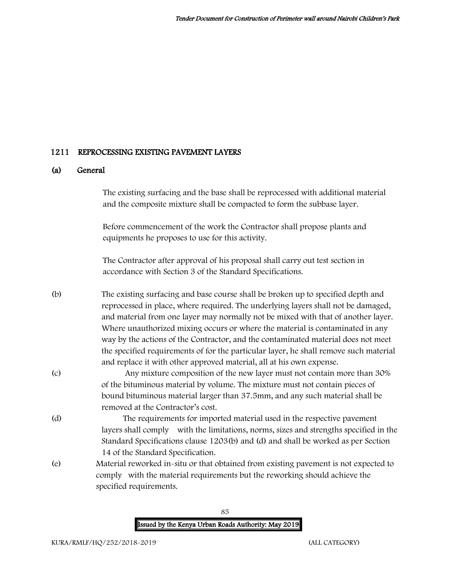## 1211 REPROCESSING EXISTING PAVEMENT LAYERS

#### (a) General

The existing surfacing and the base shall be reprocessed with additional material and the composite mixture shall be compacted to form the subbase layer.

Before commencement of the work the Contractor shall propose plants and equipments he proposes to use for this activity.

The Contractor after approval of his proposal shall carry out test section in accordance with Section 3 of the Standard Specifications.

- (b) The existing surfacing and base course shall be broken up to specified depth and reprocessed in place, where required. The underlying layers shall not be damaged, and material from one layer may normally not be mixed with that of another layer. Where unauthorized mixing occurs or where the material is contaminated in any way by the actions of the Contractor, and the contaminated material does not meet the specified requirements of for the particular layer, he shall remove such material and replace it with other approved material, all at his own expense.
- (c) Any mixture composition of the new layer must not contain more than 30% of the bituminous material by volume. The mixture must not contain pieces of bound bituminous material larger than 37.5mm, and any such material shall be removed at the Contractor's cost.
- (d) The requirements for imported material used in the respective pavement layers shall comply with the limitations, norms, sizes and strengths specified in the Standard Specifications clause 1203(b) and (d) and shall be worked as per Section 14 of the Standard Specification.
- (e) Material reworked in-situ or that obtained from existing pavement is not expected to comply with the material requirements but the reworking should achieve the specified requirements.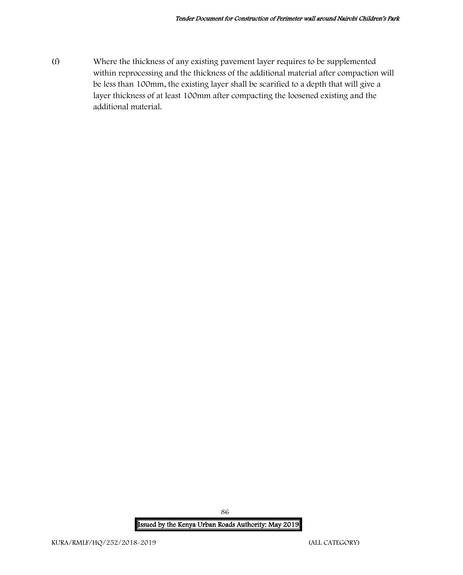(f) Where the thickness of any existing pavement layer requires to be supplemented within reprocessing and the thickness of the additional material after compaction will be less than 100mm, the existing layer shall be scarified to a depth that will give a layer thickness of at least 100mm after compacting the loosened existing and the additional material.

86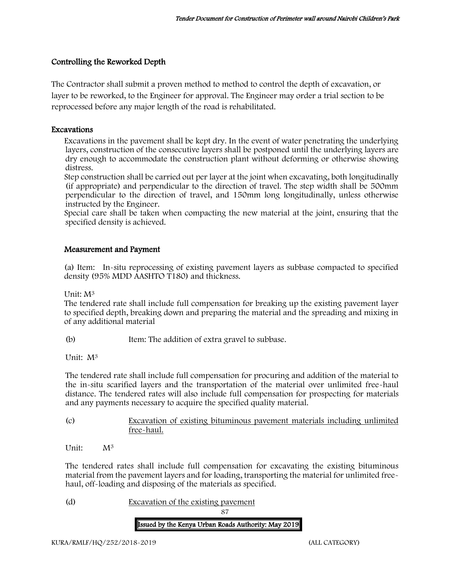# Controlling the Reworked Depth

The Contractor shall submit a proven method to method to control the depth of excavation, or layer to be reworked, to the Engineer for approval. The Engineer may order a trial section to be reprocessed before any major length of the road is rehabilitated.

#### **Excavations**

Excavations in the pavement shall be kept dry. In the event of water penetrating the underlying layers, construction of the consecutive layers shall be postponed until the underlying layers are dry enough to accommodate the construction plant without deforming or otherwise showing distress.

Step construction shall be carried out per layer at the joint when excavating, both longitudinally (if appropriate) and perpendicular to the direction of travel. The step width shall be 500mm perpendicular to the direction of travel, and 150mm long longitudinally, unless otherwise instructed by the Engineer.

Special care shall be taken when compacting the new material at the joint, ensuring that the specified density is achieved.

#### Measurement and Payment

(a) Item: In-situ reprocessing of existing pavement layers as subbase compacted to specified density (95% MDD AASHTO T180) and thickness.

Unit: M<sup>3</sup>

The tendered rate shall include full compensation for breaking up the existing pavement layer to specified depth, breaking down and preparing the material and the spreading and mixing in of any additional material

(b) Item: The addition of extra gravel to subbase.

Unit: M<sup>3</sup>

The tendered rate shall include full compensation for procuring and addition of the material to the in-situ scarified layers and the transportation of the material over unlimited free-haul distance. The tendered rates will also include full compensation for prospecting for materials and any payments necessary to acquire the specified quality material.

(c) Excavation of existing bituminous pavement materials including unlimited free-haul.

Unit: M<sup>3</sup>

The tendered rates shall include full compensation for excavating the existing bituminous material from the pavement layers and for loading, transporting the material for unlimited freehaul, off-loading and disposing of the materials as specified.

(d) Excavation of the existing pavement

87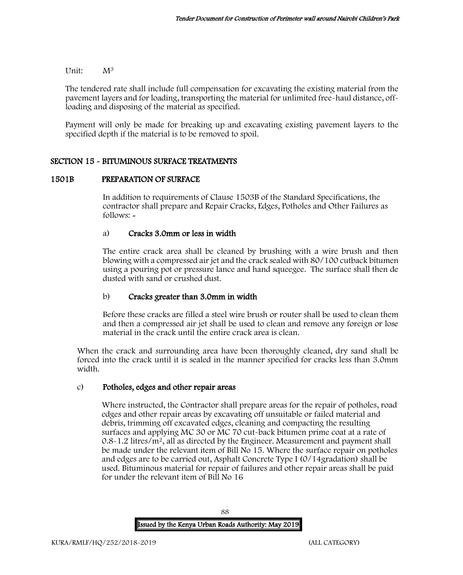Unit: M<sup>3</sup>

The tendered rate shall include full compensation for excavating the existing material from the pavement layers and for loading, transporting the material for unlimited free-haul distance, offloading and disposing of the material as specified.

Payment will only be made for breaking up and excavating existing pavement layers to the specified depth if the material is to be removed to spoil.

# SECTION 15 - BITUMINOUS SURFACE TREATMENTS

## 1501B PREPARATION OF SURFACE

In addition to requirements of Clause 1503B of the Standard Specifications, the contractor shall prepare and Repair Cracks, Edges, Potholes and Other Failures as follows: -

# a) Cracks 3.0mm or less in width

The entire crack area shall be cleaned by brushing with a wire brush and then blowing with a compressed air jet and the crack sealed with 80/100 cutback bitumen using a pouring pot or pressure lance and hand squeegee. The surface shall then de dusted with sand or crushed dust.

## b) Cracks greater than 3.0mm in width

Before these cracks are filled a steel wire brush or router shall be used to clean them and then a compressed air jet shall be used to clean and remove any foreign or lose material in the crack until the entire crack area is clean.

When the crack and surrounding area have been thoroughly cleaned, dry sand shall be forced into the crack until it is sealed in the manner specified for cracks less than 3.0mm width.

## c) Potholes, edges and other repair areas

Where instructed, the Contractor shall prepare areas for the repair of potholes, road edges and other repair areas by excavating off unsuitable or failed material and debris, trimming off excavated edges, cleaning and compacting the resulting surfaces and applying MC 30 or MC 70 cut-back bitumen prime coat at a rate of  $0.8 - 1.2$  litres/ $m^2$ , all as directed by the Engineer. Measurement and payment shall be made under the relevant item of Bill No 15. Where the surface repair on potholes and edges are to be carried out, Asphalt Concrete Type I (0/14gradation) shall be used. Bituminous material for repair of failures and other repair areas shall be paid for under the relevant item of Bill No 16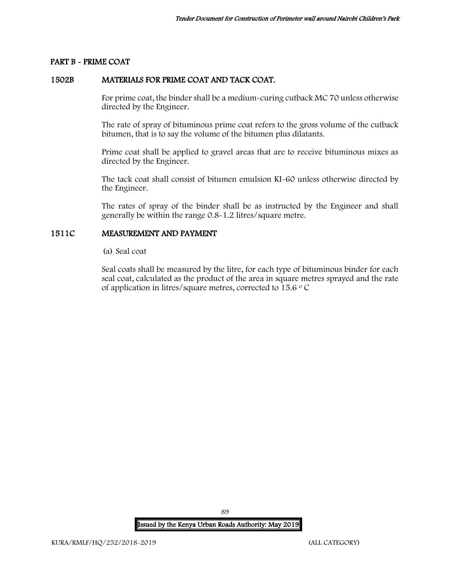## PART B - PRIME COAT

## 1502B MATERIALS FOR PRIME COAT AND TACK COAT.

For prime coat, the binder shall be a medium-curing cutback MC 70 unless otherwise directed by the Engineer.

The rate of spray of bituminous prime coat refers to the gross volume of the cutback bitumen, that is to say the volume of the bitumen plus dilatants.

Prime coat shall be applied to gravel areas that are to receive bituminous mixes as directed by the Engineer.

The tack coat shall consist of bitumen emulsion KI-60 unless otherwise directed by the Engineer.

The rates of spray of the binder shall be as instructed by the Engineer and shall generally be within the range 0.8-1.2 litres/square metre.

#### 1511C MEASUREMENT AND PAYMENT

(a) Seal coat

Seal coats shall be measured by the litre, for each type of bituminous binder for each seal coat, calculated as the product of the area in square metres sprayed and the rate of application in litres/square metres, corrected to  $15.6 \degree$  C

89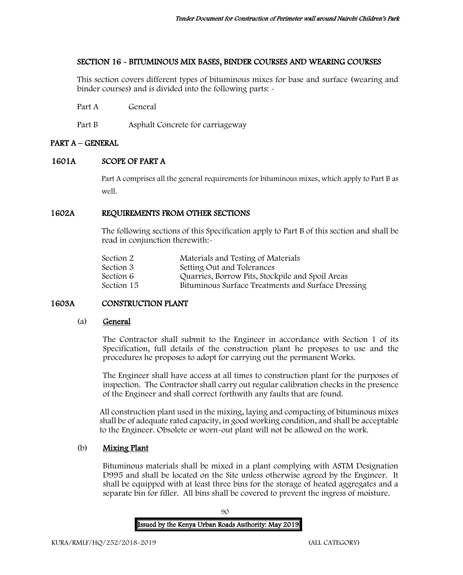#### SECTION 16 - BITUMINOUS MIX BASES, BINDER COURSES AND WEARING COURSES

This section covers different types of bituminous mixes for base and surface (wearing and binder courses) and is divided into the following parts: -

Part A General

Part B Asphalt Concrete for carriageway

#### PART A – GENERAL

#### 1601A SCOPE OF PART A

Part A comprises all the general requirements for bituminous mixes, which apply to Part B as well.

#### 1602A REQUIREMENTS FROM OTHER SECTIONS

The following sections of this Specification apply to Part B of this section and shall be read in conjunction therewith:-

| Section 2  | Materials and Testing of Materials                 |
|------------|----------------------------------------------------|
| Section 3  | Setting Out and Tolerances                         |
| Section 6  | Quarries, Borrow Pits, Stockpile and Spoil Areas   |
| Section 15 | Bituminous Surface Treatments and Surface Dressing |

## 1603A CONSTRUCTION PLANT

#### (a) General

The Contractor shall submit to the Engineer in accordance with Section 1 of its Specification, full details of the construction plant he proposes to use and the procedures he proposes to adopt for carrying out the permanent Works.

The Engineer shall have access at all times to construction plant for the purposes of inspection. The Contractor shall carry out regular calibration checks in the presence of the Engineer and shall correct forthwith any faults that are found.

All construction plant used in the mixing, laying and compacting of bituminous mixes shall be of adequate rated capacity, in good working condition, and shall be acceptable to the Engineer. Obsolete or worn-out plant will not be allowed on the work.

#### (b) Mixing Plant

Bituminous materials shall be mixed in a plant complying with ASTM Designation D995 and shall be located on the Site unless otherwise agreed by the Engineer. It shall be equipped with at least three bins for the storage of heated aggregates and a separate bin for filler. All bins shall be covered to prevent the ingress of moisture.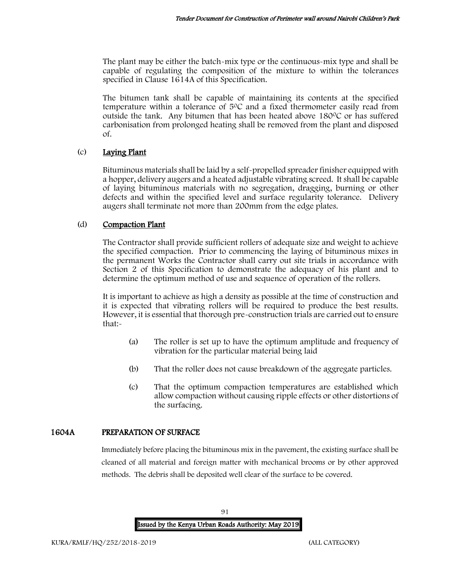The plant may be either the batch-mix type or the continuous-mix type and shall be capable of regulating the composition of the mixture to within the tolerances specified in Clause 1614A of this Specification.

The bitumen tank shall be capable of maintaining its contents at the specified temperature within a tolerance of 5<sup>0</sup>C and a fixed thermometer easily read from outside the tank. Any bitumen that has been heated above 180<sup>0</sup>C or has suffered carbonisation from prolonged heating shall be removed from the plant and disposed of.

# (c) Laying Plant

Bituminous materials shall be laid by a self-propelled spreader finisher equipped with a hopper, delivery augers and a heated adjustable vibrating screed. It shall be capable of laying bituminous materials with no segregation, dragging, burning or other defects and within the specified level and surface regularity tolerance. Delivery augers shall terminate not more than 200mm from the edge plates.

# (d) Compaction Plant

The Contractor shall provide sufficient rollers of adequate size and weight to achieve the specified compaction. Prior to commencing the laying of bituminous mixes in the permanent Works the Contractor shall carry out site trials in accordance with Section 2 of this Specification to demonstrate the adequacy of his plant and to determine the optimum method of use and sequence of operation of the rollers.

It is important to achieve as high a density as possible at the time of construction and it is expected that vibrating rollers will be required to produce the best results. However, it is essential that thorough pre-construction trials are carried out to ensure that:-

- (a) The roller is set up to have the optimum amplitude and frequency of vibration for the particular material being laid
- (b) That the roller does not cause breakdown of the aggregate particles.
- (c) That the optimum compaction temperatures are established which allow compaction without causing ripple effects or other distortions of the surfacing.

# 1604A PREPARATION OF SURFACE

Immediately before placing the bituminous mix in the pavement, the existing surface shall be cleaned of all material and foreign matter with mechanical brooms or by other approved methods. The debris shall be deposited well clear of the surface to be covered.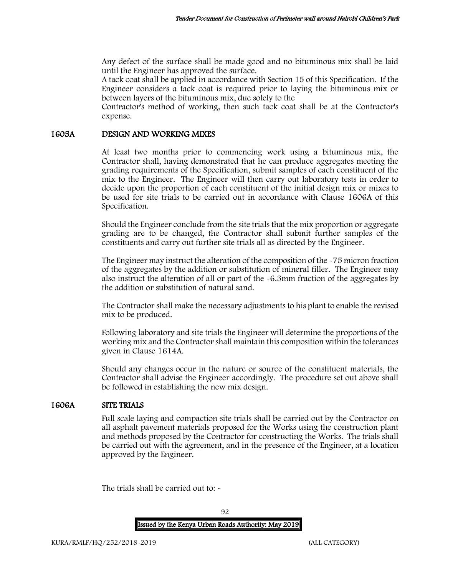Any defect of the surface shall be made good and no bituminous mix shall be laid until the Engineer has approved the surface.

A tack coat shall be applied in accordance with Section 15 of this Specification. If the Engineer considers a tack coat is required prior to laying the bituminous mix or between layers of the bituminous mix, due solely to the

Contractor's method of working, then such tack coat shall be at the Contractor's expense.

#### 1605A DESIGN AND WORKING MIXES

At least two months prior to commencing work using a bituminous mix, the Contractor shall, having demonstrated that he can produce aggregates meeting the grading requirements of the Specification, submit samples of each constituent of the mix to the Engineer. The Engineer will then carry out laboratory tests in order to decide upon the proportion of each constituent of the initial design mix or mixes to be used for site trials to be carried out in accordance with Clause 1606A of this Specification.

Should the Engineer conclude from the site trials that the mix proportion or aggregate grading are to be changed, the Contractor shall submit further samples of the constituents and carry out further site trials all as directed by the Engineer.

The Engineer may instruct the alteration of the composition of the -75 micron fraction of the aggregates by the addition or substitution of mineral filler. The Engineer may also instruct the alteration of all or part of the -6.3mm fraction of the aggregates by the addition or substitution of natural sand.

The Contractor shall make the necessary adjustments to his plant to enable the revised mix to be produced.

Following laboratory and site trials the Engineer will determine the proportions of the working mix and the Contractor shall maintain this composition within the tolerances given in Clause 1614A.

Should any changes occur in the nature or source of the constituent materials, the Contractor shall advise the Engineer accordingly. The procedure set out above shall be followed in establishing the new mix design.

## 1606A SITE TRIALS

Full scale laying and compaction site trials shall be carried out by the Contractor on all asphalt pavement materials proposed for the Works using the construction plant and methods proposed by the Contractor for constructing the Works. The trials shall be carried out with the agreement, and in the presence of the Engineer, at a location approved by the Engineer.

The trials shall be carried out to: -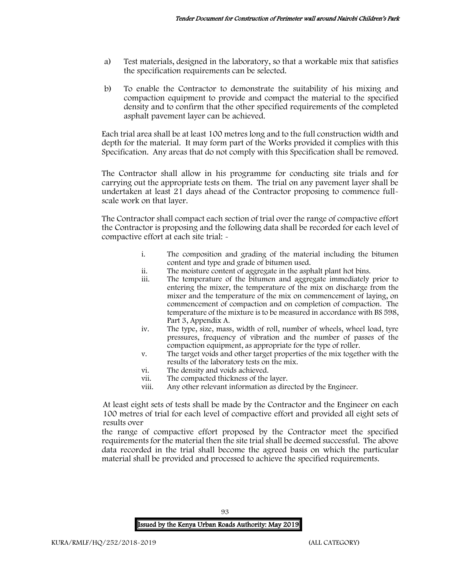- a) Test materials, designed in the laboratory, so that a workable mix that satisfies the specification requirements can be selected.
- b) To enable the Contractor to demonstrate the suitability of his mixing and compaction equipment to provide and compact the material to the specified density and to confirm that the other specified requirements of the completed asphalt pavement layer can be achieved.

Each trial area shall be at least 100 metres long and to the full construction width and depth for the material. It may form part of the Works provided it complies with this Specification. Any areas that do not comply with this Specification shall be removed.

The Contractor shall allow in his programme for conducting site trials and for carrying out the appropriate tests on them. The trial on any pavement layer shall be undertaken at least 21 days ahead of the Contractor proposing to commence fullscale work on that layer.

The Contractor shall compact each section of trial over the range of compactive effort the Contractor is proposing and the following data shall be recorded for each level of compactive effort at each site trial: -

- i. The composition and grading of the material including the bitumen content and type and grade of bitumen used.
- ii. The moisture content of aggregate in the asphalt plant hot bins.
- The temperature of the bitumen and aggregate immediately prior to entering the mixer, the temperature of the mix on discharge from the mixer and the temperature of the mix on commencement of laying, on commencement of compaction and on completion of compaction. The temperature of the mixture is to be measured in accordance with BS 598, Part 3, Appendix A.
- iv. The type, size, mass, width of roll, number of wheels, wheel load, tyre pressures, frequency of vibration and the number of passes of the compaction equipment, as appropriate for the type of roller.
- v. The target voids and other target properties of the mix together with the results of the laboratory tests on the mix.
- vi. The density and voids achieved.<br>vii. The compacted thickness of the
- vii. The compacted thickness of the layer.<br>viii. Any other relevant information as dire
- Any other relevant information as directed by the Engineer.

At least eight sets of tests shall be made by the Contractor and the Engineer on each 100 metres of trial for each level of compactive effort and provided all eight sets of results over

the range of compactive effort proposed by the Contractor meet the specified requirements for the material then the site trial shall be deemed successful. The above data recorded in the trial shall become the agreed basis on which the particular material shall be provided and processed to achieve the specified requirements.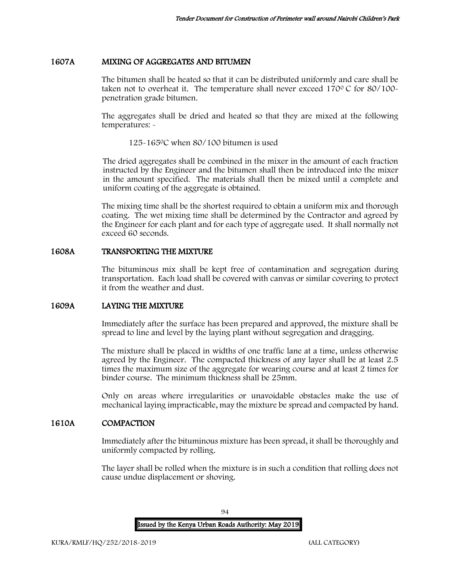#### 1607A MIXING OF AGGREGATES AND BITUMEN

The bitumen shall be heated so that it can be distributed uniformly and care shall be taken not to overheat it. The temperature shall never exceed  $170^{\circ}$  C for  $80/100$ penetration grade bitumen.

The aggregates shall be dried and heated so that they are mixed at the following temperatures: -

125-165<sup>0</sup>C when 80/100 bitumen is used

The dried aggregates shall be combined in the mixer in the amount of each fraction instructed by the Engineer and the bitumen shall then be introduced into the mixer in the amount specified. The materials shall then be mixed until a complete and uniform coating of the aggregate is obtained.

The mixing time shall be the shortest required to obtain a uniform mix and thorough coating. The wet mixing time shall be determined by the Contractor and agreed by the Engineer for each plant and for each type of aggregate used. It shall normally not exceed 60 seconds.

## 1608A TRANSPORTING THE MIXTURE

The bituminous mix shall be kept free of contamination and segregation during transportation. Each load shall be covered with canvas or similar covering to protect it from the weather and dust.

## 1609A LAYING THE MIXTURE

Immediately after the surface has been prepared and approved, the mixture shall be spread to line and level by the laying plant without segregation and dragging.

The mixture shall be placed in widths of one traffic lane at a time, unless otherwise agreed by the Engineer. The compacted thickness of any layer shall be at least 2.5 times the maximum size of the aggregate for wearing course and at least 2 times for binder course. The minimum thickness shall be 25mm.

Only on areas where irregularities or unavoidable obstacles make the use of mechanical laying impracticable, may the mixture be spread and compacted by hand.

## 1610A COMPACTION

Immediately after the bituminous mixture has been spread, it shall be thoroughly and uniformly compacted by rolling.

The layer shall be rolled when the mixture is in such a condition that rolling does not cause undue displacement or shoving.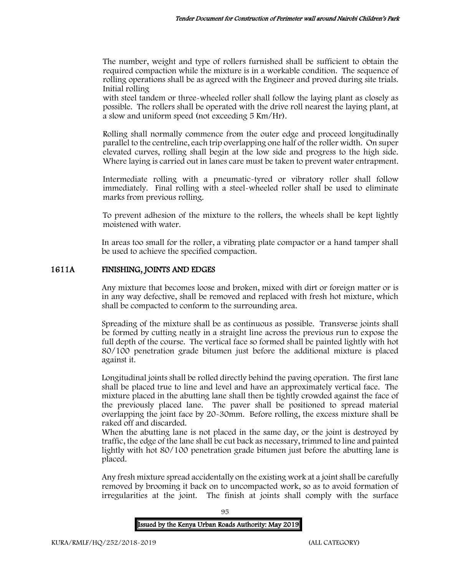The number, weight and type of rollers furnished shall be sufficient to obtain the required compaction while the mixture is in a workable condition. The sequence of rolling operations shall be as agreed with the Engineer and proved during site trials. Initial rolling

with steel tandem or three-wheeled roller shall follow the laying plant as closely as possible. The rollers shall be operated with the drive roll nearest the laying plant, at a slow and uniform speed (not exceeding 5 Km/Hr).

Rolling shall normally commence from the outer edge and proceed longitudinally parallel to the centreline, each trip overlapping one half of the roller width. On super elevated curves, rolling shall begin at the low side and progress to the high side. Where laying is carried out in lanes care must be taken to prevent water entrapment.

Intermediate rolling with a pneumatic-tyred or vibratory roller shall follow immediately. Final rolling with a steel-wheeled roller shall be used to eliminate marks from previous rolling.

To prevent adhesion of the mixture to the rollers, the wheels shall be kept lightly moistened with water.

In areas too small for the roller, a vibrating plate compactor or a hand tamper shall be used to achieve the specified compaction.

## 1611A FINISHING, JOINTS AND EDGES

Any mixture that becomes loose and broken, mixed with dirt or foreign matter or is in any way defective, shall be removed and replaced with fresh hot mixture, which shall be compacted to conform to the surrounding area.

Spreading of the mixture shall be as continuous as possible. Transverse joints shall be formed by cutting neatly in a straight line across the previous run to expose the full depth of the course. The vertical face so formed shall be painted lightly with hot 80/100 penetration grade bitumen just before the additional mixture is placed against it.

Longitudinal joints shall be rolled directly behind the paving operation. The first lane shall be placed true to line and level and have an approximately vertical face. The mixture placed in the abutting lane shall then be tightly crowded against the face of the previously placed lane. The paver shall be positioned to spread material overlapping the joint face by 20-30mm. Before rolling, the excess mixture shall be raked off and discarded.

When the abutting lane is not placed in the same day, or the joint is destroyed by traffic, the edge of the lane shall be cut back as necessary, trimmed to line and painted lightly with hot 80/100 penetration grade bitumen just before the abutting lane is placed.

Any fresh mixture spread accidentally on the existing work at a joint shall be carefully removed by brooming it back on to uncompacted work, so as to avoid formation of irregularities at the joint. The finish at joints shall comply with the surface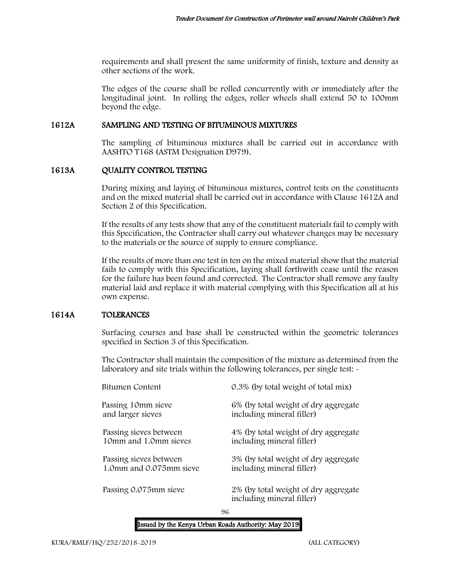requirements and shall present the same uniformity of finish, texture and density as other sections of the work.

The edges of the course shall be rolled concurrently with or immediately after the longitudinal joint. In rolling the edges, roller wheels shall extend 50 to 100mm beyond the edge.

#### 1612A SAMPLING AND TESTING OF BITUMINOUS MIXTURES

The sampling of bituminous mixtures shall be carried out in accordance with AASHTO T168 (ASTM Designation D979).

#### 1613A QUALITY CONTROL TESTING

During mixing and laying of bituminous mixtures, control tests on the constituents and on the mixed material shall be carried out in accordance with Clause 1612A and Section 2 of this Specification.

If the results of any tests show that any of the constituent materials fail to comply with this Specification, the Contractor shall carry out whatever changes may be necessary to the materials or the source of supply to ensure compliance.

If the results of more than one test in ten on the mixed material show that the material fails to comply with this Specification, laying shall forthwith cease until the reason for the failure has been found and corrected. The Contractor shall remove any faulty material laid and replace it with material complying with this Specification all at his own expense.

## 1614A TOLERANCES

Surfacing courses and base shall be constructed within the geometric tolerances specified in Section 3 of this Specification.

The Contractor shall maintain the composition of the mixture as determined from the laboratory and site trials within the following tolerances, per single test: -

| Bitumen Content         | 0.3% (by total weight of total mix)                               |
|-------------------------|-------------------------------------------------------------------|
| Passing 10mm sieve      | 6% (by total weight of dry aggregate                              |
| and larger sieves       | including mineral filler)                                         |
| Passing sieves between  | 4% (by total weight of dry aggregate                              |
| 10mm and 1.0mm sieves   | including mineral filler)                                         |
| Passing sieves between  | 3% (by total weight of dry aggregate                              |
| 1.0mm and 0.075mm sieve | including mineral filler)                                         |
| Passing 0.075mm sieve   | 2% (by total weight of dry aggregate<br>including mineral filler) |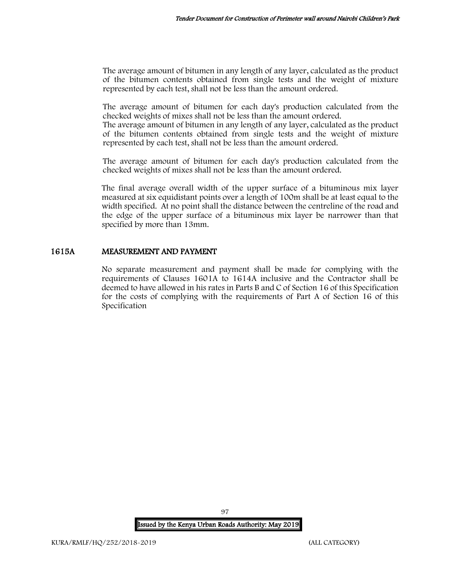The average amount of bitumen in any length of any layer, calculated as the product of the bitumen contents obtained from single tests and the weight of mixture represented by each test, shall not be less than the amount ordered.

The average amount of bitumen for each day's production calculated from the checked weights of mixes shall not be less than the amount ordered.

The average amount of bitumen in any length of any layer, calculated as the product of the bitumen contents obtained from single tests and the weight of mixture represented by each test, shall not be less than the amount ordered.

The average amount of bitumen for each day's production calculated from the checked weights of mixes shall not be less than the amount ordered.

The final average overall width of the upper surface of a bituminous mix layer measured at six equidistant points over a length of 100m shall be at least equal to the width specified. At no point shall the distance between the centreline of the road and the edge of the upper surface of a bituminous mix layer be narrower than that specified by more than 13mm.

# 1615A MEASUREMENT AND PAYMENT

No separate measurement and payment shall be made for complying with the requirements of Clauses 1601A to 1614A inclusive and the Contractor shall be deemed to have allowed in his rates in Parts B and C of Section 16 of this Specification for the costs of complying with the requirements of Part A of Section 16 of this Specification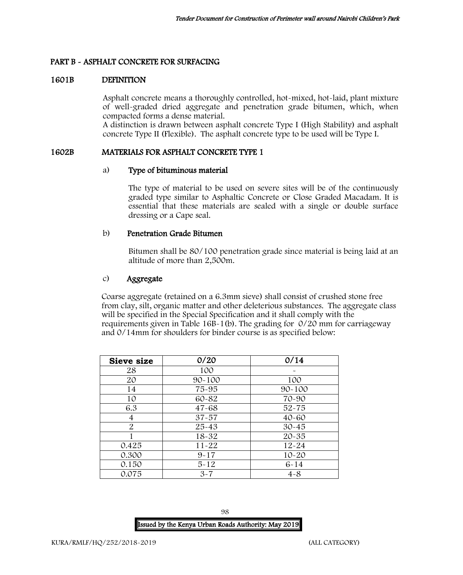#### PART B - ASPHALT CONCRETE FOR SURFACING

#### 1601B DEFINITION

Asphalt concrete means a thoroughly controlled, hot-mixed, hot-laid, plant mixture of well-graded dried aggregate and penetration grade bitumen, which, when compacted forms a dense material.

A distinction is drawn between asphalt concrete Type I (High Stability) and asphalt concrete Type II (Flexible). The asphalt concrete type to be used will be Type I.

#### 1602B MATERIALS FOR ASPHALT CONCRETE TYPE 1

#### a) Type of bituminous material

The type of material to be used on severe sites will be of the continuously graded type similar to Asphaltic Concrete or Close Graded Macadam. It is essential that these materials are sealed with a single or double surface dressing or a Cape seal.

#### b) Penetration Grade Bitumen

Bitumen shall be 80/100 penetration grade since material is being laid at an altitude of more than 2,500m.

## c) Aggregate

Coarse aggregate (retained on a 6.3mm sieve) shall consist of crushed stone free from clay, silt, organic matter and other deleterious substances. The aggregate class will be specified in the Special Specification and it shall comply with the requirements given in Table 16B-1(b). The grading for 0/20 mm for carriageway and 0/14mm for shoulders for binder course is as specified below:

| <b>Sieve size</b> | 0/20       | 0/14       |
|-------------------|------------|------------|
| 28                | 100        |            |
| 20                | $90 - 100$ | 100        |
| 14                | 75-95      | $90 - 100$ |
| 10                | 60-82      | 70-90      |
| 6.3               | $47 - 68$  | $52 - 75$  |
| 4                 | $37 - 57$  | $40 - 60$  |
| $\overline{2}$    | $25 - 43$  | $30 - 45$  |
|                   | $18 - 32$  | $20 - 35$  |
| 0.425             | $11 - 22$  | $12 - 24$  |
| 0.300             | $9 - 17$   | $10 - 20$  |
| 0.150             | $5 - 12$   | $6 - 14$   |
| 0.075             | $3 - 7$    | $4 - 8$    |

Issued by the Kenya Urban Roads Authority: May 2019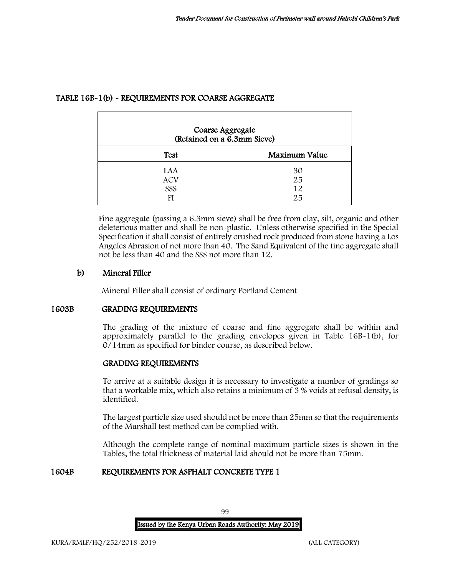# TABLE 16B-1(b) - REQUIREMENTS FOR COARSE AGGREGATE

| Coarse Aggregate<br>(Retained on a 6.3mm Sieve) |                      |  |  |
|-------------------------------------------------|----------------------|--|--|
| <b>Test</b>                                     | Maximum Value        |  |  |
| LAA<br><b>ACV</b><br>SSS<br>FI                  | 30<br>25<br>12<br>25 |  |  |

Fine aggregate (passing a 6.3mm sieve) shall be free from clay, silt, organic and other deleterious matter and shall be non-plastic. Unless otherwise specified in the Special Specification it shall consist of entirely crushed rock produced from stone having a Los Angeles Abrasion of not more than 40. The Sand Equivalent of the fine aggregate shall not be less than 40 and the SSS not more than 12.

# b) Mineral Filler

Mineral Filler shall consist of ordinary Portland Cement

## 1603B GRADING REQUIREMENTS

The grading of the mixture of coarse and fine aggregate shall be within and approximately parallel to the grading envelopes given in Table 16B-1(b), for 0/14mm as specified for binder course, as described below.

## GRADING REQUIREMENTS

To arrive at a suitable design it is necessary to investigate a number of gradings so that a workable mix, which also retains a minimum of 3 % voids at refusal density, is identified.

The largest particle size used should not be more than 25mm so that the requirements of the Marshall test method can be complied with.

Although the complete range of nominal maximum particle sizes is shown in the Tables, the total thickness of material laid should not be more than 75mm.

## 1604B REQUIREMENTS FOR ASPHALT CONCRETE TYPE 1

99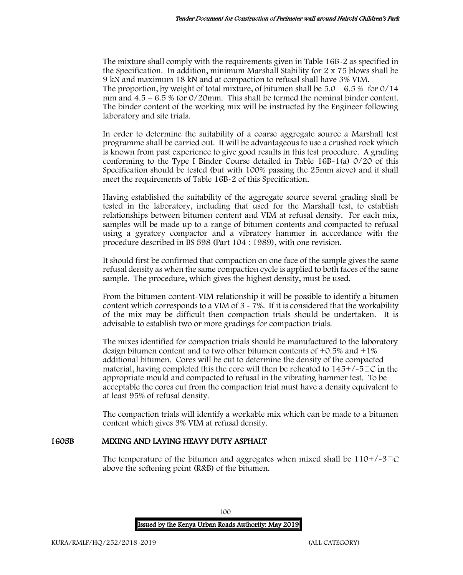The mixture shall comply with the requirements given in Table 16B-2 as specified in the Specification. In addition, minimum Marshall Stability for 2 x 75 blows shall be 9 kN and maximum 18 kN and at compaction to refusal shall have 3% VIM. The proportion, by weight of total mixture, of bitumen shall be  $5.0 - 6.5\%$  for  $0/14$ mm and  $4.5 - 6.5$  % for  $O/20$ mm. This shall be termed the nominal binder content. The binder content of the working mix will be instructed by the Engineer following laboratory and site trials.

In order to determine the suitability of a coarse aggregate source a Marshall test programme shall be carried out. It will be advantageous to use a crushed rock which is known from past experience to give good results in this test procedure. A grading conforming to the Type I Binder Course detailed in Table 16B-1(a) 0/20 of this Specification should be tested (but with 100% passing the 25mm sieve) and it shall meet the requirements of Table 16B-2 of this Specification.

Having established the suitability of the aggregate source several grading shall be tested in the laboratory, including that used for the Marshall test, to establish relationships between bitumen content and VIM at refusal density. For each mix, samples will be made up to a range of bitumen contents and compacted to refusal using a gyratory compactor and a vibratory hammer in accordance with the procedure described in BS 598 (Part 104 : 1989), with one revision.

It should first be confirmed that compaction on one face of the sample gives the same refusal density as when the same compaction cycle is applied to both faces of the same sample. The procedure, which gives the highest density, must be used.

From the bitumen content-VIM relationship it will be possible to identify a bitumen content which corresponds to a VIM of  $3 - 7\%$ . If it is considered that the workability of the mix may be difficult then compaction trials should be undertaken. It is advisable to establish two or more gradings for compaction trials.

The mixes identified for compaction trials should be manufactured to the laboratory design bitumen content and to two other bitumen contents of  $+0.5\%$  and  $+1\%$ additional bitumen. Cores will be cut to determine the density of the compacted material, having completed this the core will then be reheated to  $145+\sqrt{5}$  = C in the appropriate mould and compacted to refusal in the vibrating hammer test. To be acceptable the cores cut from the compaction trial must have a density equivalent to at least 95% of refusal density.

The compaction trials will identify a workable mix which can be made to a bitumen content which gives 3% VIM at refusal density.

## 1605B MIXING AND LAYING HEAVY DUTY ASPHALT

The temperature of the bitumen and aggregates when mixed shall be  $110+/3\square C$ above the softening point (R&B) of the bitumen.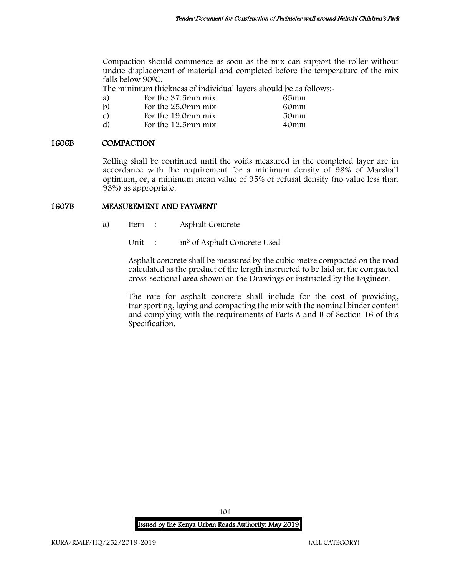Compaction should commence as soon as the mix can support the roller without undue displacement of material and completed before the temperature of the mix falls below 90<sup>o</sup>C.

The minimum thickness of individual layers should be as follows:-

- a) For the 37.5mm mix 65mm<br>b) For the 25.0mm mix 60mm
	- For the 25.0mm mix 60mm<br>For the 19.0mm mix 50mm
- c) For the 19.0mm mix 50mm<br>d) For the 12.5mm mix 40mm
	- For the  $12.5$ mm mix

#### 1606B COMPACTION

Rolling shall be continued until the voids measured in the completed layer are in accordance with the requirement for a minimum density of 98% of Marshall optimum, or, a minimum mean value of 95% of refusal density (no value less than 93%) as appropriate.

#### 1607B MEASUREMENT AND PAYMENT

a) Item : Asphalt Concrete

Unit : m<sup>3</sup> of Asphalt Concrete Used

Asphalt concrete shall be measured by the cubic metre compacted on the road calculated as the product of the length instructed to be laid an the compacted cross-sectional area shown on the Drawings or instructed by the Engineer.

The rate for asphalt concrete shall include for the cost of providing, transporting, laying and compacting the mix with the nominal binder content and complying with the requirements of Parts A and B of Section 16 of this Specification.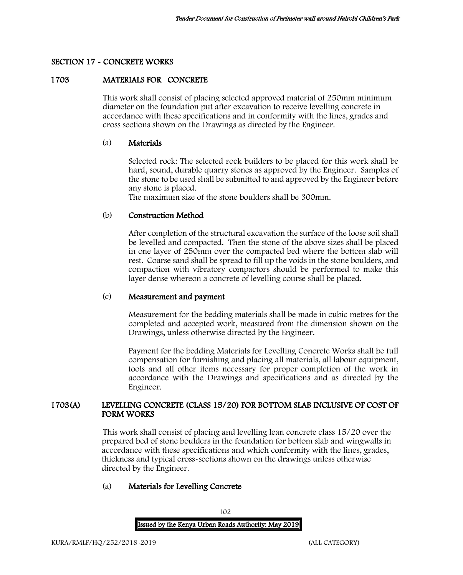#### SECTION 17 - CONCRETE WORKS

#### 1703 MATERIALS FOR CONCRETE

This work shall consist of placing selected approved material of 250mm minimum diameter on the foundation put after excavation to receive levelling concrete in accordance with these specifications and in conformity with the lines, grades and cross sections shown on the Drawings as directed by the Engineer.

#### (a) Materials

Selected rock: The selected rock builders to be placed for this work shall be hard, sound, durable quarry stones as approved by the Engineer. Samples of the stone to be used shall be submitted to and approved by the Engineer before any stone is placed.

The maximum size of the stone boulders shall be 300mm.

## (b) Construction Method

After completion of the structural excavation the surface of the loose soil shall be levelled and compacted. Then the stone of the above sizes shall be placed in one layer of 250mm over the compacted bed where the bottom slab will rest. Coarse sand shall be spread to fill up the voids in the stone boulders, and compaction with vibratory compactors should be performed to make this layer dense whereon a concrete of levelling course shall be placed.

## (c) Measurement and payment

Measurement for the bedding materials shall be made in cubic metres for the completed and accepted work, measured from the dimension shown on the Drawings, unless otherwise directed by the Engineer.

Payment for the bedding Materials for Levelling Concrete Works shall be full compensation for furnishing and placing all materials, all labour equipment, tools and all other items necessary for proper completion of the work in accordance with the Drawings and specifications and as directed by the Engineer.

#### 1703(A) LEVELLING CONCRETE (CLASS 15/20) FOR BOTTOM SLAB INCLUSIVE OF COST OF FORM WORKS

This work shall consist of placing and levelling lean concrete class 15/20 over the prepared bed of stone boulders in the foundation for bottom slab and wingwalls in accordance with these specifications and which conformity with the lines, grades, thickness and typical cross-sections shown on the drawings unless otherwise directed by the Engineer.

## (a) Materials for Levelling Concrete

Issued by the Kenya Urban Roads Authority: May 2019

102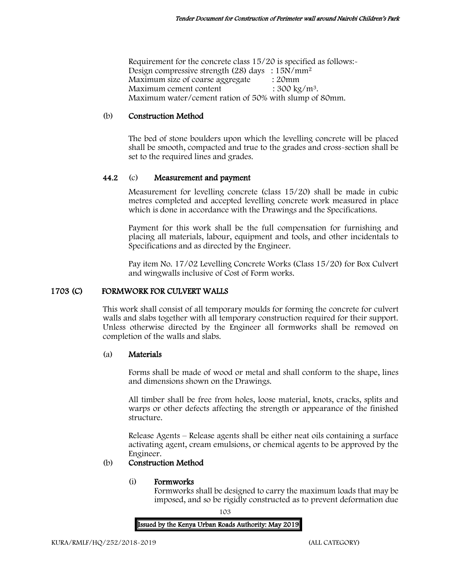Requirement for the concrete class 15/20 is specified as follows:-Design compressive strength (28) days : 15N/mm<sup>2</sup><br>Maximum size of coarse aggregate : 20mm Maximum size of coarse aggregate : 20mm<br>Maximum cement content : 300 kg/m<sup>3</sup>. Maximum cement content Maximum water/cement ration of 50% with slump of 80mm.

## (b) Construction Method

The bed of stone boulders upon which the levelling concrete will be placed shall be smooth, compacted and true to the grades and cross-section shall be set to the required lines and grades.

## 44.2 (c) Measurement and payment

Measurement for levelling concrete (class 15/20) shall be made in cubic metres completed and accepted levelling concrete work measured in place which is done in accordance with the Drawings and the Specifications.

Payment for this work shall be the full compensation for furnishing and placing all materials, labour, equipment and tools, and other incidentals to Specifications and as directed by the Engineer.

Pay item No. 17/02 Levelling Concrete Works (Class 15/20) for Box Culvert and wingwalls inclusive of Cost of Form works.

## 1703 (C) FORMWORK FOR CULVERT WALLS

This work shall consist of all temporary moulds for forming the concrete for culvert walls and slabs together with all temporary construction required for their support. Unless otherwise directed by the Engineer all formworks shall be removed on completion of the walls and slabs.

## (a) Materials

Forms shall be made of wood or metal and shall conform to the shape, lines and dimensions shown on the Drawings.

All timber shall be free from holes, loose material, knots, cracks, splits and warps or other defects affecting the strength or appearance of the finished structure.

Release Agents – Release agents shall be either neat oils containing a surface activating agent, cream emulsions, or chemical agents to be approved by the Engineer.

## (b) Construction Method

## (i) Formworks

Formworks shall be designed to carry the maximum loads that may be imposed, and so be rigidly constructed as to prevent deformation due

103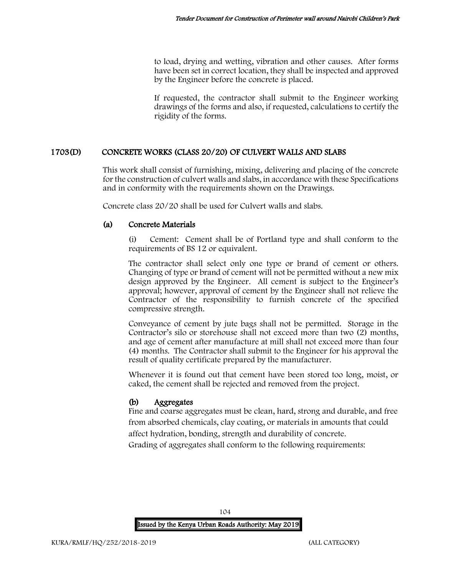to load, drying and wetting, vibration and other causes. After forms have been set in correct location, they shall be inspected and approved by the Engineer before the concrete is placed.

If requested, the contractor shall submit to the Engineer working drawings of the forms and also, if requested, calculations to certify the rigidity of the forms.

## 1703(D) CONCRETE WORKS (CLASS 20/20) OF CULVERT WALLS AND SLABS

This work shall consist of furnishing, mixing, delivering and placing of the concrete for the construction of culvert walls and slabs, in accordance with these Specifications and in conformity with the requirements shown on the Drawings.

Concrete class 20/20 shall be used for Culvert walls and slabs.

#### (a) Concrete Materials

(i) Cement: Cement shall be of Portland type and shall conform to the requirements of BS 12 or equivalent.

The contractor shall select only one type or brand of cement or others. Changing of type or brand of cement will not be permitted without a new mix design approved by the Engineer. All cement is subject to the Engineer's approval; however, approval of cement by the Engineer shall not relieve the Contractor of the responsibility to furnish concrete of the specified compressive strength.

Conveyance of cement by jute bags shall not be permitted. Storage in the Contractor's silo or storehouse shall not exceed more than two (2) months, and age of cement after manufacture at mill shall not exceed more than four (4) months. The Contractor shall submit to the Engineer for his approval the result of quality certificate prepared by the manufacturer.

Whenever it is found out that cement have been stored too long, moist, or caked, the cement shall be rejected and removed from the project.

## (b) Aggregates

Fine and coarse aggregates must be clean, hard, strong and durable, and free from absorbed chemicals, clay coating, or materials in amounts that could affect hydration, bonding, strength and durability of concrete.

Grading of aggregates shall conform to the following requirements: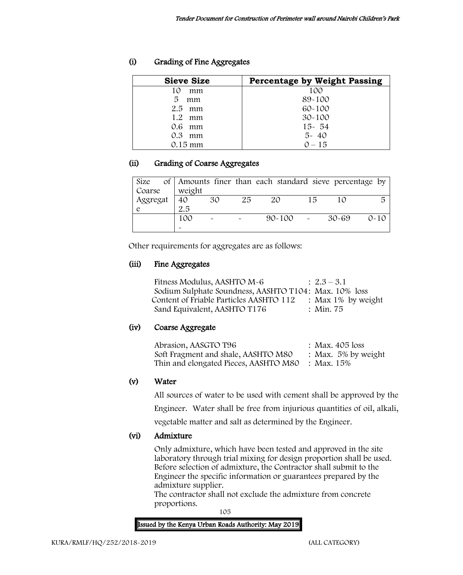| <b>Sieve Size</b> | Percentage by Weight Passing |
|-------------------|------------------------------|
| mm<br>10          | 100                          |
| 5<br>mm           | 89-100                       |
| $2.5$ mm          | $60 - 100$                   |
| $1.2 \cdot mm$    | $30 - 100$                   |
| $0.6$ mm          | $15 - 54$                    |
| $0.3$ mm          | $5 - 40$                     |
| $0.15$ mm         | $0 - 15$                     |

# (i) Grading of Fine Aggregates

# (ii) Grading of Coarse Aggregates

| Coarse   | weight     |                       |    | Size of Amounts finer than each standard sieve percentage by |    |       |          |
|----------|------------|-----------------------|----|--------------------------------------------------------------|----|-------|----------|
| Aggregat | 40         | 30                    | 25 | 20                                                           | 15 | 10    | 局        |
| e        | 2.5<br>100 | $\tilde{\phantom{a}}$ |    | $90 - 100$                                                   |    | 30-69 | $0 - 10$ |
|          |            |                       |    |                                                              |    |       |          |

Other requirements for aggregates are as follows:

# (iii) Fine Aggregates

| Fitness Modulus, AASHTO M-6                           | $\therefore$ 2.3 – 3.1 |
|-------------------------------------------------------|------------------------|
| Sodium Sulphate Soundness, AASHTO T104: Max. 10% loss |                        |
| Content of Friable Particles AASHTO 112               | : Max $1\%$ by weight  |
| Sand Equivalent, AASHTO T176                          | : Min. 75              |

## (iv) Coarse Aggregate

| Abrasion, AASGTO T96                             | : Max. $405$ loss      |
|--------------------------------------------------|------------------------|
| Soft Fragment and shale, AASHTO M80              | : Max. $5\%$ by weight |
| Thin and elongated Pieces, AASHTO M80 : Max. 15% |                        |

## (v) Water

All sources of water to be used with cement shall be approved by the

Engineer. Water shall be free from injurious quantities of oil, alkali,

vegetable matter and salt as determined by the Engineer.

## (vi) Admixture

Only admixture, which have been tested and approved in the site laboratory through trial mixing for design proportion shall be used. Before selection of admixture, the Contractor shall submit to the Engineer the specific information or guarantees prepared by the admixture supplier.

The contractor shall not exclude the admixture from concrete proportions.

105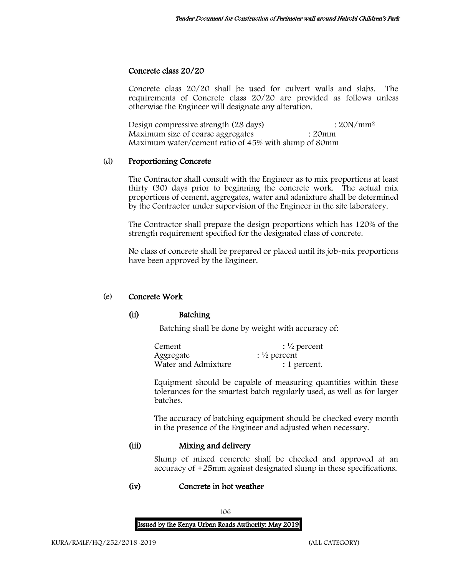#### Concrete class 20/20

Concrete class 20/20 shall be used for culvert walls and slabs. The requirements of Concrete class 20/20 are provided as follows unless otherwise the Engineer will designate any alteration.

Design compressive strength (28 days) : 20N/mm<sup>2</sup> Maximum size of coarse aggregates : 20mm Maximum water/cement ratio of 45% with slump of 80mm

#### (d) Proportioning Concrete

The Contractor shall consult with the Engineer as to mix proportions at least thirty (30) days prior to beginning the concrete work. The actual mix proportions of cement, aggregates, water and admixture shall be determined by the Contractor under supervision of the Engineer in the site laboratory.

The Contractor shall prepare the design proportions which has 120% of the strength requirement specified for the designated class of concrete.

No class of concrete shall be prepared or placed until its job-mix proportions have been approved by the Engineer.

## (e) Concrete Work

## (ii) Batching

Batching shall be done by weight with accuracy of:

| Cement              | $\frac{1}{2}$ percent |
|---------------------|-----------------------|
| Aggregate           | $\frac{1}{2}$ percent |
| Water and Admixture | : 1 percent.          |

Equipment should be capable of measuring quantities within these tolerances for the smartest batch regularly used, as well as for larger batches.

The accuracy of batching equipment should be checked every month in the presence of the Engineer and adjusted when necessary.

## (iii) Mixing and delivery

Slump of mixed concrete shall be checked and approved at an accuracy of +25mm against designated slump in these specifications.

## (iv) Concrete in hot weather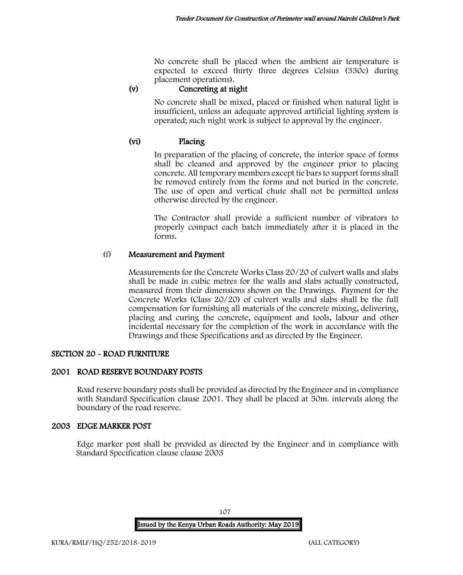No concrete shall be placed when the ambient air temperature is expected to exceed thirty three degrees Celsius (330c) during placement operations).

# (v) Concreting at night

No concrete shall be mixed, placed or finished when natural light is insufficient, unless an adequate approved artificial lighting system is operated; such night work is subject to approval by the engineer.

# (vi) Placing

In preparation of the placing of concrete, the interior space of forms shall be cleaned and approved by the engineer prior to placing concrete. All temporary members except tie bars to support forms shall be removed entirely from the forms and not buried in the concrete. The use of open and vertical chute shall not be permitted unless otherwise directed by the engineer.

The Contractor shall provide a sufficient number of vibrators to properly compact each batch immediately after it is placed in the forms.

# (f) Measurement and Payment

Measurements for the Concrete Works Class 20/20 of culvert walls and slabs shall be made in cubic metres for the walls and slabs actually constructed, measured from their dimensions shown on the Drawings. Payment for the Concrete Works (Class 20/20) of culvert walls and slabs shall be the full compensation for furnishing all materials of the concrete mixing, delivering, placing and curing the concrete, equipment and tools, labour and other incidental necessary for the completion of the work in accordance with the Drawings and these Specifications and as directed by the Engineer.

## SECTION 20 - ROAD FURNITURE

## 2001 ROAD RESERVE BOUNDARY POSTS

Road reserve boundary posts shall be provided as directed by the Engineer and in compliance with Standard Specification clause 2001. They shall be placed at 50m. intervals along the boundary of the road reserve.

## 2003 EDGE MARKER POST

Edge marker post shall be provided as directed by the Engineer and in compliance with Standard Specification clause clause 2003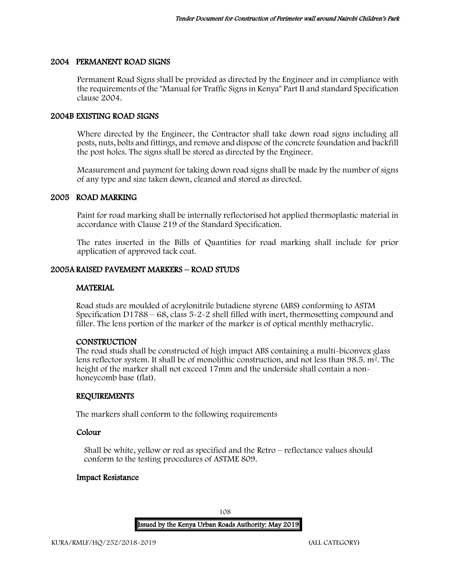#### 2004 PERMANENT ROAD SIGNS

Permanent Road Signs shall be provided as directed by the Engineer and in compliance with the requirements of the "Manual for Traffic Signs in Kenya" Part II and standard Specification clause 2004.

#### 2004B EXISTING ROAD SIGNS

Where directed by the Engineer, the Contractor shall take down road signs including all posts, nuts, bolts and fittings, and remove and dispose of the concrete foundation and backfill the post holes. The signs shall be stored as directed by the Engineer.

Measurement and payment for taking down road signs shall be made by the number of signs of any type and size taken down, cleaned and stored as directed.

#### 2005 ROAD MARKING

Paint for road marking shall be internally reflectorised hot applied thermoplastic material in accordance with Clause 219 of the Standard Specification.

The rates inserted in the Bills of Quantities for road marking shall include for prior application of approved tack coat.

#### 2005A RAISED PAVEMENT MARKERS – ROAD STUDS

#### **MATERIAL**

Road studs are moulded of acrylonitrile butadiene styrene (ABS) conforming to ASTM Specification D1788 – 68, class 5-2-2 shell filled with inert, thermosetting compound and filler. The lens portion of the marker of the marker is of optical menthly methacrylic.

#### CONSTRUCTION

The road studs shall be constructed of high impact ABS containing a multi-biconvex glass lens reflector system. It shall be of monolithic construction, and not less than 98.5, m<sup>2</sup>. The height of the marker shall not exceed 17mm and the underside shall contain a nonhoneycomb base (flat).

#### REQUIREMENTS

The markers shall conform to the following requirements

#### Colour

Shall be white, yellow or red as specified and the Retro – reflectance values should conform to the testing procedures of ASTME 809.

#### Impact Resistance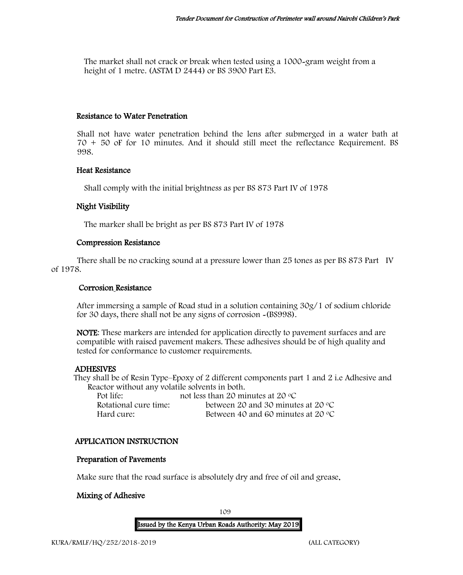The market shall not crack or break when tested using a 1000-gram weight from a height of 1 metre. (ASTM D 2444) or BS 3900 Part E3.

### Resistance to Water Penetration

Shall not have water penetration behind the lens after submerged in a water bath at 70 + 50 oF for 10 minutes. And it should still meet the reflectance Requirement. BS 998.

### Heat Resistance

Shall comply with the initial brightness as per BS 873 Part IV of 1978

## Night Visibility

The marker shall be bright as per BS 873 Part IV of 1978

### Compression Resistance

There shall be no cracking sound at a pressure lower than 25 tones as per BS 873 Part IV of 1978.

#### Corrosion Resistance

After immersing a sample of Road stud in a solution containing 30g/1 of sodium chloride for 30 days, there shall not be any signs of corrosion -(BS998).

NOTE: These markers are intended for application directly to pavement surfaces and are compatible with raised pavement makers. These adhesives should be of high quality and tested for conformance to customer requirements.

#### ADHESIVES

They shall be of Resin Type–Epoxy of 2 different components part 1 and 2 i.e Adhesive and Reactor without any volatile solvents in both.<br>Pot life: not less than 20 mi

Pot life: not less than 20 minutes at 20 °C<br>Rotational cure time: between 20 and 30 minut Rotational cure time: between 20 and 30 minutes at 20 °C<br>Hard cure: Between 40 and 60 minutes at 20 °C Between 40 and 60 minutes at 20  $\degree$ C

## APPLICATION INSTRUCTION

#### Preparation of Pavements

Make sure that the road surface is absolutely dry and free of oil and grease.

## Mixing of Adhesive

109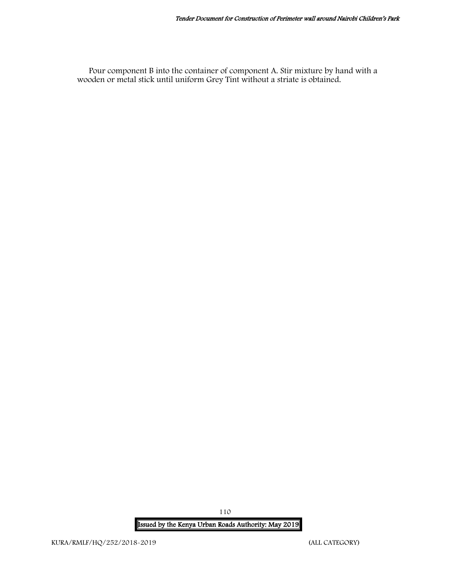Pour component B into the container of component A. Stir mixture by hand with a wooden or metal stick until uniform Grey Tint without a striate is obtained.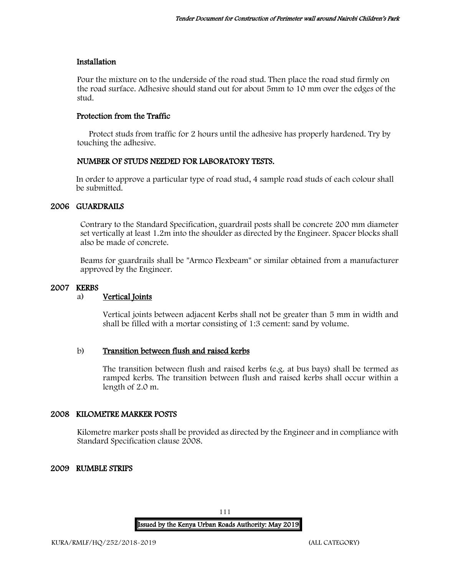### Installation

Pour the mixture on to the underside of the road stud. Then place the road stud firmly on the road surface. Adhesive should stand out for about 5mm to 10 mm over the edges of the stud.

### Protection from the Traffic

Protect studs from traffic for 2 hours until the adhesive has properly hardened. Try by touching the adhesive.

### NUMBER OF STUDS NEEDED FOR LABORATORY TESTS.

In order to approve a particular type of road stud, 4 sample road studs of each colour shall be submitted.

# 2006 GUARDRAILS

Contrary to the Standard Specification, guardrail posts shall be concrete 200 mm diameter set vertically at least 1.2m into the shoulder as directed by the Engineer. Spacer blocks shall also be made of concrete.

Beams for guardrails shall be "Armco Flexbeam" or similar obtained from a manufacturer approved by the Engineer.

#### 2007 KERBS

#### a) Vertical Joints

Vertical joints between adjacent Kerbs shall not be greater than 5 mm in width and shall be filled with a mortar consisting of 1:3 cement: sand by volume.

## b) Transition between flush and raised kerbs

The transition between flush and raised kerbs (e.g. at bus bays) shall be termed as ramped kerbs. The transition between flush and raised kerbs shall occur within a length of 2.0 m.

### 2008 KILOMETRE MARKER POSTS

Kilometre marker posts shall be provided as directed by the Engineer and in compliance with Standard Specification clause 2008.

## 2009 RUMBLE STRIPS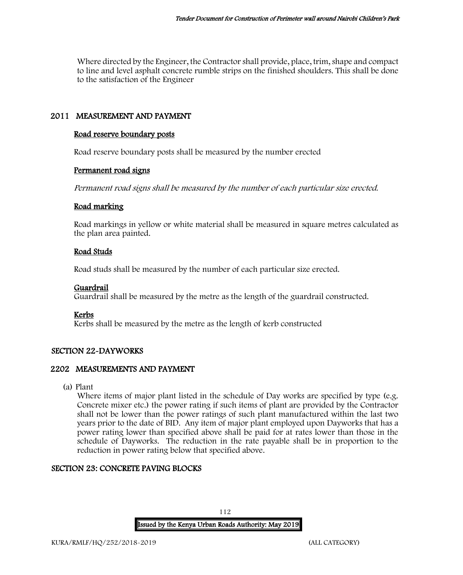Where directed by the Engineer, the Contractor shall provide, place, trim, shape and compact to line and level asphalt concrete rumble strips on the finished shoulders. This shall be done to the satisfaction of the Engineer

# 2011 MEASUREMENT AND PAYMENT

### Road reserve boundary posts

Road reserve boundary posts shall be measured by the number erected

### Permanent road signs

Permanent road signs shall be measured by the number of each particular size erected.

## Road marking

Road markings in yellow or white material shall be measured in square metres calculated as the plan area painted.

## Road Studs

Road studs shall be measured by the number of each particular size erected.

### Guardrail

Guardrail shall be measured by the metre as the length of the guardrail constructed.

## Kerbs

Kerbs shall be measured by the metre as the length of kerb constructed

## SECTION 22-DAYWORKS

## 2202 MEASUREMENTS AND PAYMENT

(a) Plant

Where items of major plant listed in the schedule of Day works are specified by type (e.g. Concrete mixer etc.) the power rating if such items of plant are provided by the Contractor shall not be lower than the power ratings of such plant manufactured within the last two years prior to the date of BID. Any item of major plant employed upon Dayworks that has a power rating lower than specified above shall be paid for at rates lower than those in the schedule of Dayworks. The reduction in the rate payable shall be in proportion to the reduction in power rating below that specified above.

## SECTION 23: CONCRETE PAVING BLOCKS

112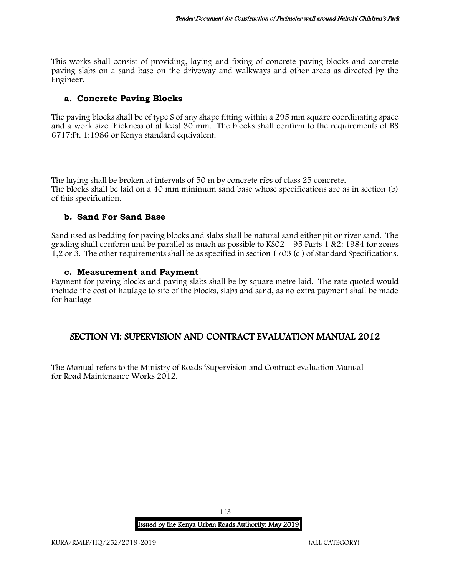This works shall consist of providing, laying and fixing of concrete paving blocks and concrete paving slabs on a sand base on the driveway and walkways and other areas as directed by the Engineer.

# **a. Concrete Paving Blocks**

The paving blocks shall be of type S of any shape fitting within a 295 mm square coordinating space and a work size thickness of at least 30 mm. The blocks shall confirm to the requirements of BS 6717:Pt. 1:1986 or Kenya standard equivalent.

The laying shall be broken at intervals of 50 m by concrete ribs of class 25 concrete. The blocks shall be laid on a 40 mm minimum sand base whose specifications are as in section (b) of this specification.

# **b. Sand For Sand Base**

Sand used as bedding for paving blocks and slabs shall be natural sand either pit or river sand. The grading shall conform and be parallel as much as possible to KS02 – 95 Parts 1 &2: 1984 for zones 1,2 or 3. The other requirements shall be as specified in section 1703 (c ) of Standard Specifications.

## **c. Measurement and Payment**

Payment for paving blocks and paving slabs shall be by square metre laid. The rate quoted would include the cost of haulage to site of the blocks, slabs and sand, as no extra payment shall be made for haulage

# SECTION VI: SUPERVISION AND CONTRACT EVALUATION MANUAL 2012

The Manual refers to the Ministry of Roads 'Supervision and Contract evaluation Manual for Road Maintenance Works 2012.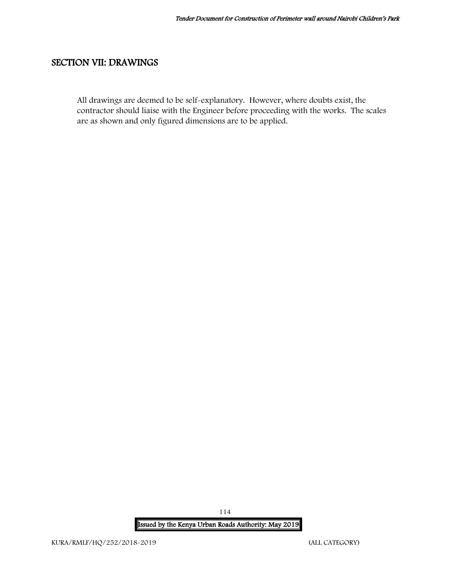# SECTION VII: DRAWINGS

All drawings are deemed to be self-explanatory. However, where doubts exist, the contractor should liaise with the Engineer before proceeding with the works. The scales are as shown and only figured dimensions are to be applied.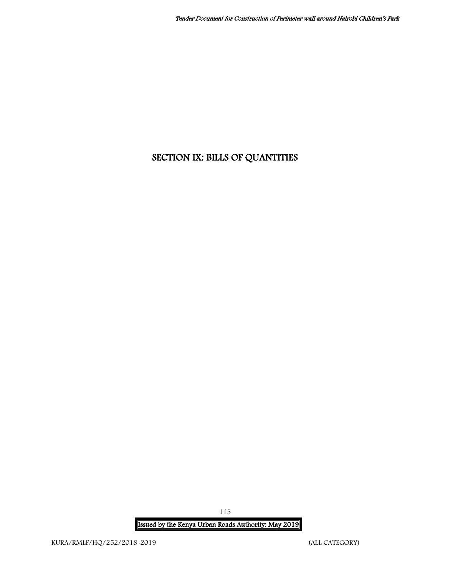# SECTION IX: BILLS OF QUANTITIES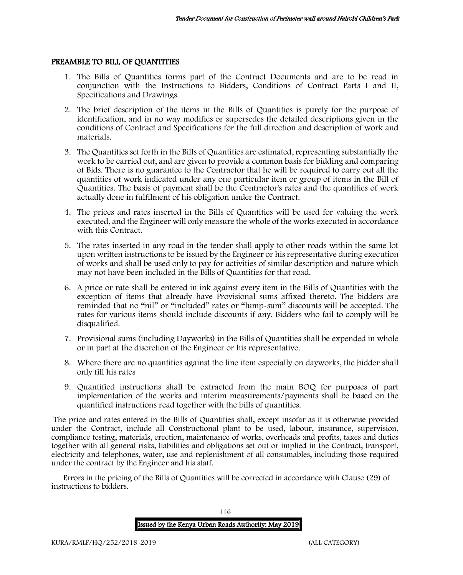### PREAMBLE TO BILL OF QUANTITIES

- 1. The Bills of Quantities forms part of the Contract Documents and are to be read in conjunction with the Instructions to Bidders, Conditions of Contract Parts I and II, Specifications and Drawings.
- 2. The brief description of the items in the Bills of Quantities is purely for the purpose of identification, and in no way modifies or supersedes the detailed descriptions given in the conditions of Contract and Specifications for the full direction and description of work and materials.
- 3. The Quantities set forth in the Bills of Quantities are estimated, representing substantially the work to be carried out, and are given to provide a common basis for bidding and comparing of Bids. There is no guarantee to the Contractor that he will be required to carry out all the quantities of work indicated under any one particular item or group of items in the Bill of Quantities. The basis of payment shall be the Contractor's rates and the quantities of work actually done in fulfilment of his obligation under the Contract.
- 4. The prices and rates inserted in the Bills of Quantities will be used for valuing the work executed, and the Engineer will only measure the whole of the works executed in accordance with this Contract.
- 5. The rates inserted in any road in the tender shall apply to other roads within the same lot upon written instructions to be issued by the Engineer or his representative during execution of works and shall be used only to pay for activities of similar description and nature which may not have been included in the Bills of Quantities for that road.
- 6. A price or rate shall be entered in ink against every item in the Bills of Quantities with the exception of items that already have Provisional sums affixed thereto. The bidders are reminded that no "nil" or "included" rates or "lump-sum" discounts will be accepted. The rates for various items should include discounts if any. Bidders who fail to comply will be disqualified.
- 7. Provisional sums (including Dayworks) in the Bills of Quantities shall be expended in whole or in part at the discretion of the Engineer or his representative.
- 8. Where there are no quantities against the line item especially on dayworks, the bidder shall only fill his rates
- 9. Quantified instructions shall be extracted from the main BOQ for purposes of part implementation of the works and interim measurements/payments shall be based on the quantified instructions read together with the bills of quantities.

The price and rates entered in the Bills of Quantities shall, except insofar as it is otherwise provided under the Contract, include all Constructional plant to be used, labour, insurance, supervision, compliance testing, materials, erection, maintenance of works, overheads and profits, taxes and duties together with all general risks, liabilities and obligations set out or implied in the Contract, transport, electricity and telephones, water, use and replenishment of all consumables, including those required under the contract by the Engineer and his staff.

Errors in the pricing of the Bills of Quantities will be corrected in accordance with Clause (29) of instructions to bidders.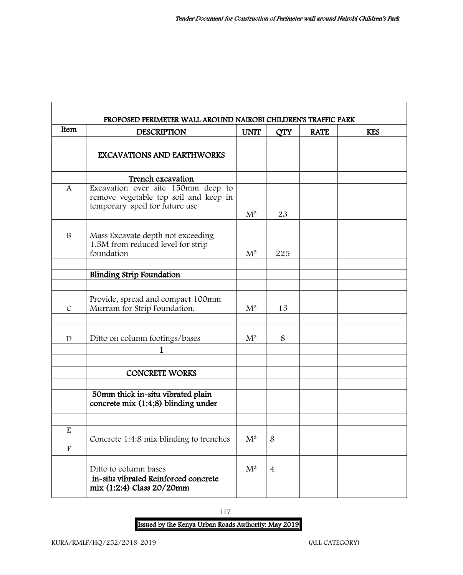$\overline{1}$ 

| PROPOSED PERIMETER WALL AROUND NAIROBI CHILDREN'S TRAFFIC PARK |                                                                                                               |                |                |             |            |  |
|----------------------------------------------------------------|---------------------------------------------------------------------------------------------------------------|----------------|----------------|-------------|------------|--|
| Item                                                           | <b>DESCRIPTION</b>                                                                                            | <b>UNIT</b>    | <b>QTY</b>     | <b>RATE</b> | <b>KES</b> |  |
|                                                                |                                                                                                               |                |                |             |            |  |
|                                                                | <b>EXCAVATIONS AND EARTHWORKS</b>                                                                             |                |                |             |            |  |
|                                                                |                                                                                                               |                |                |             |            |  |
|                                                                | Trench excavation                                                                                             |                |                |             |            |  |
| $\mathbf{A}$                                                   | Excavation over site 150mm deep to<br>remove vegetable top soil and keep in<br>temporary spoil for future use |                |                |             |            |  |
|                                                                |                                                                                                               | $M^3$          | 23             |             |            |  |
| $\, {\bf B}$                                                   | Mass Excavate depth not exceeding<br>1.5M from reduced level for strip<br>foundation                          | $M^3$          | 225            |             |            |  |
|                                                                |                                                                                                               |                |                |             |            |  |
|                                                                | <b>Blinding Strip Foundation</b>                                                                              |                |                |             |            |  |
|                                                                |                                                                                                               |                |                |             |            |  |
| $\mathcal{C}$                                                  | Provide, spread and compact 100mm<br>Murram for Strip Foundation.                                             | $M^3$          | 15             |             |            |  |
|                                                                |                                                                                                               |                |                |             |            |  |
| D                                                              | Ditto on column footings/bases                                                                                | $M^3$          | 8              |             |            |  |
|                                                                | 1                                                                                                             |                |                |             |            |  |
|                                                                |                                                                                                               |                |                |             |            |  |
|                                                                | <b>CONCRETE WORKS</b>                                                                                         |                |                |             |            |  |
|                                                                |                                                                                                               |                |                |             |            |  |
|                                                                | 50mm thick in-situ vibrated plain<br>concrete mix (1:4;8) blinding under                                      |                |                |             |            |  |
|                                                                |                                                                                                               |                |                |             |            |  |
| E                                                              | Concrete 1:4:8 mix blinding to trenches                                                                       | $M^3$          | 8              |             |            |  |
| $\overline{F}$                                                 |                                                                                                               |                |                |             |            |  |
|                                                                | Ditto to column bases                                                                                         | $\mathrm{M}^3$ | $\overline{4}$ |             |            |  |
|                                                                | in-situ vibrated Reinforced concrete<br>mix (1:2:4) Class 20/20mm                                             |                |                |             |            |  |

Issued by the Kenya Urban Roads Authority: May 2019

 $\overline{\phantom{a}}$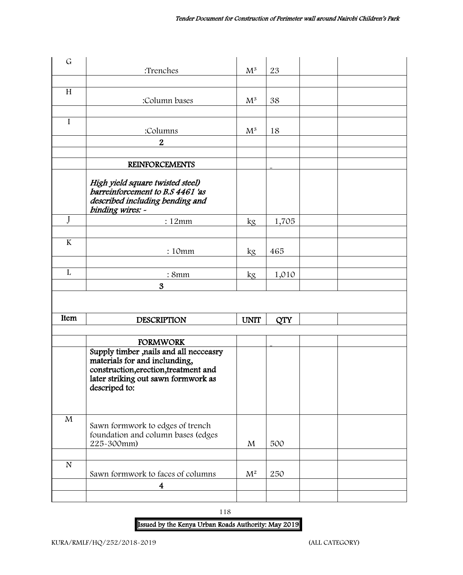| $\mathsf{G}$ | :Trenches                                                                                                                                                                 | $M^3$          | 23         |  |  |
|--------------|---------------------------------------------------------------------------------------------------------------------------------------------------------------------------|----------------|------------|--|--|
|              |                                                                                                                                                                           |                |            |  |  |
| H            | :Column bases                                                                                                                                                             | $\mathrm{M}^3$ | 38         |  |  |
| I            |                                                                                                                                                                           |                |            |  |  |
|              | :Columns                                                                                                                                                                  | $\mathrm{M}^3$ | 18         |  |  |
|              | $\overline{2}$                                                                                                                                                            |                |            |  |  |
|              |                                                                                                                                                                           |                |            |  |  |
|              | <b>REINFORCEMENTS</b>                                                                                                                                                     |                |            |  |  |
|              | High yield square twisted steel)<br>barreinforcement to B.S 4461 'as<br>described including bending and<br>binding wires: -                                               |                |            |  |  |
| J            | : 12mm                                                                                                                                                                    | kg             | 1,705      |  |  |
|              |                                                                                                                                                                           |                |            |  |  |
| $\mathbf K$  | : 10mm                                                                                                                                                                    | kg             | 465        |  |  |
|              |                                                                                                                                                                           |                |            |  |  |
| $\mathbf{L}$ | : 8mm                                                                                                                                                                     | kg             | 1,010      |  |  |
|              |                                                                                                                                                                           |                |            |  |  |
|              | $\boldsymbol{3}$                                                                                                                                                          |                |            |  |  |
|              |                                                                                                                                                                           |                |            |  |  |
| Item         | <b>DESCRIPTION</b>                                                                                                                                                        | <b>UNIT</b>    | <b>QTY</b> |  |  |
|              |                                                                                                                                                                           |                |            |  |  |
|              | <b>FORMWORK</b>                                                                                                                                                           |                |            |  |  |
|              | Supply timber , nails and all necceasry<br>materials for and inclunding,<br>construction, erection, treatment and<br>later striking out sawn formwork as<br>descriped to: |                |            |  |  |
| $\mathbf M$  | Sawn formwork to edges of trench<br>foundation and column bases (edges<br>225-300mm)                                                                                      | M              | 500        |  |  |
| ${\bf N}$    |                                                                                                                                                                           |                |            |  |  |
|              | Sawn formwork to faces of columns                                                                                                                                         | $\mathrm{M}^2$ | 250        |  |  |
|              | 4                                                                                                                                                                         |                |            |  |  |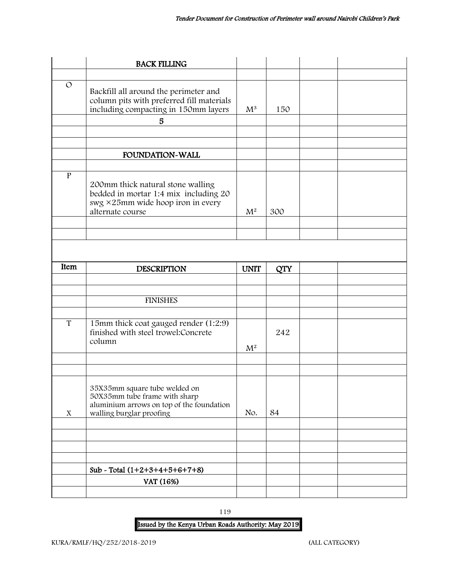|               | <b>BACK FILLING</b>                                                                                                                     |                |            |  |
|---------------|-----------------------------------------------------------------------------------------------------------------------------------------|----------------|------------|--|
|               |                                                                                                                                         |                |            |  |
| $\mathcal{O}$ | Backfill all around the perimeter and<br>column pits with preferred fill materials<br>including compacting in 150mm layers<br>5         | $\mathrm{M}^3$ | 150        |  |
|               |                                                                                                                                         |                |            |  |
|               | <b>FOUNDATION-WALL</b>                                                                                                                  |                |            |  |
| $\mathbf P$   | 200mm thick natural stone walling<br>bedded in mortar 1:4 mix including 20<br>swg ×25mm wide hoop iron in every<br>alternate course     | $M^2$          | 300        |  |
|               |                                                                                                                                         |                |            |  |
|               |                                                                                                                                         |                |            |  |
| Item          | <b>DESCRIPTION</b>                                                                                                                      | <b>UNIT</b>    | <b>QTY</b> |  |
|               |                                                                                                                                         |                |            |  |
|               |                                                                                                                                         |                |            |  |
|               |                                                                                                                                         |                |            |  |
|               | <b>FINISHES</b>                                                                                                                         |                |            |  |
| T             | 15mm thick coat gauged render (1:2:9)<br>finished with steel trowel: Concrete<br>column                                                 | $M^2$          | 242        |  |
|               |                                                                                                                                         |                |            |  |
|               |                                                                                                                                         |                |            |  |
| $\mathbf X$   | 35X35mm square tube welded on<br>50X35mm tube frame with sharp<br>aluminium arrows on top of the foundation<br>walling burglar proofing | No.            | 84         |  |
|               |                                                                                                                                         |                |            |  |
|               |                                                                                                                                         |                |            |  |
|               |                                                                                                                                         |                |            |  |
|               |                                                                                                                                         |                |            |  |
|               | Sub - Total $(1+2+3+4+5+6+7+8)$                                                                                                         |                |            |  |
|               | VAT (16%)                                                                                                                               |                |            |  |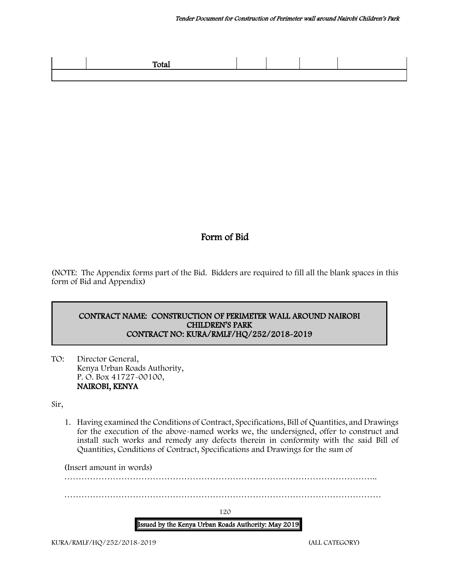| . |  |  |
|---|--|--|
|   |  |  |

# Form of Bid

(NOTE: The Appendix forms part of the Bid. Bidders are required to fill all the blank spaces in this form of Bid and Appendix)

### CONTRACT NAME: CONSTRUCTION OF PERIMETER WALL AROUND NAIROBI CHILDREN'S PARK CONTRACT NO: KURA/RMLF/HQ/252/2018-2019

TO: Director General, Kenya Urban Roads Authority, P. O. Box 41727-00100, NAIROBI, KENYA

Sir,

1. Having examined the Conditions of Contract, Specifications, Bill of Quantities, and Drawings for the execution of the above-named works we, the undersigned, offer to construct and install such works and remedy any defects therein in conformity with the said Bill of Quantities, Conditions of Contract, Specifications and Drawings for the sum of

Issued by the Kenya Urban Roads Authority: May 2019 120 (Insert amount in words) ……………………………………………………………………………………………….. …………………………………………………………………………………………………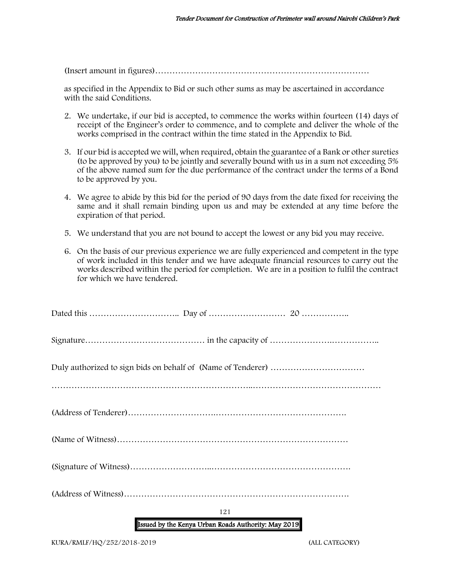(Insert amount in figures)…………………………………………………………………

as specified in the Appendix to Bid or such other sums as may be ascertained in accordance with the said Conditions.

- 2. We undertake, if our bid is accepted, to commence the works within fourteen (14) days of receipt of the Engineer's order to commence, and to complete and deliver the whole of the works comprised in the contract within the time stated in the Appendix to Bid.
- 3. If our bid is accepted we will, when required, obtain the guarantee of a Bank or other sureties (to be approved by you) to be jointly and severally bound with us in a sum not exceeding 5% of the above named sum for the due performance of the contract under the terms of a Bond to be approved by you.
- 4. We agree to abide by this bid for the period of 90 days from the date fixed for receiving the same and it shall remain binding upon us and may be extended at any time before the expiration of that period.
- 5. We understand that you are not bound to accept the lowest or any bid you may receive.
- 6. On the basis of our previous experience we are fully experienced and competent in the type of work included in this tender and we have adequate financial resources to carry out the works described within the period for completion. We are in a position to fulfil the contract for which we have tendered.

| 121<br>$\frac{1}{2}$ and $\frac{1}{2}$ and $\frac{1}{2}$ and $\frac{1}{2}$ and $\frac{1}{2}$ and $\frac{1}{2}$ and $\frac{1}{2}$ and $\frac{1}{2}$ and $\frac{1}{2}$ and $\frac{1}{2}$ and $\frac{1}{2}$ and $\frac{1}{2}$ and $\frac{1}{2}$ and $\frac{1}{2}$ and $\frac{1}{2}$ and $\frac{1}{2}$ a |
|------------------------------------------------------------------------------------------------------------------------------------------------------------------------------------------------------------------------------------------------------------------------------------------------------|
|                                                                                                                                                                                                                                                                                                      |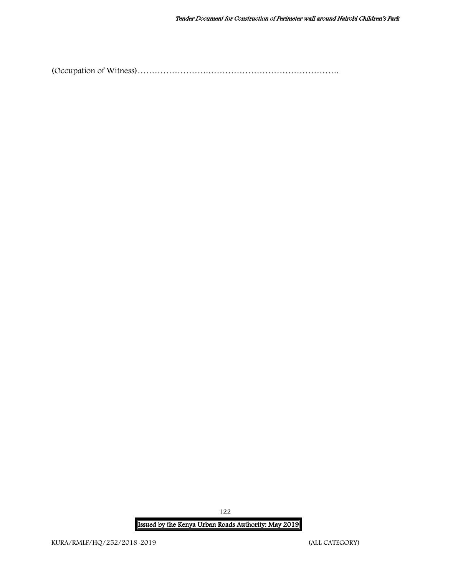(Occupation of Witness)…………………….……………………………………….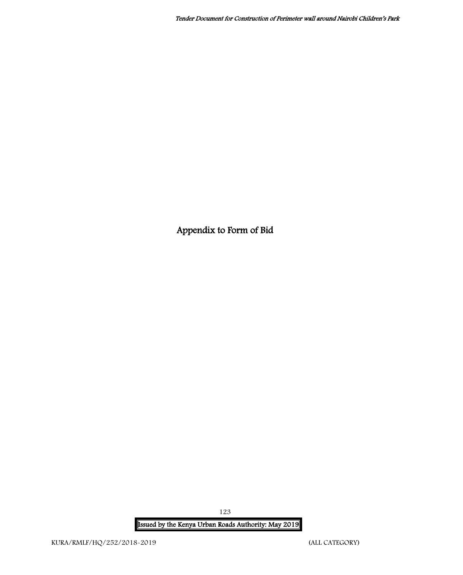Appendix to Form of Bid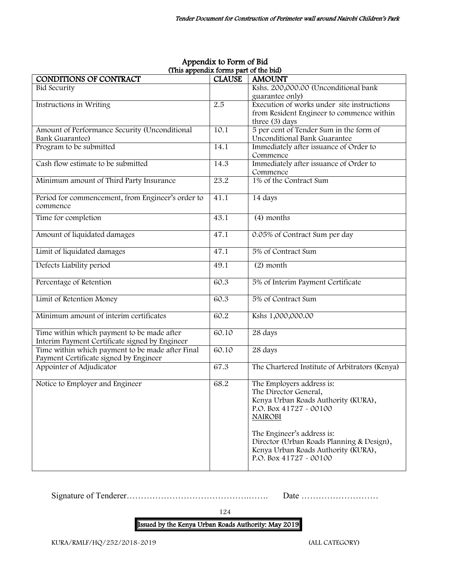| (This appendix forms part of the pid)             |                   |                                                |
|---------------------------------------------------|-------------------|------------------------------------------------|
| CONDITIONS OF CONTRACT                            | <b>CLAUSE</b>     | <b>AMOUNT</b>                                  |
| <b>Bid Security</b>                               |                   | Kshs. 200,000.00 (Unconditional bank           |
|                                                   |                   | guarantee only)                                |
| Instructions in Writing                           | $\overline{2.5}$  | Execution of works under site instructions     |
|                                                   |                   | from Resident Engineer to commence within      |
|                                                   |                   | three (3) days                                 |
| Amount of Performance Security (Unconditional     | 10.1              | 5 per cent of Tender Sum in the form of        |
| <b>Bank Guarantee)</b>                            |                   | <b>Unconditional Bank Guarantee</b>            |
| Program to be submitted                           | 14.1              | Immediately after issuance of Order to         |
|                                                   |                   | Commence                                       |
| Cash flow estimate to be submitted                | 14.3              | Immediately after issuance of Order to         |
|                                                   |                   | Commence                                       |
| Minimum amount of Third Party Insurance           | 23.2              | 1% of the Contract Sum                         |
|                                                   |                   |                                                |
|                                                   | 41.1              |                                                |
| Period for commencement, from Engineer's order to |                   | 14 days                                        |
| commence                                          |                   |                                                |
| Time for completion                               | 43.1              | $(4)$ months                                   |
|                                                   |                   |                                                |
| Amount of liquidated damages                      | 47.1              | 0.05% of Contract Sum per day                  |
|                                                   |                   |                                                |
| Limit of liquidated damages                       | $\overline{47.1}$ | 5% of Contract Sum                             |
|                                                   |                   |                                                |
| Defects Liability period                          | 49.1              | $(2)$ month                                    |
|                                                   |                   |                                                |
| Percentage of Retention                           | 60.3              | 5% of Interim Payment Certificate              |
|                                                   |                   |                                                |
| Limit of Retention Money                          | 60.3              | 5% of Contract Sum                             |
|                                                   |                   |                                                |
| Minimum amount of interim certificates            | 60.2              | Kshs 1,000,000.00                              |
|                                                   |                   |                                                |
| Time within which payment to be made after        | 60.10             | 28 days                                        |
| Interim Payment Certificate signed by Engineer    |                   |                                                |
| Time within which payment to be made after Final  | 60.10             | 28 days                                        |
| Payment Certificate signed by Engineer            |                   |                                                |
| Appointer of Adjudicator                          | 67.3              | The Chartered Institute of Arbitrators (Kenya) |
|                                                   |                   |                                                |
| Notice to Employer and Engineer                   | 68.2              | The Employers address is:                      |
|                                                   |                   |                                                |
|                                                   |                   | The Director General,                          |
|                                                   |                   | Kenya Urban Roads Authority (KURA),            |
|                                                   |                   | P.O. Box 41727 - 00100                         |
|                                                   |                   | NAIROBI                                        |
|                                                   |                   |                                                |
|                                                   |                   | The Engineer's address is:                     |
|                                                   |                   | Director (Urban Roads Planning & Design),      |
|                                                   |                   | Kenya Urban Roads Authority (KURA),            |
|                                                   |                   | P.O. Box 41727 - 00100                         |
|                                                   |                   |                                                |

### Appendix to Form of Bid (This appendix forms part of the bid)

Signature of Tenderer…………………………………….……. Date ………………………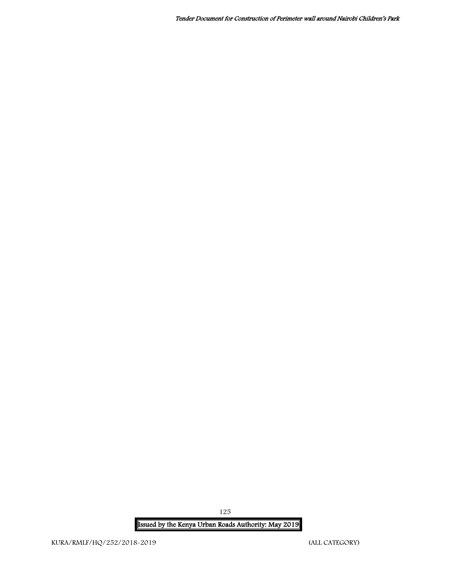Tender Document for Construction of Perimeter wall around Nairobi Children's Park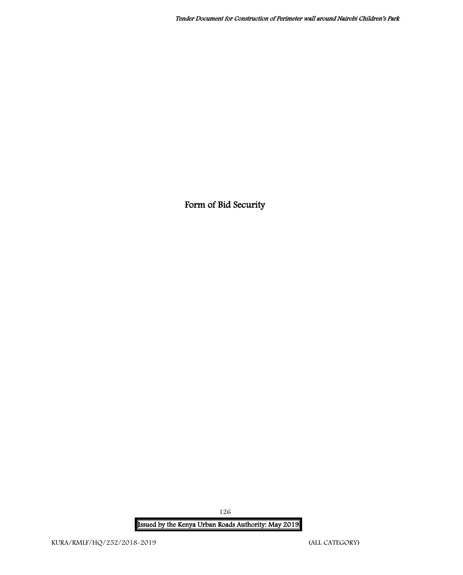Form of Bid Security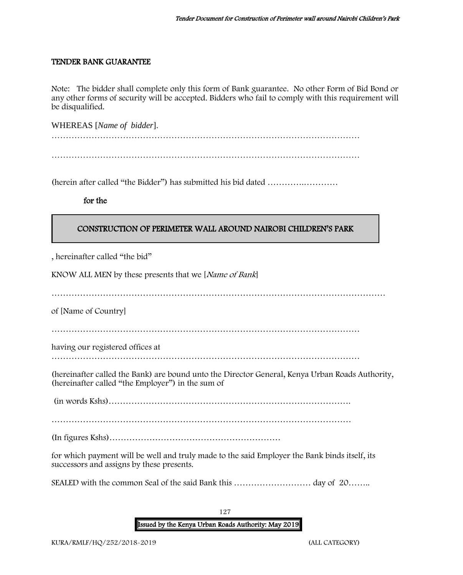### TENDER BANK GUARANTEE

Note: The bidder shall complete only this form of Bank guarantee. No other Form of Bid Bond or any other forms of security will be accepted. Bidders who fail to comply with this requirement will be disqualified.

WHEREAS [*Name of bidder*]. ………………………………………………………………………………………………

(herein after called "the Bidder") has submitted his bid dated ………….…………

for the

### CONSTRUCTION OF PERIMETER WALL AROUND NAIROBI CHILDREN'S PARK

, hereinafter called "the bid"

KNOW ALL MEN by these presents that we [Name of Bank]

………………………………………………………………………………………………………

of [Name of Country]

………………………………………………………………………………………………

having our registered offices at

………………………………………………………………………………………………

(hereinafter called the Bank) are bound unto the Director General, Kenya Urban Roads Authority, (hereinafter called "the Employer") in the sum of

(in words Kshs)………………………………………………………………………….

……………………………………………………………………………………………

(In figures Kshs)……………………………………………………

for which payment will be well and truly made to the said Employer the Bank binds itself, its successors and assigns by these presents.

SEALED with the common Seal of the said Bank this ……………………………… day of 20………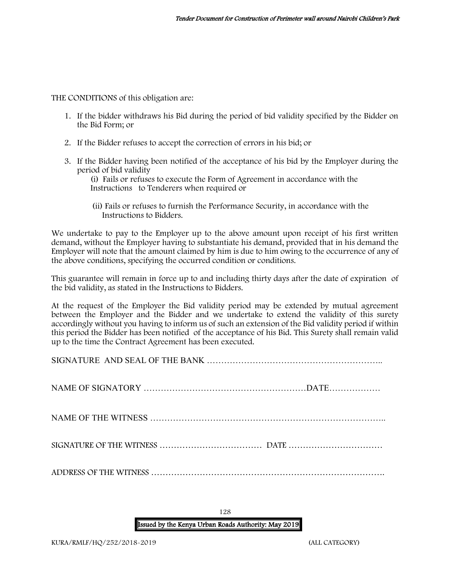THE CONDITIONS of this obligation are:

- 1. If the bidder withdraws his Bid during the period of bid validity specified by the Bidder on the Bid Form; or
- 2. If the Bidder refuses to accept the correction of errors in his bid; or
- 3. If the Bidder having been notified of the acceptance of his bid by the Employer during the period of bid validity

(i) Fails or refuses to execute the Form of Agreement in accordance with the Instructions to Tenderers when required or

 (ii) Fails or refuses to furnish the Performance Security, in accordance with the Instructions to Bidders.

We undertake to pay to the Employer up to the above amount upon receipt of his first written demand, without the Employer having to substantiate his demand, provided that in his demand the Employer will note that the amount claimed by him is due to him owing to the occurrence of any of the above conditions, specifying the occurred condition or conditions.

This guarantee will remain in force up to and including thirty days after the date of expiration of the bid validity, as stated in the Instructions to Bidders.

At the request of the Employer the Bid validity period may be extended by mutual agreement between the Employer and the Bidder and we undertake to extend the validity of this surety accordingly without you having to inform us of such an extension of the Bid validity period if within this period the Bidder has been notified of the acceptance of his Bid. This Surety shall remain valid up to the time the Contract Agreement has been executed.

|--|--|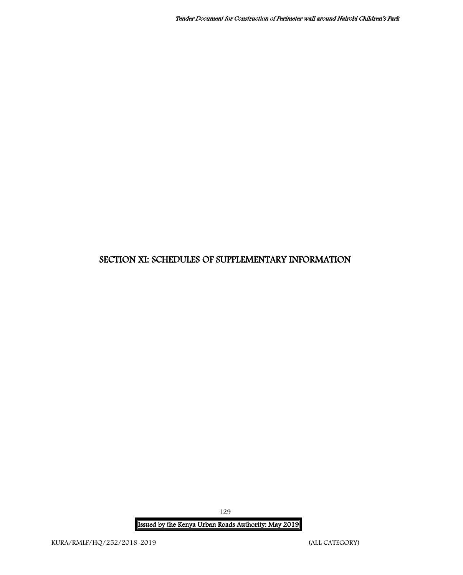# SECTION XI: SCHEDULES OF SUPPLEMENTARY INFORMATION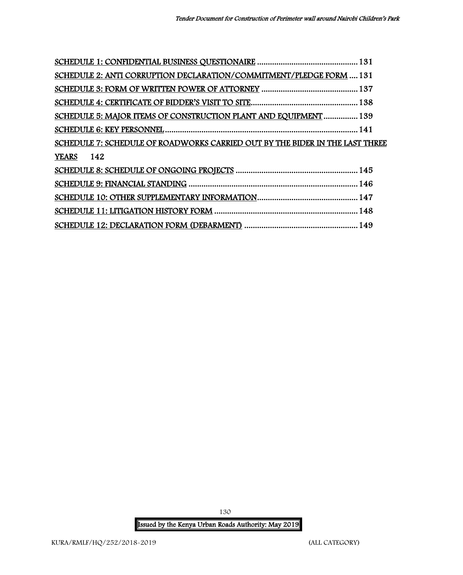| SCHEDULE 2: ANTI CORRUPTION DECLARATION/COMMITMENT/PLEDGE FORM  131          |
|------------------------------------------------------------------------------|
|                                                                              |
|                                                                              |
| SCHEDULE 5: MAJOR ITEMS OF CONSTRUCTION PLANT AND EQUIPMENT  139             |
|                                                                              |
| SCHEDULE 7: SCHEDULE OF ROADWORKS CARRIED OUT BY THE BIDER IN THE LAST THREE |
| - 142<br><b>YEARS</b>                                                        |
|                                                                              |
|                                                                              |
|                                                                              |
|                                                                              |
|                                                                              |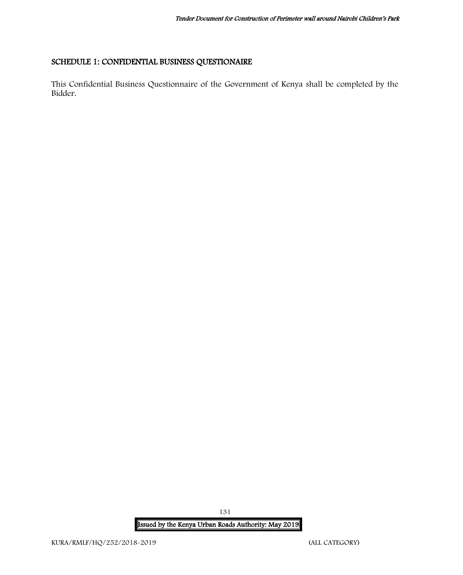# <span id="page-130-0"></span>SCHEDULE 1: CONFIDENTIAL BUSINESS QUESTIONAIRE

This Confidential Business Questionnaire of the Government of Kenya shall be completed by the Bidder.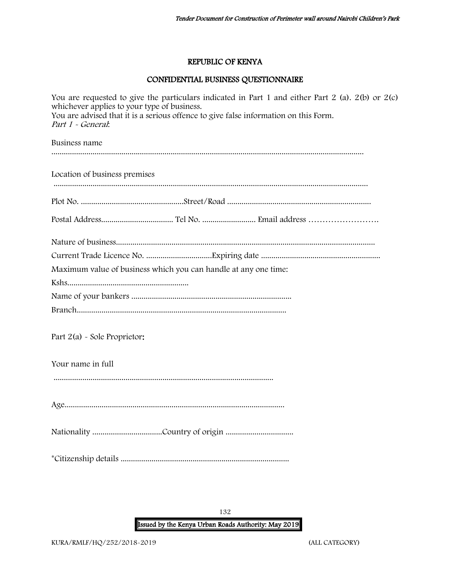# REPUBLIC OF KENYA

## CONFIDENTIAL BUSINESS QUESTIONNAIRE

You are requested to give the particulars indicated in Part 1 and either Part 2 (a). 2(b) or 2(c) whichever applies to your type of business. You are advised that it is a serious offence to give false information on this Form. Part 1 - General: Business name Location of business premises ......................................................................................................................................................... Plot No. ..................................................Street/Road ...................................................................... Postal Address................................... Tel No. .......................... Email address ……………………. Nature of business.............................................................................................................................. Current Trade Licence No. ................................Expiring date .......................................................... Maximum value of business which you can handle at any one time: Kshs........................................................... Name of your bankers .............................................................................. Branch...................................................................................................... Part 2(a) - Sole Proprietor: Your name in full ........................................................................................................... Age........................................................................................................... Nationality ..................................Country of origin ................................. \*Citizenship details ..................................................................................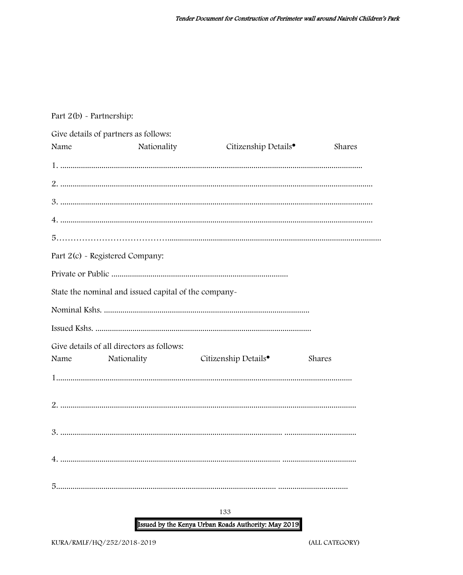# Part 2(b) - Partnership:

|      | Give details of partners as follows:                            |                                  |        |
|------|-----------------------------------------------------------------|----------------------------------|--------|
| Name | Nationality                                                     | Citizenship Details <sup>•</sup> | Shares |
|      |                                                                 |                                  |        |
|      |                                                                 |                                  |        |
|      |                                                                 |                                  |        |
|      |                                                                 |                                  |        |
|      |                                                                 |                                  |        |
|      | Part 2(c) - Registered Company:                                 |                                  |        |
|      |                                                                 |                                  |        |
|      | State the nominal and issued capital of the company-            |                                  |        |
|      |                                                                 |                                  |        |
|      |                                                                 |                                  |        |
| Name | Give details of all directors as follows:<br><b>Nationality</b> | Citizenship Details <sup>•</sup> | Shares |
|      |                                                                 |                                  |        |
|      |                                                                 |                                  |        |
|      |                                                                 |                                  |        |
|      |                                                                 |                                  |        |
|      |                                                                 |                                  |        |
|      |                                                                 | 133                              |        |

Issued by the Kenya Urban Roads Authority: May 2019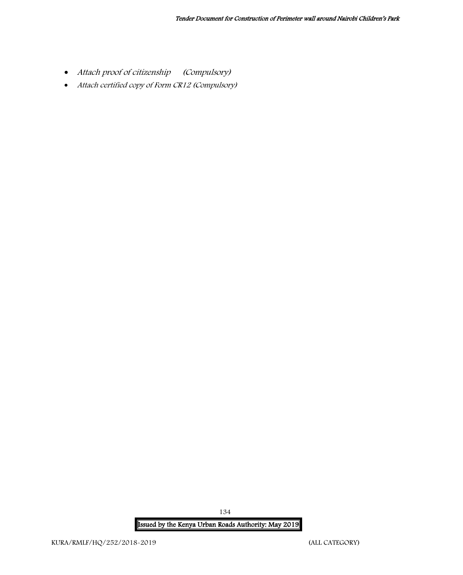- Attach proof of citizenship (Compulsory)
- Attach certified copy of Form CR12 (Compulsory)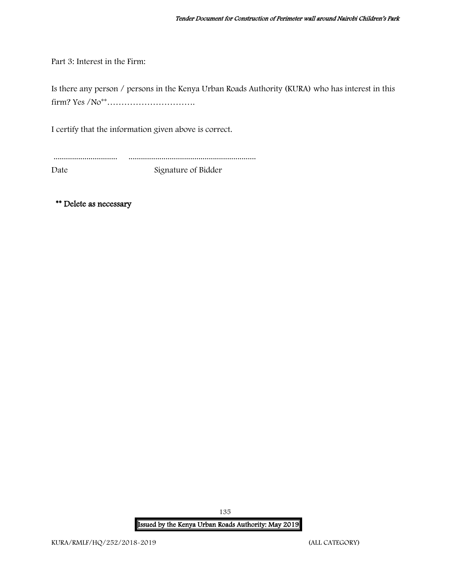Part 3: Interest in the Firm:

Is there any person / persons in the Kenya Urban Roads Authority (KURA) who has interest in this firm? Yes /No\*\*………………………….

I certify that the information given above is correct.

............................... .............................................................. Date Signature of Bidder

\*\* Delete as necessary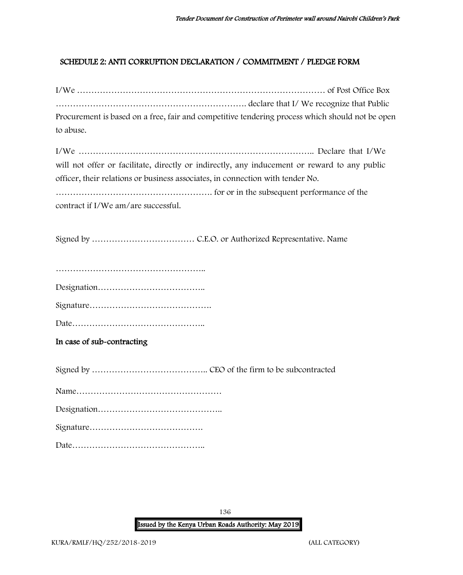# SCHEDULE 2: ANTI CORRUPTION DECLARATION / COMMITMENT / PLEDGE FORM

<span id="page-135-0"></span>

| Procurement is based on a free, fair and competitive tendering process which should not be open<br>to abuse.                                                                                                          |
|-----------------------------------------------------------------------------------------------------------------------------------------------------------------------------------------------------------------------|
| will not offer or facilitate, directly or indirectly, any inducement or reward to any public<br>officer, their relations or business associates, in connection with tender No.<br>contract if I/We am/are successful. |
|                                                                                                                                                                                                                       |
|                                                                                                                                                                                                                       |
|                                                                                                                                                                                                                       |
|                                                                                                                                                                                                                       |
|                                                                                                                                                                                                                       |
| In case of sub-contracting                                                                                                                                                                                            |
|                                                                                                                                                                                                                       |
|                                                                                                                                                                                                                       |
|                                                                                                                                                                                                                       |
|                                                                                                                                                                                                                       |
|                                                                                                                                                                                                                       |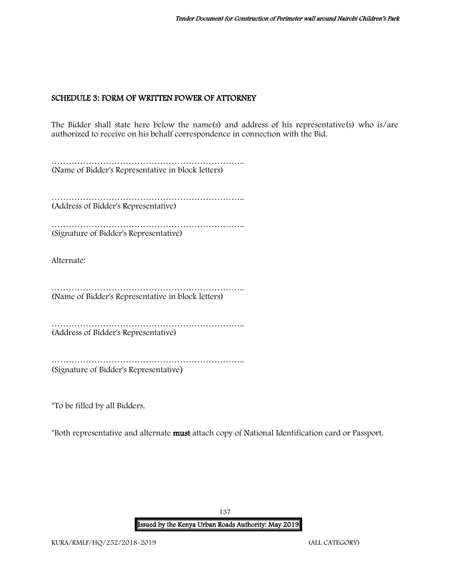# SCHEDULE 3: FORM OF WRITTEN POWER OF ATTORNEY

The Bidder shall state here below the name(s) and address of his representative(s) who is/are authorized to receive on his behalf correspondence in connection with the Bid.

………………………………………………………….. (Name of Bidder's Representative in block letters)

………………………………………………………….. (Address of Bidder's Representative)

………………………………………………………………… (Signature of Bidder's Representative)

Alternate:

………………………………………………………….. (Name of Bidder's Representative in block letters)

………………………………………………………….. (Address of Bidder's Representative)

………………………………………………………….. (Signature of Bidder's Representative)

\*To be filled by all Bidders.

\*Both representative and alternate must attach copy of National Identification card or Passport.

137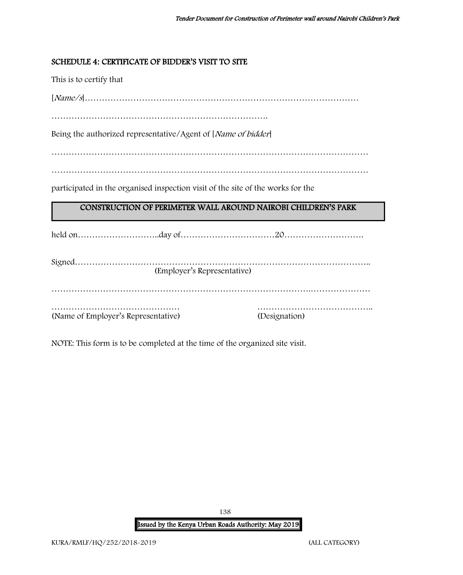# <span id="page-137-0"></span>SCHEDULE 4: CERTIFICATE OF BIDDER'S VISIT TO SITE

This is to certify that

[Name/s]……………………………………………………………………………………

………………………………………………………………….

Being the authorized representative/Agent of [Name of bidder]

…………………………………………………………………………………………………

…………………………………………………………………………………………………

participated in the organised inspection visit of the site of the works for the

#### CONSTRUCTION OF PERIMETER WALL AROUND NAIROBI CHILDREN'S PARK

held on………………………..day of……………………………20……………………….

| (Employer's Representative)         |               |
|-------------------------------------|---------------|
|                                     |               |
|                                     |               |
| (Name of Employer's Representative) | (Designation) |

NOTE: This form is to be completed at the time of the organized site visit.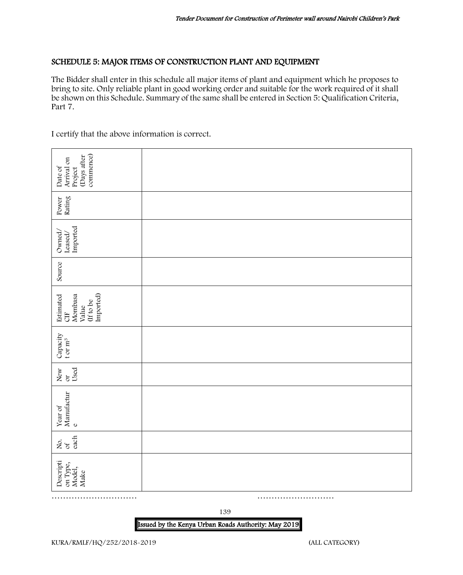### SCHEDULE 5: MAJOR ITEMS OF CONSTRUCTION PLANT AND EQUIPMENT

The Bidder shall enter in this schedule all major items of plant and equipment which he proposes to bring to site. Only reliable plant in good working order and suitable for the work required of it shall be shown on this Schedule. Summary of the same shall be entered in Section 5: Qualification Criteria, Part 7.

<span id="page-138-0"></span>I certify that the above information is correct.

| commence)<br>(Days after<br>Date of<br>Arrival on<br>Project      |  |
|-------------------------------------------------------------------|--|
| Power<br>Rating                                                   |  |
| Leased/<br>Imported<br>Owned/                                     |  |
| Source                                                            |  |
| (If to be<br>Imported)<br>Estimated<br>CIF<br>Mombasa<br>Value    |  |
| $\begin{array}{c} \text{Capacity} \\ \text{t or m}^3 \end{array}$ |  |
| Used<br>New or                                                    |  |
| Year of Manufactur $_{\rm e}$                                     |  |
| each<br>δά                                                        |  |
| Descripti<br>on Type,<br>Model,<br>Make                           |  |
|                                                                   |  |

139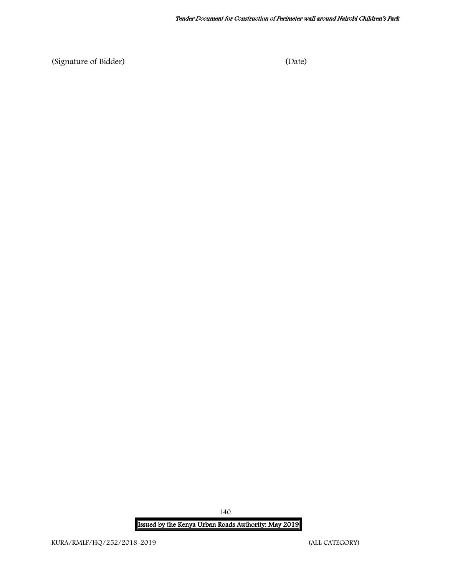(Signature of Bidder) (Date)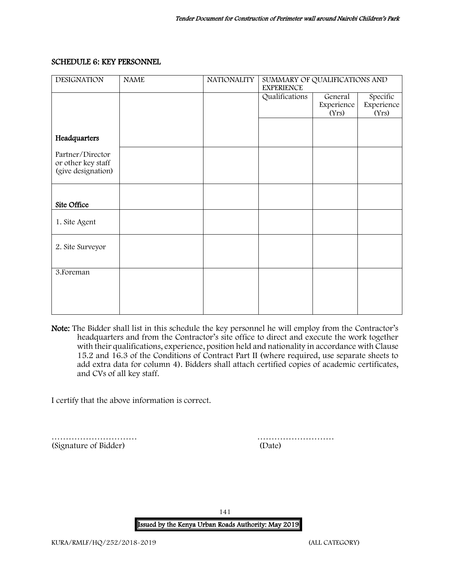### <span id="page-140-0"></span>SCHEDULE 6: KEY PERSONNEL

| <b>DESIGNATION</b> | <b>NAME</b> | <b>NATIONALITY</b> | SUMMARY OF QUALIFICATIONS AND<br><b>EXPERIENCE</b> |            |            |  |  |  |  |
|--------------------|-------------|--------------------|----------------------------------------------------|------------|------------|--|--|--|--|
|                    |             |                    | Qualifications                                     | General    | Specific   |  |  |  |  |
|                    |             |                    |                                                    | Experience | Experience |  |  |  |  |
|                    |             |                    |                                                    | (Yrs)      | (Yrs)      |  |  |  |  |
|                    |             |                    |                                                    |            |            |  |  |  |  |
| Headquarters       |             |                    |                                                    |            |            |  |  |  |  |
| Partner/Director   |             |                    |                                                    |            |            |  |  |  |  |
| or other key staff |             |                    |                                                    |            |            |  |  |  |  |
| (give designation) |             |                    |                                                    |            |            |  |  |  |  |
|                    |             |                    |                                                    |            |            |  |  |  |  |
| Site Office        |             |                    |                                                    |            |            |  |  |  |  |
| 1. Site Agent      |             |                    |                                                    |            |            |  |  |  |  |
|                    |             |                    |                                                    |            |            |  |  |  |  |
| 2. Site Surveyor   |             |                    |                                                    |            |            |  |  |  |  |
|                    |             |                    |                                                    |            |            |  |  |  |  |
|                    |             |                    |                                                    |            |            |  |  |  |  |
| 3. Foreman         |             |                    |                                                    |            |            |  |  |  |  |
|                    |             |                    |                                                    |            |            |  |  |  |  |
|                    |             |                    |                                                    |            |            |  |  |  |  |
|                    |             |                    |                                                    |            |            |  |  |  |  |
|                    |             |                    |                                                    |            |            |  |  |  |  |

Note: The Bidder shall list in this schedule the key personnel he will employ from the Contractor's headquarters and from the Contractor's site office to direct and execute the work together with their qualifications, experience, position held and nationality in accordance with Clause 15.2 and 16.3 of the Conditions of Contract Part II (where required, use separate sheets to add extra data for column 4). Bidders shall attach certified copies of academic certificates, and CVs of all key staff.

I certify that the above information is correct.

(Signature of Bidder) (Date)

………………………… ………………………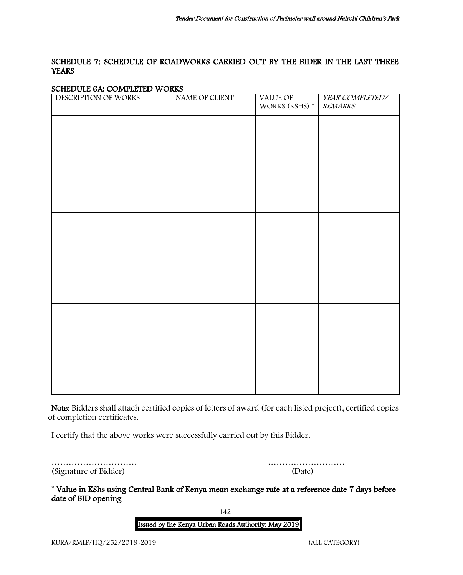### <span id="page-141-0"></span>SCHEDULE 7: SCHEDULE OF ROADWORKS CARRIED OUT BY THE BIDER IN THE LAST THREE **YEARS**

# SCHEDULE 6A: COMPLETED WORKS

| DESCRIPTION OF WORKS | NAME OF CLIENT | VALUE OF<br>WORKS (KSHS) * | YEAR COMPLETED/<br><b>REMARKS</b> |
|----------------------|----------------|----------------------------|-----------------------------------|
|                      |                |                            |                                   |
|                      |                |                            |                                   |
|                      |                |                            |                                   |
|                      |                |                            |                                   |
|                      |                |                            |                                   |
|                      |                |                            |                                   |
|                      |                |                            |                                   |
|                      |                |                            |                                   |
|                      |                |                            |                                   |
|                      |                |                            |                                   |
|                      |                |                            |                                   |

Note: Bidders shall attach certified copies of letters of award (for each listed project), certified copies of completion certificates.

I certify that the above works were successfully carried out by this Bidder.

(Signature of Bidder) (Date)

………………………… ………………………

\* Value in KShs using Central Bank of Kenya mean exchange rate at a reference date 7 days before date of BID opening

142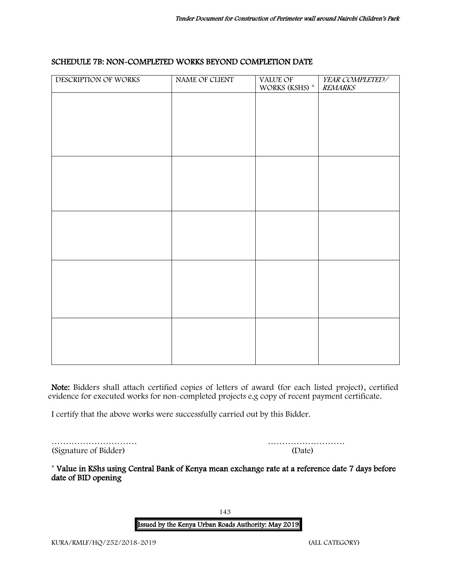| DESCRIPTION OF WORKS | NAME OF CLIENT | VALUE OF WORKS (KSHS) * | <i>YEAR COMPLETED/</i><br><b>REMARKS</b> |
|----------------------|----------------|-------------------------|------------------------------------------|
|                      |                |                         |                                          |
|                      |                |                         |                                          |
|                      |                |                         |                                          |
|                      |                |                         |                                          |
|                      |                |                         |                                          |
|                      |                |                         |                                          |
|                      |                |                         |                                          |
|                      |                |                         |                                          |
|                      |                |                         |                                          |
|                      |                |                         |                                          |
|                      |                |                         |                                          |
|                      |                |                         |                                          |
|                      |                |                         |                                          |
|                      |                |                         |                                          |
|                      |                |                         |                                          |
|                      |                |                         |                                          |

### SCHEDULE 7B: NON-COMPLETED WORKS BEYOND COMPLETION DATE

Note: Bidders shall attach certified copies of letters of award (for each listed project), certified evidence for executed works for non-completed projects e.g copy of recent payment certificate.

I certify that the above works were successfully carried out by this Bidder.

| (Signature of Bidder) | (Date) |
|-----------------------|--------|

 $\overline{a}$ 

|  |  |  |  | (Date) |  |  |  |  |  |  |  |  |  |
|--|--|--|--|--------|--|--|--|--|--|--|--|--|--|

\* Value in KShs using Central Bank of Kenya mean exchange rate at a reference date 7 days before date of BID opening

143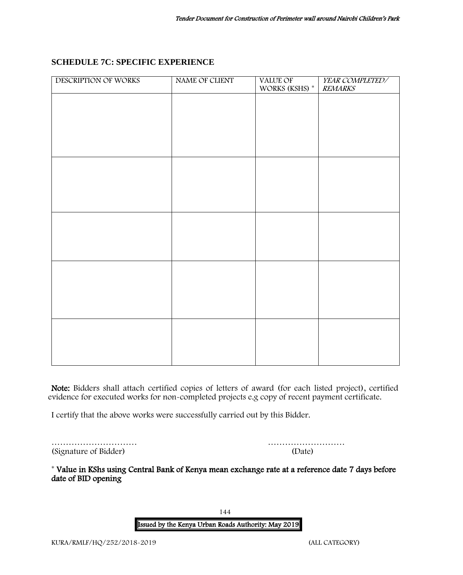# **SCHEDULE 7C: SPECIFIC EXPERIENCE**

| DESCRIPTION OF WORKS | NAME OF CLIENT | VALUE OF<br>WORKS (KSHS) * | YEAR COMPLETED/<br><b>REMARKS</b> |
|----------------------|----------------|----------------------------|-----------------------------------|
|                      |                |                            |                                   |
|                      |                |                            |                                   |
|                      |                |                            |                                   |
|                      |                |                            |                                   |
|                      |                |                            |                                   |
|                      |                |                            |                                   |
|                      |                |                            |                                   |
|                      |                |                            |                                   |
|                      |                |                            |                                   |
|                      |                |                            |                                   |
|                      |                |                            |                                   |
|                      |                |                            |                                   |
|                      |                |                            |                                   |
|                      |                |                            |                                   |
|                      |                |                            |                                   |
|                      |                |                            |                                   |

Note: Bidders shall attach certified copies of letters of award (for each listed project), certified evidence for executed works for non-completed projects e.g copy of recent payment certificate.

I certify that the above works were successfully carried out by this Bidder.

| (Signature of Bidder) | (Date) |
|-----------------------|--------|

|  |  |  |  |  |  | (Date) |  |  |  |  |  |  |
|--|--|--|--|--|--|--------|--|--|--|--|--|--|

\* Value in KShs using Central Bank of Kenya mean exchange rate at a reference date 7 days before date of BID opening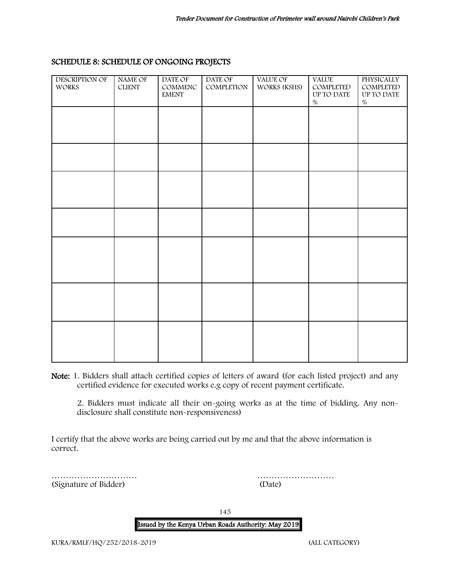| DESCRIPTION OF<br><b>WORKS</b> | NAME OF<br><b>CLIENT</b> | DATE OF<br>$\mathsf{COMMENC}$<br><b>EMENT</b> | DATE OF<br>COMPLETION | VALUE OF<br>WORKS (KSHS) | <b>VALUE</b><br>COMPLETED<br>UP TO DATE<br>$\%$ | PHYSICALLY<br>COMPLETED<br>UP TO DATE<br>$\%$ |
|--------------------------------|--------------------------|-----------------------------------------------|-----------------------|--------------------------|-------------------------------------------------|-----------------------------------------------|
|                                |                          |                                               |                       |                          |                                                 |                                               |
|                                |                          |                                               |                       |                          |                                                 |                                               |
|                                |                          |                                               |                       |                          |                                                 |                                               |
|                                |                          |                                               |                       |                          |                                                 |                                               |
|                                |                          |                                               |                       |                          |                                                 |                                               |
|                                |                          |                                               |                       |                          |                                                 |                                               |
|                                |                          |                                               |                       |                          |                                                 |                                               |

#### SCHEDULE 8: SCHEDULE OF ONGOING PROJECTS

Note: 1. Bidders shall attach certified copies of letters of award (for each listed project) and any certified evidence for executed works e.g copy of recent payment certificate.

2. Bidders must indicate all their on-going works as at the time of bidding. Any nondisclosure shall constitute non-responsiveness)

I certify that the above works are being carried out by me and that the above information is correct.

(Signature of Bidder) (Date)

………………………… ………………………

145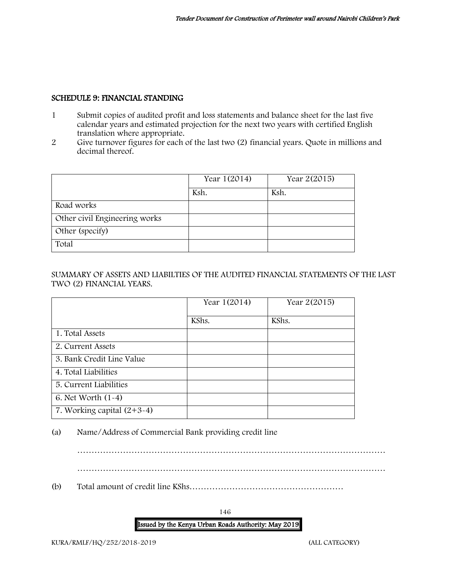# SCHEDULE 9: FINANCIAL STANDING

- 1 Submit copies of audited profit and loss statements and balance sheet for the last five calendar years and estimated projection for the next two years with certified English translation where appropriate.
- 2 Give turnover figures for each of the last two (2) financial years. Quote in millions and decimal thereof.

|                               | Year 1(2014) | Year 2(2015) |
|-------------------------------|--------------|--------------|
|                               | Ksh.         | Ksh.         |
| Road works                    |              |              |
| Other civil Engineering works |              |              |
| Other (specify)               |              |              |
| Total                         |              |              |

## SUMMARY OF ASSETS AND LIABILTIES OF THE AUDITED FINANCIAL STATEMENTS OF THE LAST TWO (2) FINANCIAL YEARS.

|                              | Year 1(2014) | Year 2(2015) |
|------------------------------|--------------|--------------|
|                              | KShs.        | KShs.        |
| 1. Total Assets              |              |              |
| 2. Current Assets            |              |              |
| 3. Bank Credit Line Value    |              |              |
| 4. Total Liabilities         |              |              |
| 5. Current Liabilities       |              |              |
| 6. Net Worth $(1-4)$         |              |              |
| 7. Working capital $(2+3-4)$ |              |              |

(a) Name/Address of Commercial Bank providing credit line

………………………………………………………………………………………………

………………………………………………………………………………………………

(b) Total amount of credit line KShs………………………………………………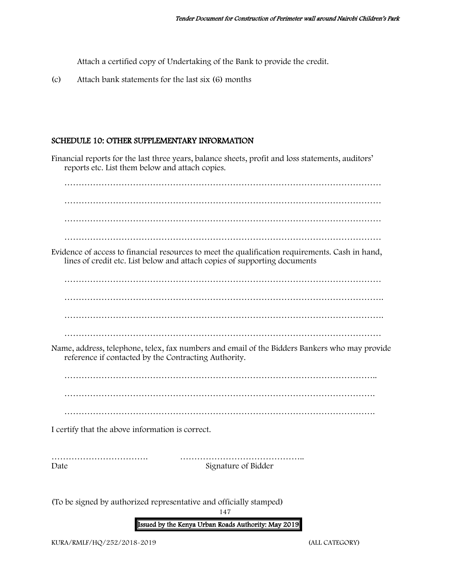Attach a certified copy of Undertaking of the Bank to provide the credit.

(c) Attach bank statements for the last six (6) months

# SCHEDULE 10: OTHER SUPPLEMENTARY INFORMATION

| Financial reports for the last three years, balance sheets, profit and loss statements, auditors'<br>reports etc. List them below and attach copies.                         |
|------------------------------------------------------------------------------------------------------------------------------------------------------------------------------|
|                                                                                                                                                                              |
|                                                                                                                                                                              |
|                                                                                                                                                                              |
|                                                                                                                                                                              |
| Evidence of access to financial resources to meet the qualification requirements. Cash in hand,<br>lines of credit etc. List below and attach copies of supporting documents |
|                                                                                                                                                                              |
|                                                                                                                                                                              |
|                                                                                                                                                                              |
|                                                                                                                                                                              |
| Name, address, telephone, telex, fax numbers and email of the Bidders Bankers who may provide<br>reference if contacted by the Contracting Authority.                        |
|                                                                                                                                                                              |
|                                                                                                                                                                              |
|                                                                                                                                                                              |
| I certify that the above information is correct.                                                                                                                             |
| Signature of Bidder<br>Date                                                                                                                                                  |
| (To be signed by authorized representative and officially stamped)<br>147                                                                                                    |
| Issued by the Kenya Urban Roads Authority: May 2019                                                                                                                          |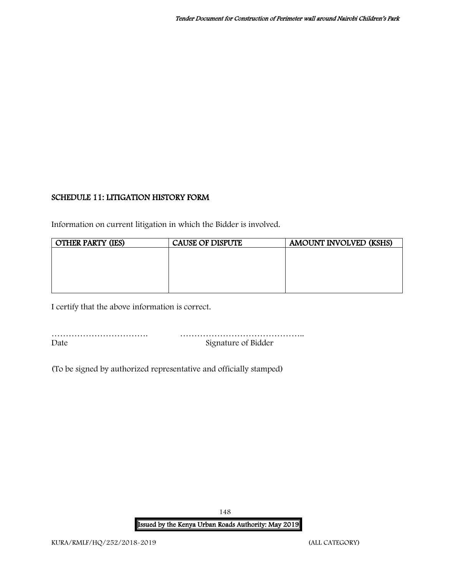# SCHEDULE 11: LITIGATION HISTORY FORM

Information on current litigation in which the Bidder is involved.

| <b>OTHER PARTY (IES)</b> | <b>CAUSE OF DISPUTE</b> | AMOUNT INVOLVED (KSHS) |
|--------------------------|-------------------------|------------------------|
|                          |                         |                        |
|                          |                         |                        |
|                          |                         |                        |
|                          |                         |                        |
|                          |                         |                        |

I certify that the above information is correct.

……………………………. …………………………………….. Signature of Bidder

(To be signed by authorized representative and officially stamped)

148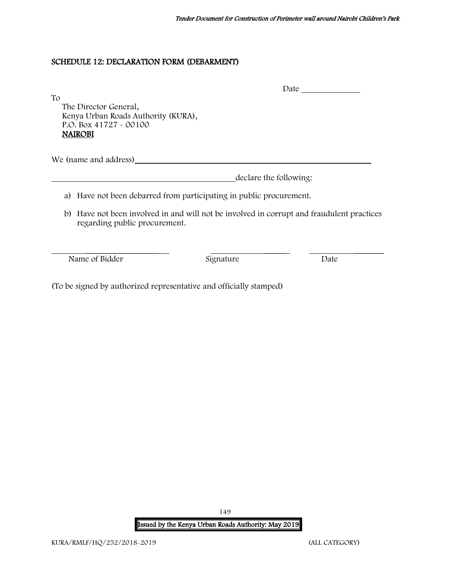#### SCHEDULE 12: DECLARATION FORM (DEBARMENT)

**Date** 

 The Director General, Kenya Urban Roads Authority (KURA), P.O. Box 41727 - 00100 NAIROBI

We (name and address) we have a metal of the same state of the state of the state of the state of the state of the state of the state of the state of the state of the state of the state of the state of the state of the sta

To

declare the following:

- a) Have not been debarred from participating in public procurement.
- b) Have not been involved in and will not be involved in corrupt and fraudulent practices regarding public procurement.

Name of Bidder Signature Signature Date

\_\_\_\_\_\_\_\_\_\_\_\_\_\_\_\_\_ \_\_\_\_\_ \_\_\_\_\_\_\_

(To be signed by authorized representative and officially stamped)

Issued by the Kenya Urban Roads Authority: May 2019

149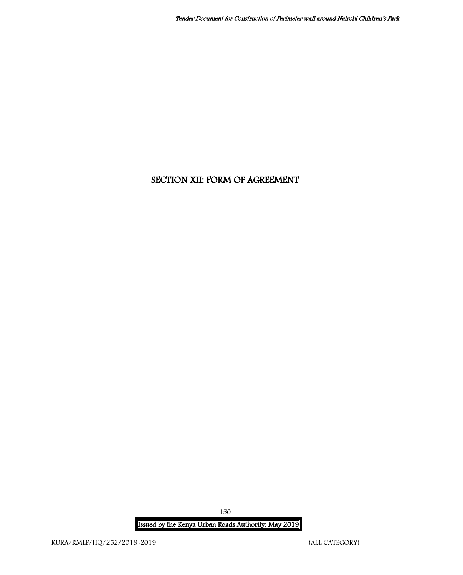# SECTION XII: FORM OF AGREEMENT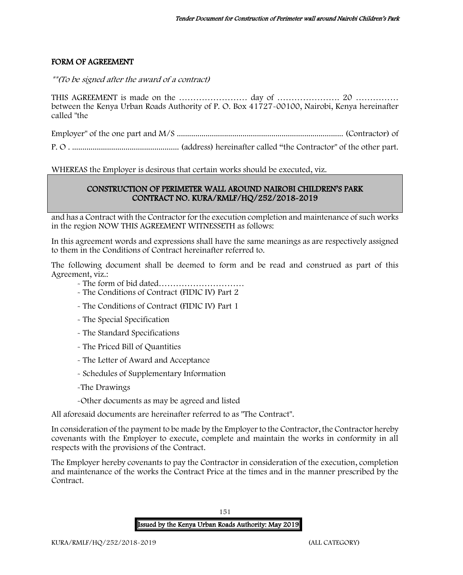## FORM OF AGREEMENT

\*\*(To be signed after the award of a contract)

THIS AGREEMENT is made on the  $\ldots$   $\ldots$   $\ldots$   $\ldots$  and  $\ldots$  day of  $\ldots$   $\ldots$   $\ldots$   $\ldots$   $\ldots$   $\ldots$ between the Kenya Urban Roads Authority of P. O. Box 41727-00100, Nairobi, Kenya hereinafter called "the

Employer" of the one part and M/S ................................................................................. (Contractor) of

P. O . .................................................... (address) hereinafter called "the Contractor" of the other part.

WHEREAS the Employer is desirous that certain works should be executed, viz.

## CONSTRUCTION OF PERIMETER WALL AROUND NAIROBI CHILDREN'S PARK CONTRACT NO. KURA/RMLF/HQ/252/2018-2019

and has a Contract with the Contractor for the execution completion and maintenance of such works in the region NOW THIS AGREEMENT WITNESSETH as follows:

In this agreement words and expressions shall have the same meanings as are respectively assigned to them in the Conditions of Contract hereinafter referred to.

The following document shall be deemed to form and be read and construed as part of this Agreement, viz.:

- The form of bid dated…………………………
- The Conditions of Contract (FIDIC IV) Part 2
- The Conditions of Contract (FIDIC IV) Part 1
- The Special Specification
- The Standard Specifications
- The Priced Bill of Quantities
- The Letter of Award and Acceptance
- Schedules of Supplementary Information
- -The Drawings
- -Other documents as may be agreed and listed

All aforesaid documents are hereinafter referred to as "The Contract".

In consideration of the payment to be made by the Employer to the Contractor, the Contractor hereby covenants with the Employer to execute, complete and maintain the works in conformity in all respects with the provisions of the Contract.

The Employer hereby covenants to pay the Contractor in consideration of the execution, completion and maintenance of the works the Contract Price at the times and in the manner prescribed by the Contract.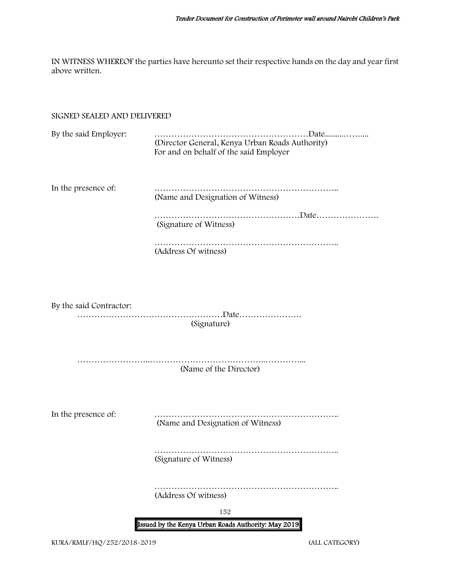IN WITNESS WHEREOF the parties have hereunto set their respective hands on the day and year first above written.

| SIGNED SEALED AND DELIVERED |                                                                                           |
|-----------------------------|-------------------------------------------------------------------------------------------|
| By the said Employer:       | (Director General, Kenya Urban Roads Authority)<br>For and on behalf of the said Employer |
| In the presence of:         | (Name and Designation of Witness)                                                         |
|                             | (Signature of Witness)                                                                    |
|                             | (Address Of witness)                                                                      |
|                             |                                                                                           |
| By the said Contractor:     | (Signature)                                                                               |
|                             | (Name of the Director)                                                                    |
| In the presence of:         | (Name and Designation of Witness)                                                         |
|                             | (Signature of Witness)                                                                    |
|                             | (Address Of witness)                                                                      |
|                             | 152                                                                                       |
|                             | Issued by the Kenya Urban Roads Authority: May 2019                                       |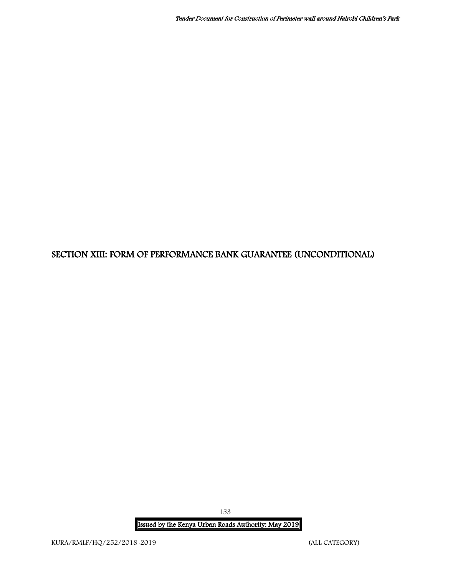# SECTION XIII: FORM OF PERFORMANCE BANK GUARANTEE (UNCONDITIONAL)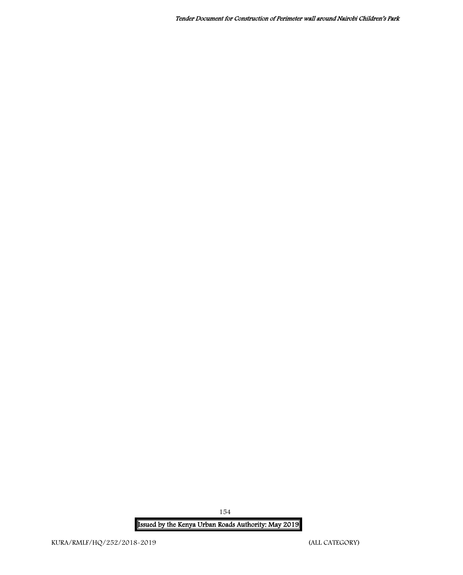Tender Document for Construction of Perimeter wall around Nairobi Children's Park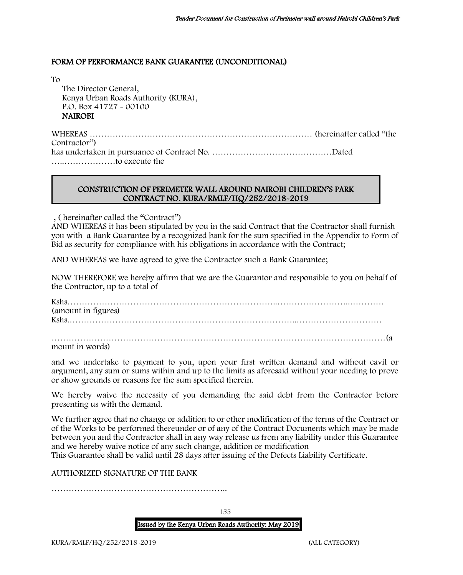#### FORM OF PERFORMANCE BANK GUARANTEE (UNCONDITIONAL)

To

 The Director General, Kenya Urban Roads Authority (KURA), P.O. Box 41727 - 00100 **NAIROBI** 

WHEREAS …………………………………………………………………… (hereinafter called "the Contractor") has undertaken in pursuance of Contract No. ……………………………………Dated …..………………to execute the

#### CONSTRUCTION OF PERIMETER WALL AROUND NAIROBI CHILDREN'S PARK CONTRACT NO. KURA/RMLF/HQ/252/2018-2019

, ( hereinafter called the "Contract")

AND WHEREAS it has been stipulated by you in the said Contract that the Contractor shall furnish you with a Bank Guarantee by a recognized bank for the sum specified in the Appendix to Form of Bid as security for compliance with his obligations in accordance with the Contract;

AND WHEREAS we have agreed to give the Contractor such a Bank Guarantee;

NOW THEREFORE we hereby affirm that we are the Guarantor and responsible to you on behalf of the Contractor, up to a total of

Kshs………………………………………………………………..……………………..………… (amount in figures) Kshs.……………………………………………………………………..………………………… ………………………………………………………………………………………………………(a

mount in words)

and we undertake to payment to you, upon your first written demand and without cavil or argument, any sum or sums within and up to the limits as aforesaid without your needing to prove or show grounds or reasons for the sum specified therein.

We hereby waive the necessity of you demanding the said debt from the Contractor before presenting us with the demand.

We further agree that no change or addition to or other modification of the terms of the Contract or of the Works to be performed thereunder or of any of the Contract Documents which may be made between you and the Contractor shall in any way release us from any liability under this Guarantee and we hereby waive notice of any such change, addition or modification This Guarantee shall be valid until 28 days after issuing of the Defects Liability Certificate.

AUTHORIZED SIGNATURE OF THE BANK

………………………………………………………………………………

155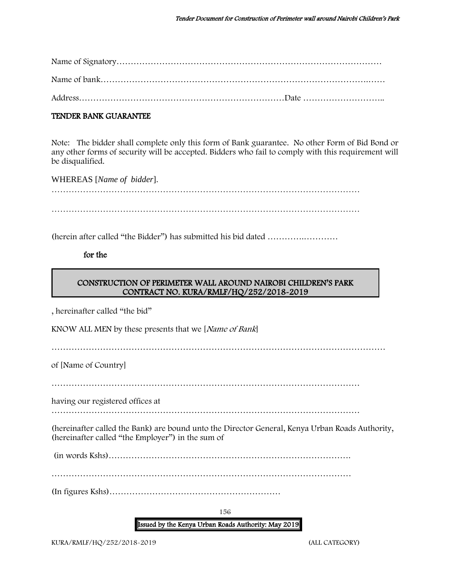Name of Signatory………………………………………………………………………………… Name of bank………………………………………………………………………………….…… Address………………………………………………………………Date ………………………..

## TENDER BANK GUARANTEE

Note: The bidder shall complete only this form of Bank guarantee. No other Form of Bid Bond or any other forms of security will be accepted. Bidders who fail to comply with this requirement will be disqualified.

WHEREAS [*Name of bidder*].

………………………………………………………………………………………………

(herein after called "the Bidder") has submitted his bid dated ………….…………

#### for the

## CONSTRUCTION OF PERIMETER WALL AROUND NAIROBI CHILDREN'S PARK CONTRACT NO. KURA/RMLF/HQ/252/2018-2019

, hereinafter called "the bid"

KNOW ALL MEN by these presents that we [Name of Bank]

………………………………………………………………………………………………………

of [Name of Country]

………………………………………………………………………………………………

having our registered offices at

………………………………………………………………………………………………

(hereinafter called the Bank) are bound unto the Director General, Kenya Urban Roads Authority, (hereinafter called "the Employer") in the sum of

(in words Kshs)………………………………………………………………………….

……………………………………………………………………………………………

(In figures Kshs)……………………………………………………

156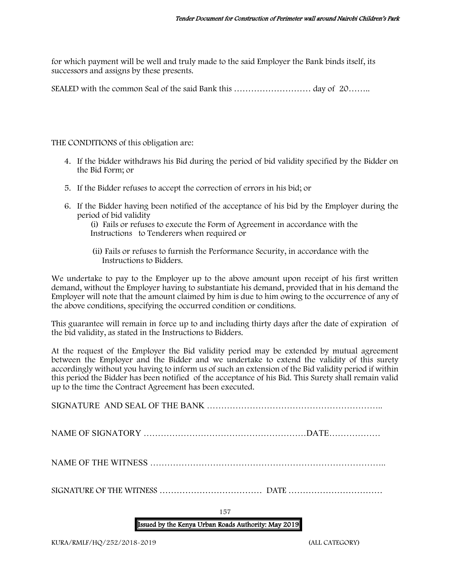for which payment will be well and truly made to the said Employer the Bank binds itself, its successors and assigns by these presents.

SEALED with the common Seal of the said Bank this ……………………… day of 20……..

#### THE CONDITIONS of this obligation are:

- 4. If the bidder withdraws his Bid during the period of bid validity specified by the Bidder on the Bid Form; or
- 5. If the Bidder refuses to accept the correction of errors in his bid; or
- 6. If the Bidder having been notified of the acceptance of his bid by the Employer during the period of bid validity

(i) Fails or refuses to execute the Form of Agreement in accordance with the Instructions to Tenderers when required or

 (ii) Fails or refuses to furnish the Performance Security, in accordance with the Instructions to Bidders.

We undertake to pay to the Employer up to the above amount upon receipt of his first written demand, without the Employer having to substantiate his demand, provided that in his demand the Employer will note that the amount claimed by him is due to him owing to the occurrence of any of the above conditions, specifying the occurred condition or conditions.

This guarantee will remain in force up to and including thirty days after the date of expiration of the bid validity, as stated in the Instructions to Bidders.

At the request of the Employer the Bid validity period may be extended by mutual agreement between the Employer and the Bidder and we undertake to extend the validity of this surety accordingly without you having to inform us of such an extension of the Bid validity period if within this period the Bidder has been notified of the acceptance of his Bid. This Surety shall remain valid up to the time the Contract Agreement has been executed.

| 157<br>Issued by the Kenya Urban Roads Authority: May 2019 |
|------------------------------------------------------------|